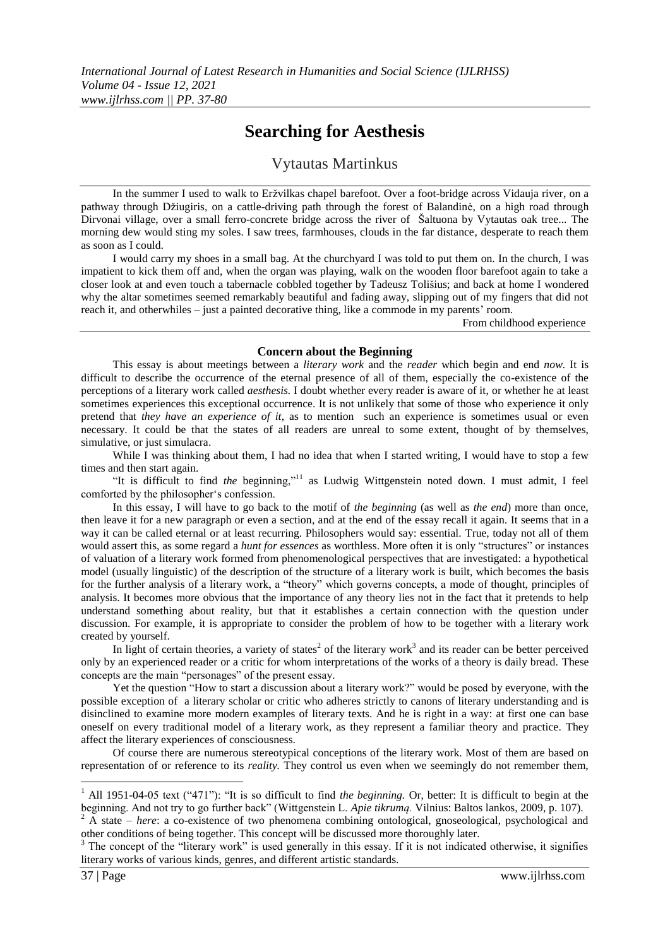# **Searching for Aesthesis**

# Vytautas Martinkus

In the summer I used to walk to Eržvilkas chapel barefoot. Over a foot-bridge across Vidauja river, on a pathway through Džiugiris, on a cattle-driving path through the forest of Balandinė, on a high road through Dirvonai village, over a small ferro-concrete bridge across the river of Šaltuona by Vytautas oak tree... The morning dew would sting my soles. I saw trees, farmhouses, clouds in the far distance, desperate to reach them as soon as I could.

I would carry my shoes in a small bag. At the churchyard I was told to put them on. In the church, I was impatient to kick them off and, when the organ was playing, walk on the wooden floor barefoot again to take a closer look at and even touch a tabernacle cobbled together by Tadeusz Tolišius; and back at home I wondered why the altar sometimes seemed remarkably beautiful and fading away, slipping out of my fingers that did not reach it, and otherwhiles – just a painted decorative thing, like a commode in my parents' room.

From childhood experience

#### **Concern about the Beginning**

This essay is about meetings between a *literary work* and the *reader* which begin and end *now.* It is difficult to describe the occurrence of the eternal presence of all of them, especially the co-existence of the perceptions of a literary work called *aesthesis.* I doubt whether every reader is aware of it, or whether he at least sometimes experiences this exceptional occurrence. It is not unlikely that some of those who experience it only pretend that *they have an experience of it*, as to mention such an experience is sometimes usual or even necessary. It could be that the states of all readers are unreal to some extent, thought of by themselves, simulative, or just simulacra.

While I was thinking about them, I had no idea that when I started writing, I would have to stop a few times and then start again.

"It is difficult to find *the* beginning,"<sup>11</sup> as Ludwig Wittgenstein noted down. I must admit, I feel comforted by the philosopher"s confession.

In this essay, I will have to go back to the motif of *the beginning* (as well as *the end*) more than once, then leave it for a new paragraph or even a section, and at the end of the essay recall it again. It seems that in a way it can be called eternal or at least recurring. Philosophers would say: essential. True, today not all of them would assert this, as some regard a *hunt for essences* as worthless. More often it is only "structures" or instances of valuation of a literary work formed from phenomenological perspectives that are investigated: a hypothetical model (usually linguistic) of the description of the structure of a literary work is built, which becomes the basis for the further analysis of a literary work, a "theory" which governs concepts, a mode of thought, principles of analysis. It becomes more obvious that the importance of any theory lies not in the fact that it pretends to help understand something about reality, but that it establishes a certain connection with the question under discussion. For example, it is appropriate to consider the problem of how to be together with a literary work created by yourself.

In light of certain theories, a variety of states<sup>2</sup> of the literary work<sup>3</sup> and its reader can be better perceived only by an experienced reader or a critic for whom interpretations of the works of a theory is daily bread. These concepts are the main "personages" of the present essay.

Yet the question "How to start a discussion about a literary work?" would be posed by everyone, with the possible exception of a literary scholar or critic who adheres strictly to canons of literary understanding and is disinclined to examine more modern examples of literary texts. And he is right in a way: at first one can base oneself on every traditional model of a literary work, as they represent a familiar theory and practice. They affect the literary experiences of consciousness.

Of course there are numerous stereotypical conceptions of the literary work. Most of them are based on representation of or reference to its *reality.* They control us even when we seemingly do not remember them,

<sup>&</sup>lt;sup>1</sup> All 1951-04-05 text ("471"): "It is so difficult to find *the beginning*. Or, better: It is difficult to begin at the beginning. And not try to go further back" (Wittgenstein L. *Apie tikrumą.* Vilnius: Baltos lankos, 2009, p. 107).

<sup>&</sup>lt;sup>2</sup> A state – *here*: a co-existence of two phenomena combining ontological, gnoseological, psychological and other conditions of being together. This concept will be discussed more thoroughly later.

 $3$  The concept of the "literary work" is used generally in this essay. If it is not indicated otherwise, it signifies literary works of various kinds, genres, and different artistic standards.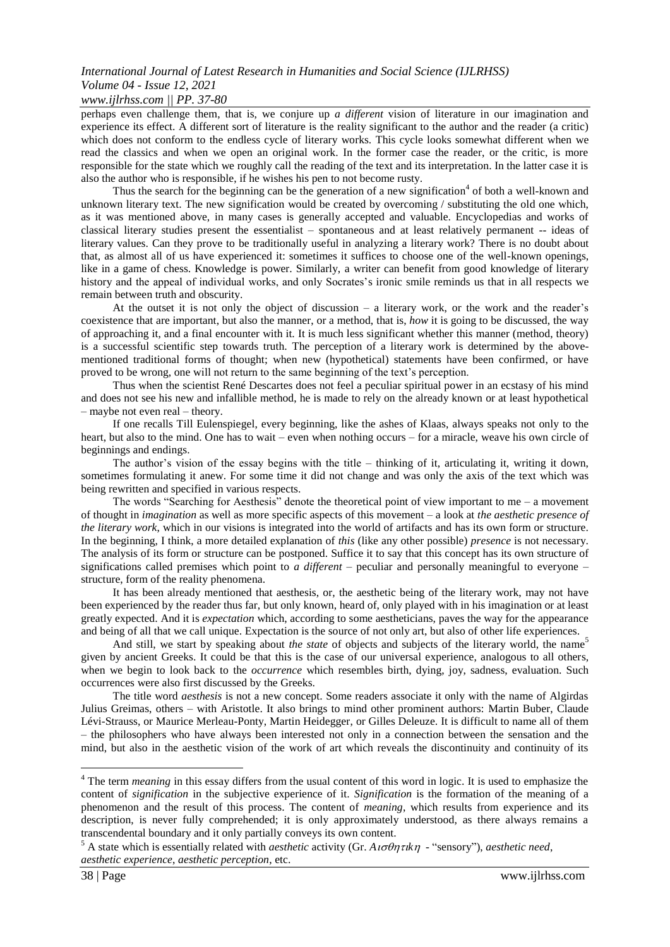## *www.ijlrhss.com || PP. 37-80*

perhaps even challenge them, that is, we conjure up *a different* vision of literature in our imagination and experience its effect. A different sort of literature is the reality significant to the author and the reader (a critic) which does not conform to the endless cycle of literary works. This cycle looks somewhat different when we read the classics and when we open an original work. In the former case the reader, or the critic, is more responsible for the state which we roughly call the reading of the text and its interpretation. In the latter case it is also the author who is responsible, if he wishes his pen to not become rusty.

Thus the search for the beginning can be the generation of a new signification<sup>4</sup> of both a well-known and unknown literary text. The new signification would be created by overcoming / substituting the old one which, as it was mentioned above, in many cases is generally accepted and valuable. Encyclopedias and works of classical literary studies present the essentialist – spontaneous and at least relatively permanent -- ideas of literary values. Can they prove to be traditionally useful in analyzing a literary work? There is no doubt about that, as almost all of us have experienced it: sometimes it suffices to choose one of the well-known openings, like in a game of chess. Knowledge is power. Similarly, a writer can benefit from good knowledge of literary history and the appeal of individual works, and only Socrates's ironic smile reminds us that in all respects we remain between truth and obscurity.

At the outset it is not only the object of discussion – a literary work, or the work and the reader"s coexistence that are important, but also the manner, or a method, that is, *how* it is going to be discussed, the way of approaching it, and a final encounter with it. It is much less significant whether this manner (method, theory) is a successful scientific step towards truth. The perception of a literary work is determined by the abovementioned traditional forms of thought; when new (hypothetical) statements have been confirmed, or have proved to be wrong, one will not return to the same beginning of the text"s perception.

Thus when the scientist René Descartes does not feel a peculiar spiritual power in an ecstasy of his mind and does not see his new and infallible method, he is made to rely on the already known or at least hypothetical – maybe not even real – theory.

If one recalls Till Eulenspiegel, every beginning, like the ashes of Klaas, always speaks not only to the heart, but also to the mind. One has to wait – even when nothing occurs – for a miracle, weave his own circle of beginnings and endings.

The author"s vision of the essay begins with the title – thinking of it, articulating it, writing it down, sometimes formulating it anew. For some time it did not change and was only the axis of the text which was being rewritten and specified in various respects.

The words "Searching for Aesthesis" denote the theoretical point of view important to me – a movement of thought in *imagination* as well as more specific aspects of this movement – a look at *the aesthetic presence of the literary work*, which in our visions is integrated into the world of artifacts and has its own form or structure. In the beginning, I think, a more detailed explanation of *this* (like any other possible) *presence* is not necessary. The analysis of its form or structure can be postponed. Suffice it to say that this concept has its own structure of significations called premises which point to *a different* – peculiar and personally meaningful to everyone – structure, form of the reality phenomena.

It has been already mentioned that aesthesis, or, the aesthetic being of the literary work, may not have been experienced by the reader thus far, but only known, heard of, only played with in his imagination or at least greatly expected. And it is *expectation* which, according to some aestheticians, paves the way for the appearance and being of all that we call unique. Expectation is the source of not only art, but also of other life experiences.

And still, we start by speaking about *the state* of objects and subjects of the literary world, the name<sup>5</sup> given by ancient Greeks. It could be that this is the case of our universal experience, analogous to all others, when we begin to look back to the *occurrence* which resembles birth, dying, joy, sadness, evaluation. Such occurrences were also first discussed by the Greeks.

The title word *aesthesis* is not a new concept. Some readers associate it only with the name of Algirdas Julius Greimas, others – with Aristotle. It also brings to mind other prominent authors: Martin Buber, Claude Lévi-Strauss, or Maurice Merleau-Ponty, Martin Heidegger, or Gilles Deleuze. It is difficult to name all of them – the philosophers who have always been interested not only in a connection between the sensation and the mind, but also in the aesthetic vision of the work of art which reveals the discontinuity and continuity of its

<sup>&</sup>lt;sup>4</sup> The term *meaning* in this essay differs from the usual content of this word in logic. It is used to emphasize the content of *signification* in the subjective experience of it. *Signification* is the formation of the meaning of a phenomenon and the result of this process. The content of *meaning*, which results from experience and its description, is never fully comprehended; it is only approximately understood, as there always remains a transcendental boundary and it only partially conveys its own content.

 $^5$  A state which is essentially related with *aesthetic* activity (Gr.  $A \iota \sigma \theta \eta \tau \iota k \eta$  - "sensory"), *aesthetic need*, *aesthetic experience*, *aesthetic perception*, etc.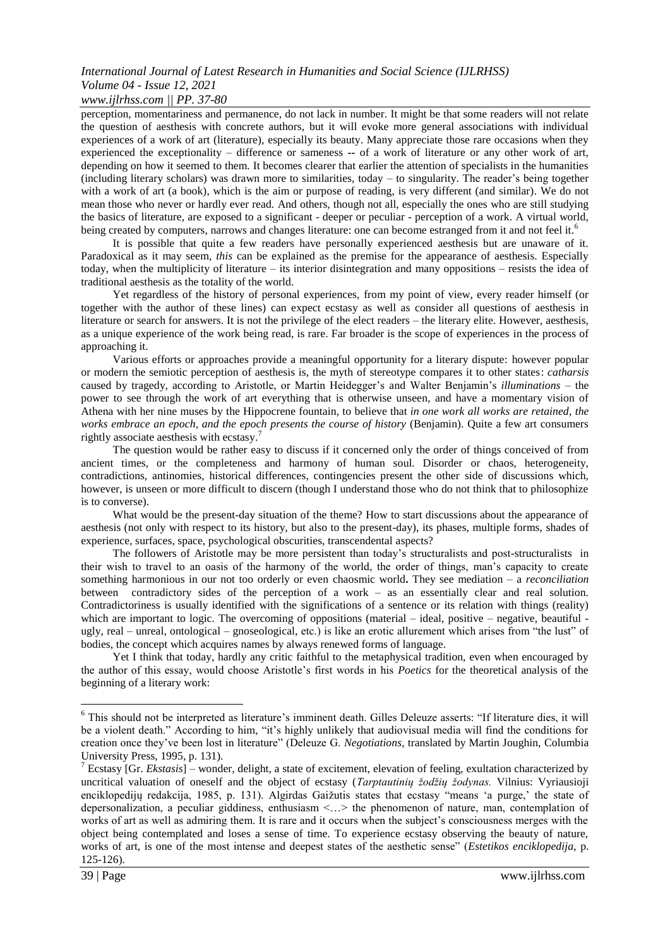## *www.ijlrhss.com || PP. 37-80*

perception, momentariness and permanence, do not lack in number. It might be that some readers will not relate the question of aesthesis with concrete authors, but it will evoke more general associations with individual experiences of a work of art (literature), especially its beauty. Many appreciate those rare occasions when they experienced the exceptionality – difference or sameness **--** of a work of literature or any other work of art, depending on how it seemed to them. It becomes clearer that earlier the attention of specialists in the humanities (including literary scholars) was drawn more to similarities, today – to singularity. The reader"s being together with a work of art (a book), which is the aim or purpose of reading, is very different (and similar). We do not mean those who never or hardly ever read. And others, though not all, especially the ones who are still studying the basics of literature, are exposed to a significant - deeper or peculiar - perception of a work. A virtual world, being created by computers, narrows and changes literature: one can become estranged from it and not feel it.<sup>6</sup>

It is possible that quite a few readers have personally experienced aesthesis but are unaware of it. Paradoxical as it may seem, *this* can be explained as the premise for the appearance of aesthesis. Especially today, when the multiplicity of literature – its interior disintegration and many oppositions – resists the idea of traditional aesthesis as the totality of the world.

Yet regardless of the history of personal experiences, from my point of view, every reader himself (or together with the author of these lines) can expect ecstasy as well as consider all questions of aesthesis in literature or search for answers. It is not the privilege of the elect readers – the literary elite. However, aesthesis, as a unique experience of the work being read, is rare. Far broader is the scope of experiences in the process of approaching it.

Various efforts or approaches provide a meaningful opportunity for a literary dispute: however popular or modern the semiotic perception of aesthesis is, the myth of stereotype compares it to other states: *catharsis*  caused by tragedy, according to Aristotle, or Martin Heidegger"s and Walter Benjamin"s *illuminations* – the power to see through the work of art everything that is otherwise unseen, and have a momentary vision of Athena with her nine muses by the Hippocrene fountain, to believe that *in one work all works are retained*, *the*  works embrace an epoch, and the epoch presents the course of history (Benjamin). Quite a few art consumers rightly associate aesthesis with ecstasy.<sup>7</sup>

The question would be rather easy to discuss if it concerned only the order of things conceived of from ancient times, or the completeness and harmony of human soul. Disorder or chaos, heterogeneity, contradictions, antinomies, historical differences, contingencies present the other side of discussions which, however, is unseen or more difficult to discern (though I understand those who do not think that to philosophize is to converse).

What would be the present-day situation of the theme? How to start discussions about the appearance of aesthesis (not only with respect to its history, but also to the present-day), its phases, multiple forms, shades of experience, surfaces, space, psychological obscurities, transcendental aspects?

The followers of Aristotle may be more persistent than today"s structuralists and post-structuralists in their wish to travel to an oasis of the harmony of the world, the order of things, man"s capacity to create something harmonious in our not too orderly or even chaosmic world**.** They see mediation – a *reconciliation* between contradictory sides of the perception of a work – as an essentially clear and real solution. Contradictoriness is usually identified with the significations of a sentence or its relation with things (reality) which are important to logic. The overcoming of oppositions (material – ideal, positive – negative, beautiful ugly, real – unreal, ontological – gnoseological, etc.) is like an erotic allurement which arises from "the lust" of bodies, the concept which acquires names by always renewed forms of language.

Yet I think that today, hardly any critic faithful to the metaphysical tradition, even when encouraged by the author of this essay, would choose Aristotle"s first words in his *Poetics* for the theoretical analysis of the beginning of a literary work:

 $6$  This should not be interpreted as literature's imminent death. Gilles Deleuze asserts: "If literature dies, it will be a violent death." According to him, "it"s highly unlikely that audiovisual media will find the conditions for creation once they"ve been lost in literature" (Deleuze G. *Negotiations*, translated by Martin Joughin, Columbia University Press, 1995, p. 131).

<sup>7</sup> Ecstasy [Gr. *Ekstasis*] – wonder, delight, a state of excitement, elevation of feeling, exultation characterized by uncritical valuation of oneself and the object of ecstasy (*Tarptautinių ţodţių ţodynas.* Vilnius: Vyriausioji enciklopedijų redakcija, 1985, p. 131). Algirdas Gaižutis states that ecstasy "means 'a purge,' the state of depersonalization, a peculiar giddiness, enthusiasm <…> the phenomenon of nature, man, contemplation of works of art as well as admiring them. It is rare and it occurs when the subject"s consciousness merges with the object being contemplated and loses a sense of time. To experience ecstasy observing the beauty of nature, works of art, is one of the most intense and deepest states of the aesthetic sense" (*Estetikos enciklopedija*, p. 125-126).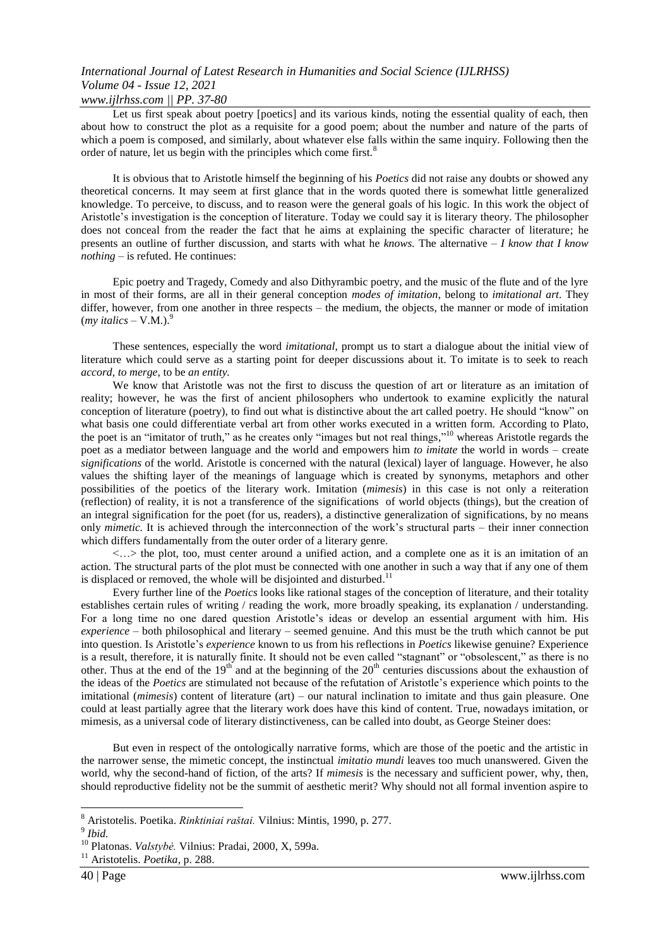#### *www.ijlrhss.com || PP. 37-80*

Let us first speak about poetry [poetics] and its various kinds, noting the essential quality of each, then about how to construct the plot as a requisite for a good poem; about the number and nature of the parts of which a poem is composed, and similarly, about whatever else falls within the same inquiry. Following then the order of nature, let us begin with the principles which come first.<sup>8</sup>

It is obvious that to Aristotle himself the beginning of his *Poetics* did not raise any doubts or showed any theoretical concerns. It may seem at first glance that in the words quoted there is somewhat little generalized knowledge. To perceive, to discuss, and to reason were the general goals of his logic. In this work the object of Aristotle"s investigation is the conception of literature. Today we could say it is literary theory. The philosopher does not conceal from the reader the fact that he aims at explaining the specific character of literature; he presents an outline of further discussion, and starts with what he *knows.* The alternative – *I know that I know nothing* – is refuted. He continues:

Epic poetry and Tragedy, Comedy and also Dithyrambic poetry, and the music of the flute and of the lyre in most of their forms, are all in their general conception *modes of imitation*, belong to *imitational art*. They differ, however, from one another in three respects – the medium, the objects, the manner or mode of imitation  $(mv$  *italics* – V.M.).<sup>9</sup>

These sentences, especially the word *imitational*, prompt us to start a dialogue about the initial view of literature which could serve as a starting point for deeper discussions about it. To imitate is to seek to reach *accord*, *to merge*, to be *an entity.*

We know that Aristotle was not the first to discuss the question of art or literature as an imitation of reality; however, he was the first of ancient philosophers who undertook to examine explicitly the natural conception of literature (poetry), to find out what is distinctive about the art called poetry. He should "know" on what basis one could differentiate verbal art from other works executed in a written form. According to Plato, the poet is an "imitator of truth," as he creates only "images but not real things,"<sup>10</sup> whereas Aristotle regards the poet as a mediator between language and the world and empowers him *to imitate* the world in words – create *significations* of the world. Aristotle is concerned with the natural (lexical) layer of language. However, he also values the shifting layer of the meanings of language which is created by synonyms, metaphors and other possibilities of the poetics of the literary work. Imitation (*mimesis*) in this case is not only a reiteration (reflection) of reality, it is not a transference of the significations of world objects (things), but the creation of an integral signification for the poet (for us, readers), a distinctive generalization of significations, by no means only *mimetic.* It is achieved through the interconnection of the work"s structural parts – their inner connection which differs fundamentally from the outer order of a literary genre.

<…> the plot, too, must center around a unified action, and a complete one as it is an imitation of an action. The structural parts of the plot must be connected with one another in such a way that if any one of them is displaced or removed, the whole will be disjointed and disturbed.<sup>11</sup>

Every further line of the *Poetics* looks like rational stages of the conception of literature, and their totality establishes certain rules of writing / reading the work, more broadly speaking, its explanation / understanding. For a long time no one dared question Aristotle"s ideas or develop an essential argument with him. His *experience* – both philosophical and literary – seemed genuine. And this must be the truth which cannot be put into question. Is Aristotle"s *experience* known to us from his reflections in *Poetics* likewise genuine? Experience is a result, therefore, it is naturally finite. It should not be even called "stagnant" or "obsolescent," as there is no other. Thus at the end of the  $19<sup>th</sup>$  and at the beginning of the  $20<sup>th</sup>$  centuries discussions about the exhaustion of the ideas of the *Poetics* are stimulated not because of the refutation of Aristotle"s experience which points to the imitational (*mimesis*) content of literature (art) – our natural inclination to imitate and thus gain pleasure. One could at least partially agree that the literary work does have this kind of content. True, nowadays imitation, or mimesis, as a universal code of literary distinctiveness, can be called into doubt, as George Steiner does:

But even in respect of the ontologically narrative forms, which are those of the poetic and the artistic in the narrower sense, the mimetic concept, the instinctual *imitatio mundi* leaves too much unanswered. Given the world, why the second-hand of fiction, of the arts? If *mimesis* is the necessary and sufficient power, why, then, should reproductive fidelity not be the summit of aesthetic merit? Why should not all formal invention aspire to

<sup>8</sup> Aristotelis. Poetika. *Rinktiniai raštai.* Vilnius: Mintis, 1990, p. 277.

<sup>9</sup> *Ibid.*

<sup>10</sup> Platonas. *Valstybė.* Vilnius: Pradai, 2000, X, 599a.

<sup>&</sup>lt;sup>11</sup> Aristotelis. *Poetika*, p. 288.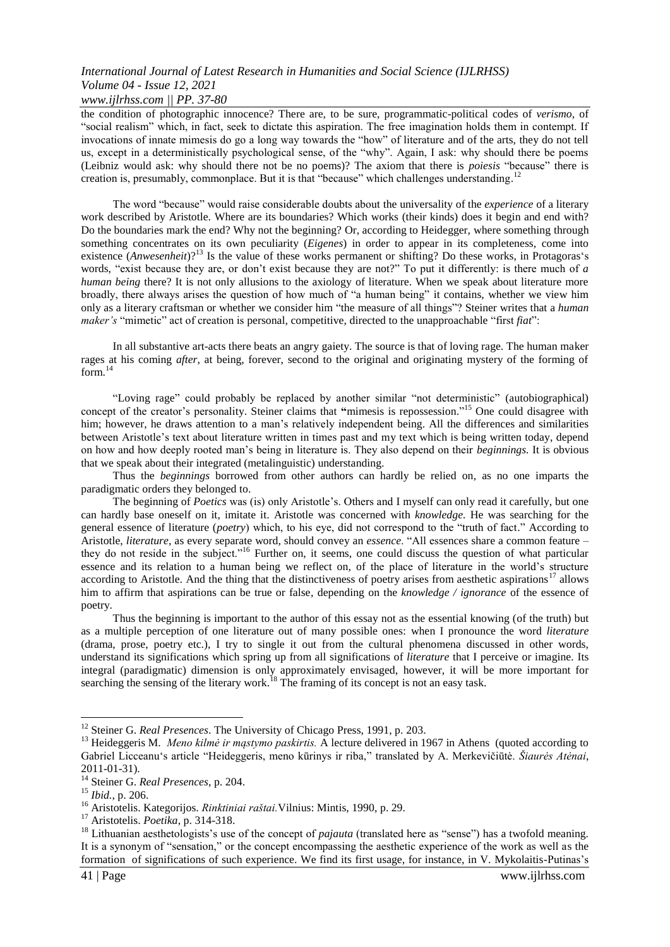#### *www.ijlrhss.com || PP. 37-80*

the condition of photographic innocence? There are, to be sure, programmatic-political codes of *verismo,* of "social realism" which, in fact, seek to dictate this aspiration. The free imagination holds them in contempt. If invocations of innate mimesis do go a long way towards the "how" of literature and of the arts, they do not tell us, except in a deterministically psychological sense, of the "why". Again, I ask: why should there be poems (Leibniz would ask: why should there not be no poems)? The axiom that there is *poiesis* "because" there is creation is, presumably, commonplace. But it is that "because" which challenges understanding.<sup>12</sup>

The word "because" would raise considerable doubts about the universality of the *experience* of a literary work described by Aristotle. Where are its boundaries? Which works (their kinds) does it begin and end with? Do the boundaries mark the end? Why not the beginning? Or, according to Heidegger, where something through something concentrates on its own peculiarity (*Eigenes*) in order to appear in its completeness, come into existence (*Anwesenheit*)?<sup>13</sup> Is the value of these works permanent or shifting? Do these works, in Protagoras's words, "exist because they are, or don't exist because they are not?" To put it differently: is there much of *a human being* there? It is not only allusions to the axiology of literature. When we speak about literature more broadly, there always arises the question of how much of "a human being" it contains, whether we view him only as a literary craftsman or whether we consider him "the measure of all things"? Steiner writes that a *human maker"s* "mimetic" act of creation is personal, competitive, directed to the unapproachable "first *fiat*":

In all substantive art-acts there beats an angry gaiety. The source is that of loving rage. The human maker rages at his coming *after*, at being, forever, second to the original and originating mystery of the forming of form. 14

"Loving rage" could probably be replaced by another similar "not deterministic" (autobiographical) concept of the creator's personality. Steiner claims that "mimesis is repossession."<sup>15</sup> One could disagree with him; however, he draws attention to a man's relatively independent being. All the differences and similarities between Aristotle"s text about literature written in times past and my text which is being written today, depend on how and how deeply rooted man"s being in literature is. They also depend on their *beginnings.* It is obvious that we speak about their integrated (metalinguistic) understanding.

Thus the *beginnings* borrowed from other authors can hardly be relied on, as no one imparts the paradigmatic orders they belonged to.

The beginning of *Poetics* was (is) only Aristotle's. Others and I myself can only read it carefully, but one can hardly base oneself on it, imitate it. Aristotle was concerned with *knowledge.* He was searching for the general essence of literature (*poetry*) which, to his eye, did not correspond to the "truth of fact." According to Aristotle, *literature*, as every separate word, should convey an *essence*. "All essences share a common feature – they do not reside in the subject."<sup>16</sup> Further on, it seems, one could discuss the question of what particular essence and its relation to a human being we reflect on, of the place of literature in the world's structure according to Aristotle. And the thing that the distinctiveness of poetry arises from aesthetic aspirations<sup>17</sup> allows him to affirm that aspirations can be true or false, depending on the *knowledge / ignorance* of the essence of poetry.

Thus the beginning is important to the author of this essay not as the essential knowing (of the truth) but as a multiple perception of one literature out of many possible ones: when I pronounce the word *literature* (drama, prose, poetry etc.), I try to single it out from the cultural phenomena discussed in other words, understand its significations which spring up from all significations of *literature* that I perceive or imagine*.* Its integral (paradigmatic) dimension is only approximately envisaged, however, it will be more important for searching the sensing of the literary work.<sup>18</sup> The framing of its concept is not an easy task.

<sup>12</sup> Steiner G. *Real Presences*. The University of Chicago Press, 1991, p. 203.

<sup>&</sup>lt;sup>13</sup> Heideggeris M. *Meno kilmė ir mąstymo paskirtis*. A lecture delivered in 1967 in Athens (quoted according to Gabriel Licceanu"s article "Heideggeris, meno kūrinys ir riba," translated by A. Merkevičiūtė. *Šiaurės Atėnai*, 2011-01-31).

<sup>14</sup> Steiner G. *Real Presences*, p. 204.

<sup>15</sup> *Ibid.*, p. 206.

<sup>16</sup> Aristotelis. Kategorijos. *Rinktiniai raštai.*Vilnius: Mintis, 1990, p. 29.

<sup>17</sup> Aristotelis. *Poetika*, p. 314-318.

<sup>&</sup>lt;sup>18</sup> Lithuanian aesthetologists's use of the concept of *pajauta* (translated here as "sense") has a twofold meaning. It is a synonym of "sensation," or the concept encompassing the aesthetic experience of the work as well as the formation of significations of such experience. We find its first usage, for instance, in V. Mykolaitis-Putinas"s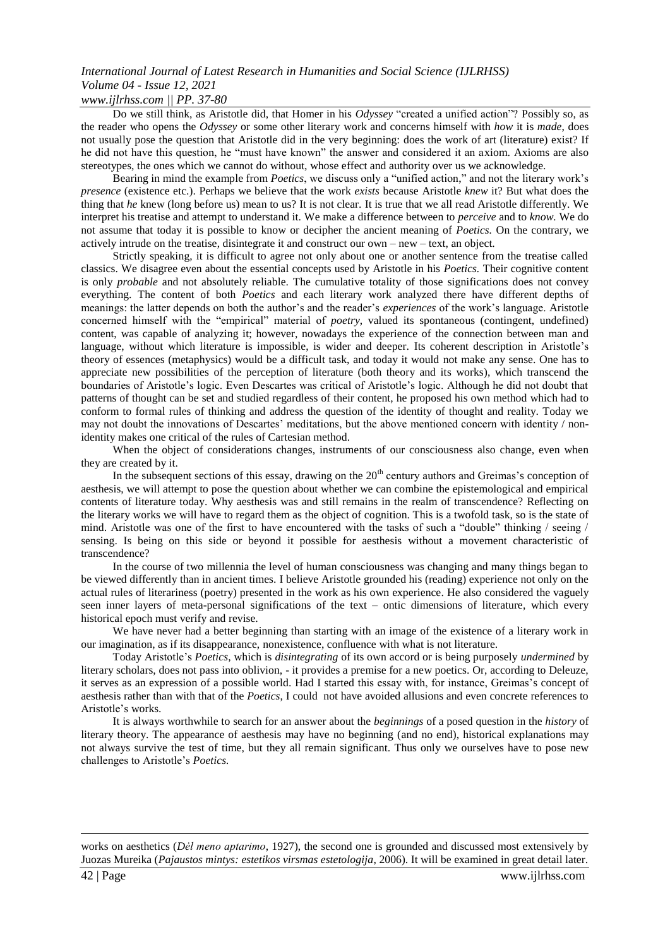#### *www.ijlrhss.com || PP. 37-80*

Do we still think, as Aristotle did, that Homer in his *Odyssey* "created a unified action"? Possibly so, as the reader who opens the *Odyssey* or some other literary work and concerns himself with *how* it is *made*, does not usually pose the question that Aristotle did in the very beginning: does the work of art (literature) exist? If he did not have this question, he "must have known" the answer and considered it an axiom. Axioms are also stereotypes, the ones which we cannot do without, whose effect and authority over us we acknowledge.

Bearing in mind the example from *Poetics*, we discuss only a "unified action," and not the literary work"s *presence* (existence etc.). Perhaps we believe that the work *exists* because Aristotle *knew* it? But what does the thing that *he* knew (long before us) mean to us? It is not clear. It is true that we all read Aristotle differently. We interpret his treatise and attempt to understand it. We make a difference between to *perceive* and to *know.* We do not assume that today it is possible to know or decipher the ancient meaning of *Poetics.* On the contrary, we actively intrude on the treatise, disintegrate it and construct our own – new – text, an object.

Strictly speaking, it is difficult to agree not only about one or another sentence from the treatise called classics. We disagree even about the essential concepts used by Aristotle in his *Poetics.* Their cognitive content is only *probable* and not absolutely reliable. The cumulative totality of those significations does not convey everything. The content of both *Poetics* and each literary work analyzed there have different depths of meanings: the latter depends on both the author"s and the reader"s *experiences* of the work"s language. Aristotle concerned himself with the "empirical" material of *poetry*, valued its spontaneous (contingent, undefined) content, was capable of analyzing it; however, nowadays the experience of the connection between man and language, without which literature is impossible, is wider and deeper. Its coherent description in Aristotle's theory of essences (metaphysics) would be a difficult task, and today it would not make any sense. One has to appreciate new possibilities of the perception of literature (both theory and its works), which transcend the boundaries of Aristotle"s logic. Even Descartes was critical of Aristotle"s logic. Although he did not doubt that patterns of thought can be set and studied regardless of their content, he proposed his own method which had to conform to formal rules of thinking and address the question of the identity of thought and reality. Today we may not doubt the innovations of Descartes" meditations, but the above mentioned concern with identity / nonidentity makes one critical of the rules of Cartesian method.

When the object of considerations changes, instruments of our consciousness also change, even when they are created by it.

In the subsequent sections of this essay, drawing on the  $20<sup>th</sup>$  century authors and Greimas's conception of aesthesis, we will attempt to pose the question about whether we can combine the epistemological and empirical contents of literature today. Why aesthesis was and still remains in the realm of transcendence? Reflecting on the literary works we will have to regard them as the object of cognition. This is a twofold task, so is the state of mind. Aristotle was one of the first to have encountered with the tasks of such a "double" thinking / seeing / sensing. Is being on this side or beyond it possible for aesthesis without a movement characteristic of transcendence?

In the course of two millennia the level of human consciousness was changing and many things began to be viewed differently than in ancient times. I believe Aristotle grounded his (reading) experience not only on the actual rules of literariness (poetry) presented in the work as his own experience. He also considered the vaguely seen inner layers of meta-personal significations of the text – ontic dimensions of literature, which every historical epoch must verify and revise.

We have never had a better beginning than starting with an image of the existence of a literary work in our imagination, as if its disappearance, nonexistence, confluence with what is not literature.

Today Aristotle"s *Poetics*, which is *disintegrating* of its own accord or is being purposely *undermined* by literary scholars, does not pass into oblivion, - it provides a premise for a new poetics. Or, according to Deleuze, it serves as an expression of a possible world. Had I started this essay with, for instance, Greimas"s concept of aesthesis rather than with that of the *Poetics*, I could not have avoided allusions and even concrete references to Aristotle"s works.

It is always worthwhile to search for an answer about the *beginnings* of a posed question in the *history* of literary theory. The appearance of aesthesis may have no beginning (and no end), historical explanations may not always survive the test of time, but they all remain significant. Thus only we ourselves have to pose new challenges to Aristotle"s *Poetics.*

works on aesthetics (*Dėl meno aptarimo*, 1927), the second one is grounded and discussed most extensively by Juozas Mureika (*Pajaustos mintys: estetikos virsmas estetologija*, 2006). It will be examined in great detail later.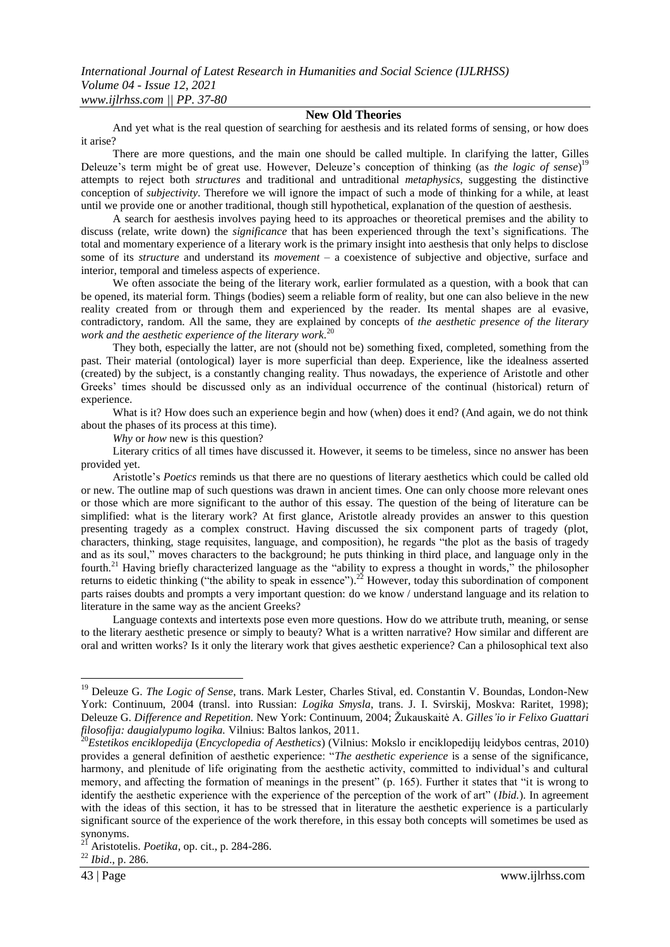#### **New Old Theories**

And yet what is the real question of searching for aesthesis and its related forms of sensing, or how does it arise?

There are more questions, and the main one should be called multiple. In clarifying the latter, Gilles Deleuze's term might be of great use. However, Deleuze's conception of thinking (as *the logic of sense*)<sup>19</sup> attempts to reject both *structures* and traditional and untraditional *metaphysics*, suggesting the distinctive conception of *subjectivity*. Therefore we will ignore the impact of such a mode of thinking for a while, at least until we provide one or another traditional, though still hypothetical, explanation of the question of aesthesis.

A search for aesthesis involves paying heed to its approaches or theoretical premises and the ability to discuss (relate, write down) the *significance* that has been experienced through the text's significations. The total and momentary experience of a literary work is the primary insight into aesthesis that only helps to disclose some of its *structure* and understand its *movement –* a coexistence of subjective and objective, surface and interior, temporal and timeless aspects of experience.

We often associate the being of the literary work, earlier formulated as a question, with a book that can be opened, its material form. Things (bodies) seem a reliable form of reality, but one can also believe in the new reality created from or through them and experienced by the reader. Its mental shapes are al evasive, contradictory, random. All the same, they are explained by concepts of *the aesthetic presence of the literary work and the aesthetic experience of the literary work.* 20

They both, especially the latter, are not (should not be) something fixed, completed, something from the past. Their material (ontological) layer is more superficial than deep. Experience, like the idealness asserted (created) by the subject, is a constantly changing reality. Thus nowadays, the experience of Aristotle and other Greeks" times should be discussed only as an individual occurrence of the continual (historical) return of experience.

What is it? How does such an experience begin and how (when) does it end? (And again, we do not think about the phases of its process at this time).

*Why* or *how* new is this question?

Literary critics of all times have discussed it. However, it seems to be timeless, since no answer has been provided yet.

Aristotle"s *Poetics* reminds us that there are no questions of literary aesthetics which could be called old or new. The outline map of such questions was drawn in ancient times. One can only choose more relevant ones or those which are more significant to the author of this essay. The question of the being of literature can be simplified: what is the literary work? At first glance, Aristotle already provides an answer to this question presenting tragedy as a complex construct. Having discussed the six component parts of tragedy (plot, characters, thinking, stage requisites, language, and composition), he regards "the plot as the basis of tragedy and as its soul," moves characters to the background; he puts thinking in third place, and language only in the fourth.<sup>21</sup> Having briefly characterized language as the "ability to express a thought in words," the philosopher returns to eidetic thinking ("the ability to speak in essence"). $^{22}$  However, today this subordination of component parts raises doubts and prompts a very important question: do we know / understand language and its relation to literature in the same way as the ancient Greeks?

Language contexts and intertexts pose even more questions. How do we attribute truth, meaning, or sense to the literary aesthetic presence or simply to beauty? What is a written narrative? How similar and different are oral and written works? Is it only the literary work that gives aesthetic experience? Can a philosophical text also

<sup>&</sup>lt;sup>19</sup> Deleuze G. *The Logic of Sense*, trans. Mark Lester, Charles Stival, ed. Constantin V. Boundas, London-New York: Continuum, 2004 (transl. into Russian: *Logika Smysla*, trans. J. I. Svirskij, Moskva: Raritet, 1998); Deleuze G. *Difference and Repetition.* New York: Continuum, 2004; Ţukauskaitė A. *Gilles"io ir Felixo Guattari filosofija: daugialypumo logika.* Vilnius: Baltos lankos, 2011.

<sup>20</sup>*Estetikos enciklopedija* (*Encyclopedia of Aesthetics*) (Vilnius: Mokslo ir enciklopedijų leidybos centras, 2010) provides a general definition of aesthetic experience: "*The aesthetic experience* is a sense of the significance, harmony, and plenitude of life originating from the aesthetic activity, committed to individual's and cultural memory, and affecting the formation of meanings in the present" (p. 165). Further it states that "it is wrong to identify the aesthetic experience with the experience of the perception of the work of art" (*Ibid.*). In agreement with the ideas of this section, it has to be stressed that in literature the aesthetic experience is a particularly significant source of the experience of the work therefore, in this essay both concepts will sometimes be used as synonyms.

<sup>21</sup> Aristotelis. *Poetika*, op. cit., p. 284-286.

<sup>22</sup> *Ibid*., p. 286.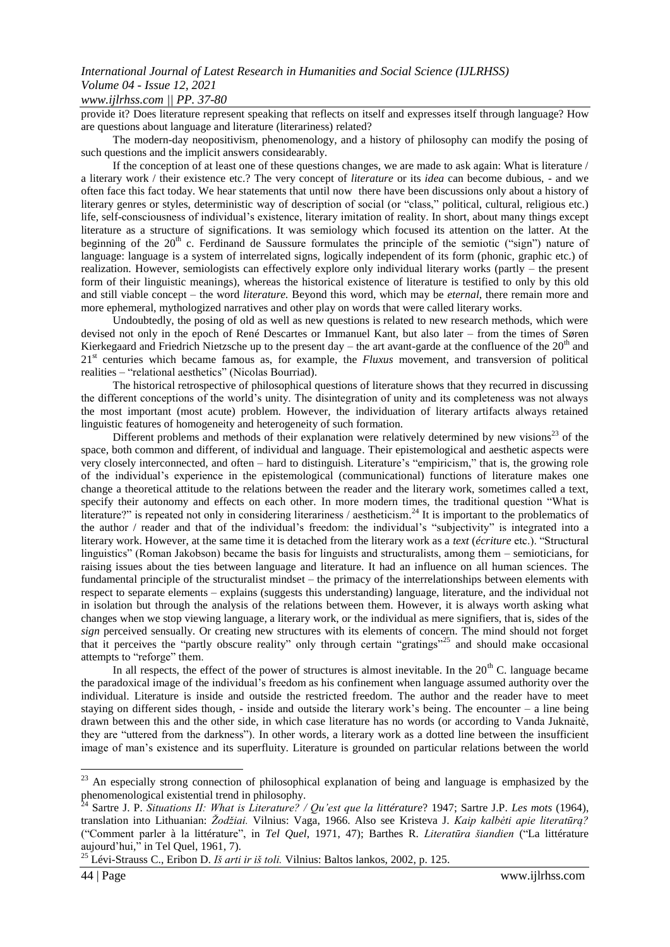#### *www.ijlrhss.com || PP. 37-80*

provide it? Does literature represent speaking that reflects on itself and expresses itself through language? How are questions about language and literature (literariness) related?

The modern-day neopositivism, phenomenology, and a history of philosophy can modify the posing of such questions and the implicit answers considearably.

If the conception of at least one of these questions changes, we are made to ask again: What is literature / a literary work / their existence etc.? The very concept of *literature* or its *idea* can become dubious, - and we often face this fact today. We hear statements that until now there have been discussions only about a history of literary genres or styles, deterministic way of description of social (or "class," political, cultural, religious etc.) life, self-consciousness of individual"s existence, literary imitation of reality. In short, about many things except literature as a structure of significations. It was semiology which focused its attention on the latter. At the beginning of the  $20<sup>th</sup>$  c. Ferdinand de Saussure formulates the principle of the semiotic ("sign") nature of language: language is a system of interrelated signs, logically independent of its form (phonic, graphic etc.) of realization. However, semiologists can effectively explore only individual literary works (partly – the present form of their linguistic meanings), whereas the historical existence of literature is testified to only by this old and still viable concept – the word *literature.* Beyond this word, which may be *eternal*, there remain more and more ephemeral, mythologized narratives and other play on words that were called literary works.

Undoubtedly, the posing of old as well as new questions is related to new research methods, which were devised not only in the epoch of René Descartes or Immanuel Kant, but also later – from the times of Søren Kierkegaard and Friedrich Nietzsche up to the present day – the art avant-garde at the confluence of the  $20<sup>th</sup>$  and 21st centuries which became famous as, for example, the *Fluxus* movement, and transversion of political realities – "relational aesthetics" (Nicolas Bourriad).

The historical retrospective of philosophical questions of literature shows that they recurred in discussing the different conceptions of the world"s unity. The disintegration of unity and its completeness was not always the most important (most acute) problem. However, the individuation of literary artifacts always retained linguistic features of homogeneity and heterogeneity of such formation.

Different problems and methods of their explanation were relatively determined by new visions $^{23}$  of the space, both common and different, of individual and language. Their epistemological and aesthetic aspects were very closely interconnected, and often – hard to distinguish. Literature"s "empiricism," that is, the growing role of the individual"s experience in the epistemological (communicational) functions of literature makes one change a theoretical attitude to the relations between the reader and the literary work, sometimes called a text, specify their autonomy and effects on each other. In more modern times, the traditional question "What is literature?" is repeated not only in considering literariness / aestheticism.<sup>24</sup> It is important to the problematics of the author / reader and that of the individual"s freedom: the individual"s "subjectivity" is integrated into a literary work. However, at the same time it is detached from the literary work as a *text* (*écriture* etc.). "Structural linguistics" (Roman Jakobson) became the basis for linguists and structuralists, among them – semioticians, for raising issues about the ties between language and literature. It had an influence on all human sciences. The fundamental principle of the structuralist mindset – the primacy of the interrelationships between elements with respect to separate elements – explains (suggests this understanding) language, literature, and the individual not in isolation but through the analysis of the relations between them. However, it is always worth asking what changes when we stop viewing language, a literary work, or the individual as mere signifiers, that is, sides of the *sign* perceived sensually. Or creating new structures with its elements of concern. The mind should not forget that it perceives the "partly obscure reality" only through certain "gratings"<sup>25</sup> and should make occasional attempts to "reforge" them.

In all respects, the effect of the power of structures is almost inevitable. In the  $20<sup>th</sup>$  C. language became the paradoxical image of the individual"s freedom as his confinement when language assumed authority over the individual. Literature is inside and outside the restricted freedom. The author and the reader have to meet staying on different sides though,  $-$  inside and outside the literary work's being. The encounter  $-$  a line being drawn between this and the other side, in which case literature has no words (or according to Vanda Juknaitė, they are "uttered from the darkness"). In other words, a literary work as a dotted line between the insufficient image of man"s existence and its superfluity. Literature is grounded on particular relations between the world

<sup>&</sup>lt;sup>23</sup> An especially strong connection of philosophical explanation of being and language is emphasized by the phenomenological existential trend in philosophy.

<sup>24</sup> Sartre J. P. *Situations II: What is Literature? / Qu"est que la littérature*? 1947; Sartre J.P. *Les mots* (1964), translation into Lithuanian: *Ţodţiai.* Vilnius: Vaga, 1966. Also see Kristeva J. *Kaip kalbėti apie literatūrą?*  ("Comment parler à la littérature", in *Tel Quel*, 1971, 47); Barthes R. *Literatūra šiandien* ("La littérature aujourd"hui," in Tel Quel, 1961, 7).

<sup>25</sup> Lévi-Strauss C., Eribon D. *Iš arti ir iš toli.* Vilnius: Baltos lankos, 2002, p. 125.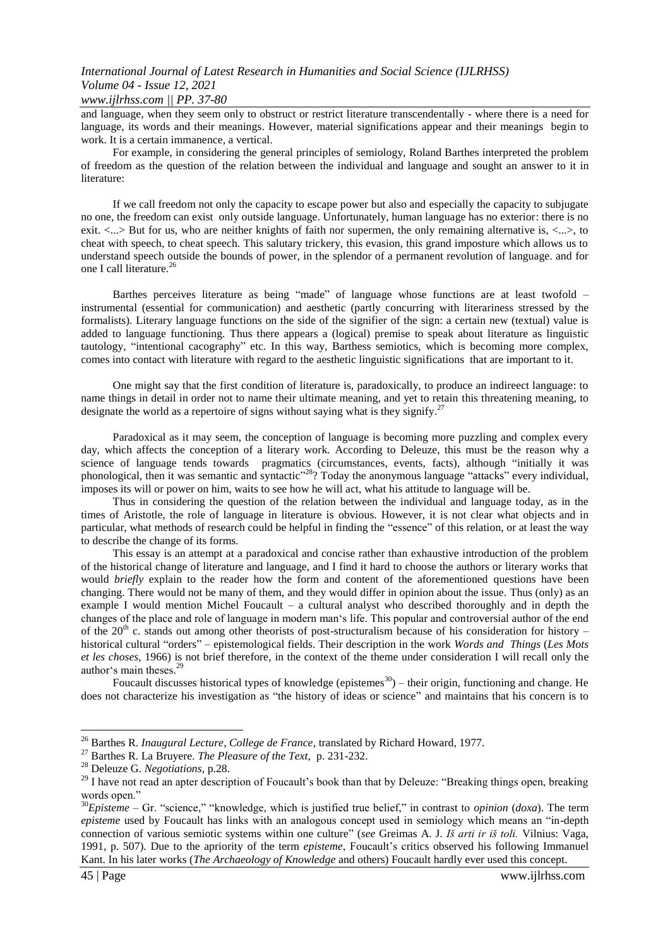#### *International Journal of Latest Research in Humanities and Social Science (IJLRHSS) Volume 04 - Issue 12, 2021 www.ijlrhss.com || PP. 37-80*

and language, when they seem only to obstruct or restrict literature transcendentally - where there is a need for language, its words and their meanings. However, material significations appear and their meanings begin to work. It is a certain immanence, a vertical.

For example, in considering the general principles of semiology, Roland Barthes interpreted the problem of freedom as the question of the relation between the individual and language and sought an answer to it in literature:

If we call freedom not only the capacity to escape power but also and especially the capacity to subjugate no one, the freedom can exist only outside language. Unfortunately, human language has no exterior: there is no exit. <...> But for us, who are neither knights of faith nor supermen, the only remaining alternative is, <...>, to cheat with speech, to cheat speech. This salutary trickery, this evasion, this grand imposture which allows us to understand speech outside the bounds of power, in the splendor of a permanent revolution of language. and for one I call literature*.* 26

Barthes perceives literature as being "made" of language whose functions are at least twofold – instrumental (essential for communication) and aesthetic (partly concurring with literariness stressed by the formalists). Literary language functions on the side of the signifier of the sign: a certain new (textual) value is added to language functioning. Thus there appears a (logical) premise to speak about literature as linguistic tautology, "intentional cacography" etc. In this way, Barthess semiotics, which is becoming more complex, comes into contact with literature with regard to the aesthetic linguistic significations that are important to it.

One might say that the first condition of literature is, paradoxically, to produce an indireect language: to name things in detail in order not to name their ultimate meaning, and yet to retain this threatening meaning, to designate the world as a repertoire of signs without saying what is they signify.<sup>27</sup>

Paradoxical as it may seem, the conception of language is becoming more puzzling and complex every day, which affects the conception of a literary work. According to Deleuze, this must be the reason why a science of language tends towards pragmatics (circumstances, events, facts), although "initially it was phonological, then it was semantic and syntactic<sup>,28</sup>? Today the anonymous language "attacks" every individual, imposes its will or power on him, waits to see how he will act, what his attitude to language will be.

Thus in considering the question of the relation between the individual and language today, as in the times of Aristotle, the role of language in literature is obvious. However, it is not clear what objects and in particular, what methods of research could be helpful in finding the "essence" of this relation, or at least the way to describe the change of its forms.

This essay is an attempt at a paradoxical and concise rather than exhaustive introduction of the problem of the historical change of literature and language, and I find it hard to choose the authors or literary works that would *briefly* explain to the reader how the form and content of the aforementioned questions have been changing. There would not be many of them, and they would differ in opinion about the issue. Thus (only) as an example I would mention Michel Foucault – a cultural analyst who described thoroughly and in depth the changes of the place and role of language in modern man"s life. This popular and controversial author of the end of the  $20<sup>th</sup>$  c. stands out among other theorists of post-structuralism because of his consideration for history – historical cultural "orders" – epistemological fields. Their description in the work *Words and Things* (*Les Mots et les choses*, 1966) is not brief therefore, in the context of the theme under consideration I will recall only the author's main theses.<sup>29</sup>

Foucault discusses historical types of knowledge (epistemes<sup>30</sup>) – their origin, functioning and change. He does not characterize his investigation as "the history of ideas or science" and maintains that his concern is to

<sup>26</sup> Barthes R. *Inaugural Lecture*, *College de France*, translated by Richard Howard, 1977.

<sup>27</sup> Barthes R. La Bruyere. *The Pleasure of the Text*, p. 231-232.

<sup>28</sup> Deleuze G. *Negotiations*, p.28.

<sup>&</sup>lt;sup>29</sup> I have not read an apter description of Foucault's book than that by Deleuze: "Breaking things open, breaking words open."

<sup>30</sup>*Episteme –* Gr. "science," "knowledge, which is justified true belief," in contrast to *opinion* (*doxa*). The term *episteme* used by Foucault has links with an analogous concept used in semiology which means an "in-depth connection of various semiotic systems within one culture" (*see* Greimas A. J. *Iš arti ir iš toli.* Vilnius: Vaga, 1991, p. 507). Due to the apriority of the term *episteme*, Foucault's critics observed his following Immanuel Kant. In his later works (*The Archaeology of Knowledge* and others) Foucault hardly ever used this concept.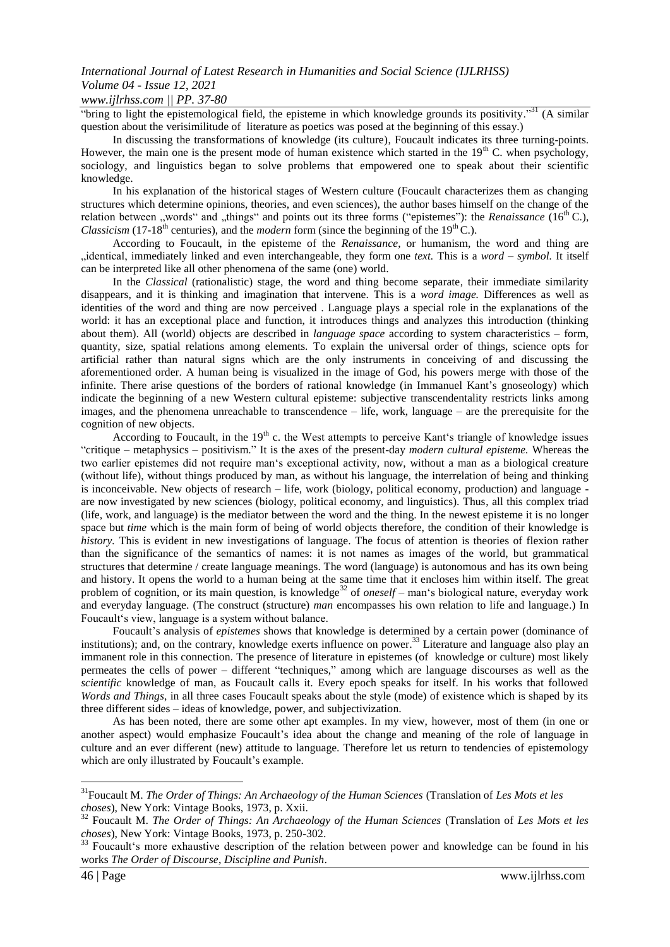#### *www.ijlrhss.com || PP. 37-80*

"bring to light the epistemological field, the episteme in which knowledge grounds its positivity."<sup>31</sup> (A similar question about the verisimilitude of literature as poetics was posed at the beginning of this essay.)

In discussing the transformations of knowledge (its culture), Foucault indicates its three turning-points. However, the main one is the present mode of human existence which started in the  $19<sup>th</sup>$  C. when psychology, sociology, and linguistics began to solve problems that empowered one to speak about their scientific knowledge.

In his explanation of the historical stages of Western culture (Foucault characterizes them as changing structures which determine opinions, theories, and even sciences), the author bases himself on the change of the relation between "words" and "things" and points out its three forms ("epistemes"): the *Renaissance* (16<sup>th</sup> C.), *Classicism* (17-18<sup>th</sup> centuries), and the *modern* form (since the beginning of the 19<sup>th</sup> C.).

According to Foucault, in the episteme of the *Renaissance*, or humanism, the word and thing are "identical, immediately linked and even interchangeable, they form one *text.* This is a *word – symbol.* It itself can be interpreted like all other phenomena of the same (one) world.

In the *Classical* (rationalistic) stage, the word and thing become separate, their immediate similarity disappears, and it is thinking and imagination that intervene. This is a *word image.* Differences as well as identities of the word and thing are now perceived . Language plays a special role in the explanations of the world: it has an exceptional place and function, it introduces things and analyzes this introduction (thinking about them). All (world) objects are described in *language space* according to system characteristics – form, quantity, size, spatial relations among elements. To explain the universal order of things, science opts for artificial rather than natural signs which are the only instruments in conceiving of and discussing the aforementioned order. A human being is visualized in the image of God, his powers merge with those of the infinite. There arise questions of the borders of rational knowledge (in Immanuel Kant"s gnoseology) which indicate the beginning of a new Western cultural episteme: subjective transcendentality restricts links among images, and the phenomena unreachable to transcendence – life, work, language – are the prerequisite for the cognition of new objects.

According to Foucault, in the  $19<sup>th</sup>$  c. the West attempts to perceive Kant's triangle of knowledge issues "critique – metaphysics – positivism." It is the axes of the present-day *modern cultural episteme.* Whereas the two earlier epistemes did not require man"s exceptional activity, now, without a man as a biological creature (without life), without things produced by man, as without his language, the interrelation of being and thinking is inconceivable. New objects of research – life, work (biology, political economy, production) and language are now investigated by new sciences (biology, political economy, and linguistics). Thus, all this complex triad (life, work, and language) is the mediator between the word and the thing. In the newest episteme it is no longer space but *time* which is the main form of being of world objects therefore, the condition of their knowledge is *history.* This is evident in new investigations of language. The focus of attention is theories of flexion rather than the significance of the semantics of names: it is not names as images of the world, but grammatical structures that determine / create language meanings. The word (language) is autonomous and has its own being and history. It opens the world to a human being at the same time that it encloses him within itself. The great problem of cognition, or its main question, is knowledge<sup>32</sup> of *oneself* – man's biological nature, everyday work and everyday language. (The construct (structure) *man* encompasses his own relation to life and language.) In Foucault"s view, language is a system without balance.

Foucault"s analysis of *epistemes* shows that knowledge is determined by a certain power (dominance of institutions); and, on the contrary, knowledge exerts influence on power.<sup>33</sup> Literature and language also play an immanent role in this connection. The presence of literature in epistemes (of knowledge or culture) most likely permeates the cells of power – different "techniques," among which are language discourses as well as the *scientific* knowledge of man, as Foucault calls it. Every epoch speaks for itself. In his works that followed *Words and Things*, in all three cases Foucault speaks about the style (mode) of existence which is shaped by its three different sides – ideas of knowledge, power, and subjectivization.

As has been noted, there are some other apt examples. In my view, however, most of them (in one or another aspect) would emphasize Foucault's idea about the change and meaning of the role of language in culture and an ever different (new) attitude to language. Therefore let us return to tendencies of epistemology which are only illustrated by Foucault's example.

<sup>31</sup>Foucault M. *The Order of Things: An Archaeology of the Human Sciences* (Translation of *Les Mots et les choses*), New York: Vintage Books, 1973, p. Xxii.

<sup>32</sup> Foucault M. *The Order of Things: An Archaeology of the Human Sciences* (Translation of *Les Mots et les choses*), New York: Vintage Books, 1973, p. 250-302.

 $33$  Foucault's more exhaustive description of the relation between power and knowledge can be found in his works *The Order of Discourse*, *Discipline and Punish*.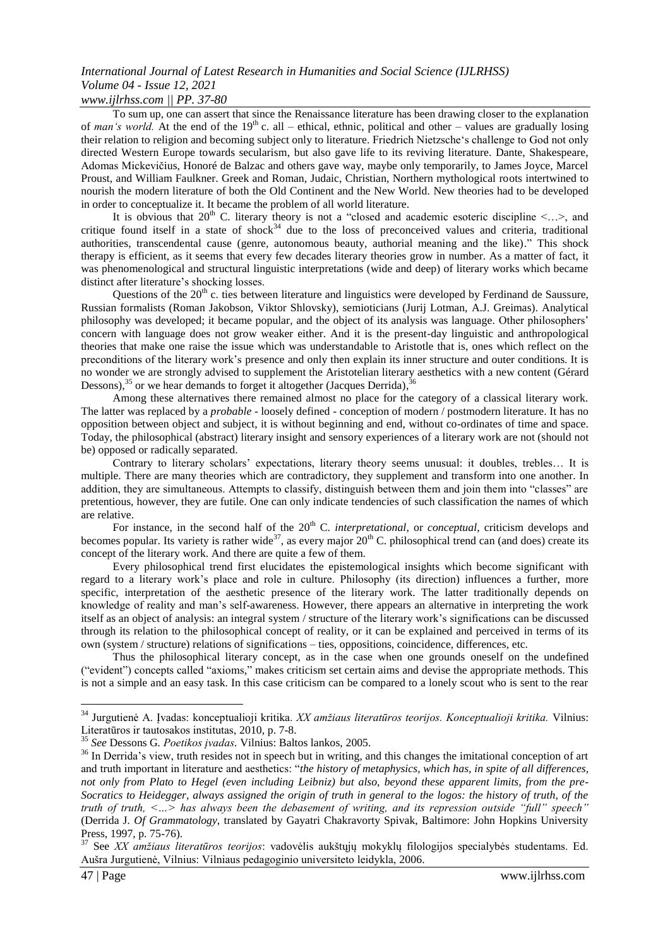*www.ijlrhss.com || PP. 37-80*

To sum up, one can assert that since the Renaissance literature has been drawing closer to the explanation of *man's world*. At the end of the  $19<sup>th</sup>$  c. all – ethical, ethnic, political and other – values are gradually losing their relation to religion and becoming subject only to literature. Friedrich Nietzsche"s challenge to God not only directed Western Europe towards secularism, but also gave life to its reviving literature. Dante, Shakespeare, Adomas Mickevičius, Honoré de Balzac and others gave way, maybe only temporarily, to James Joyce, Marcel Proust, and William Faulkner. Greek and Roman, Judaic, Christian, Northern mythological roots intertwined to nourish the modern literature of both the Old Continent and the New World. New theories had to be developed in order to conceptualize it. It became the problem of all world literature.

It is obvious that 20<sup>th</sup> C. literary theory is not a "closed and academic esoteric discipline  $\langle \dots \rangle$ , and critique found itself in a state of shock<sup>34</sup> due to the loss of preconceived values and criteria, traditional authorities, transcendental cause (genre, autonomous beauty, authorial meaning and the like)." This shock therapy is efficient, as it seems that every few decades literary theories grow in number. As a matter of fact, it was phenomenological and structural linguistic interpretations (wide and deep) of literary works which became distinct after literature's shocking losses.

Questions of the  $20<sup>th</sup>$  c. ties between literature and linguistics were developed by Ferdinand de Saussure, Russian formalists (Roman Jakobson, Viktor Shlovsky), semioticians (Jurij Lotman, A.J. Greimas). Analytical philosophy was developed; it became popular, and the object of its analysis was language. Other philosophers" concern with language does not grow weaker either. And it is the present-day linguistic and anthropological theories that make one raise the issue which was understandable to Aristotle that is, ones which reflect on the preconditions of the literary work"s presence and only then explain its inner structure and outer conditions. It is no wonder we are strongly advised to supplement the Aristotelian literary aesthetics with a new content (Gérard Dessons),  $35$  or we hear demands to forget it altogether (Jacques Derrida),  $36$ 

Among these alternatives there remained almost no place for the category of a classical literary work. The latter was replaced by a *probable* - loosely defined - conception of modern / postmodern literature. It has no opposition between object and subject, it is without beginning and end, without co-ordinates of time and space. Today, the philosophical (abstract) literary insight and sensory experiences of a literary work are not (should not be) opposed or radically separated.

Contrary to literary scholars" expectations, literary theory seems unusual: it doubles, trebles… It is multiple. There are many theories which are contradictory, they supplement and transform into one another. In addition, they are simultaneous. Attempts to classify, distinguish between them and join them into "classes" are pretentious, however, they are futile. One can only indicate tendencies of such classification the names of which are relative.

For instance, in the second half of the 20<sup>th</sup> C. *interpretational*, or *conceptual*, criticism develops and becomes popular. Its variety is rather wide<sup>37</sup>, as every major  $20<sup>th</sup>$  C. philosophical trend can (and does) create its concept of the literary work. And there are quite a few of them.

Every philosophical trend first elucidates the epistemological insights which become significant with regard to a literary work"s place and role in culture. Philosophy (its direction) influences a further, more specific, interpretation of the aesthetic presence of the literary work. The latter traditionally depends on knowledge of reality and man"s self-awareness. However, there appears an alternative in interpreting the work itself as an object of analysis: an integral system / structure of the literary work"s significations can be discussed through its relation to the philosophical concept of reality, or it can be explained and perceived in terms of its own (system / structure) relations of significations – ties, oppositions, coincidence, differences, etc.

Thus the philosophical literary concept, as in the case when one grounds oneself on the undefined ("evident") concepts called "axioms," makes criticism set certain aims and devise the appropriate methods. This is not a simple and an easy task. In this case criticism can be compared to a lonely scout who is sent to the rear

<sup>&</sup>lt;sup>34</sup> Jurgutienė A. Įvadas: konceptualioji kritika. *XX amžiaus literatūros teorijos. Konceptualioji kritika*. Vilnius: Literatūros ir tautosakos institutas, 2010, p. 7-8.

<sup>35</sup> *See* Dessons G*. Poetikos įvadas.* Vilnius: Baltos lankos, 2005.

<sup>&</sup>lt;sup>36</sup> In Derrida's view, truth resides not in speech but in writing, and this changes the imitational conception of art and truth important in literature and aesthetics: "*the history of metaphysics, which has, in spite of all differences, not only from Plato to Hegel (even including Leibniz) but also, beyond these apparent limits, from the pre-Socratics to Heidegger, always assigned the origin of truth in general to the logos: the history of truth, of the truth of truth, <…> has always been the debasement of writing, and its repression outside "full" speech"*  (Derrida J*. Of Grammatology*, translated by Gayatri Chakravorty Spivak, Baltimore: John Hopkins University Press, 1997, p. 75-76).

<sup>&</sup>lt;sup>37</sup> See *XX amžiaus literatūros teorijos*: vadovėlis aukštųjų mokyklų filologijos specialybės studentams. Ed. Aušra Jurgutienė, Vilnius: Vilniaus pedagoginio universiteto leidykla, 2006.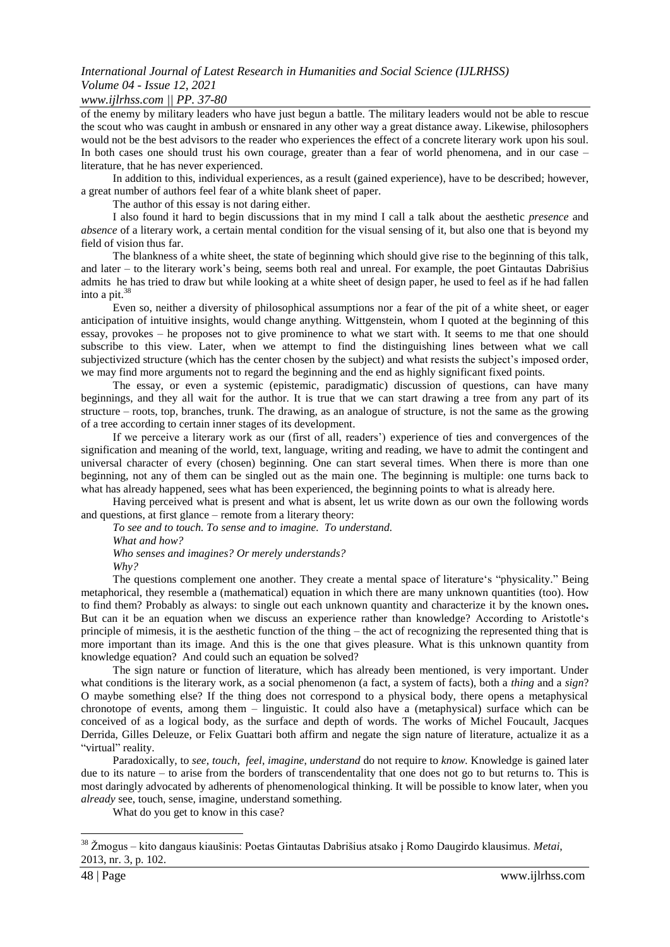### *www.ijlrhss.com || PP. 37-80*

of the enemy by military leaders who have just begun a battle. The military leaders would not be able to rescue the scout who was caught in ambush or ensnared in any other way a great distance away. Likewise, philosophers would not be the best advisors to the reader who experiences the effect of a concrete literary work upon his soul. In both cases one should trust his own courage, greater than a fear of world phenomena, and in our case – literature, that he has never experienced.

In addition to this, individual experiences, as a result (gained experience), have to be described; however, a great number of authors feel fear of a white blank sheet of paper.

The author of this essay is not daring either.

I also found it hard to begin discussions that in my mind I call a talk about the aesthetic *presence* and *absence* of a literary work, a certain mental condition for the visual sensing of it, but also one that is beyond my field of vision thus far.

The blankness of a white sheet, the state of beginning which should give rise to the beginning of this talk, and later – to the literary work"s being, seems both real and unreal. For example, the poet Gintautas Dabrišius admits he has tried to draw but while looking at a white sheet of design paper, he used to feel as if he had fallen into a pit. 38

Even so, neither a diversity of philosophical assumptions nor a fear of the pit of a white sheet, or eager anticipation of intuitive insights, would change anything. Wittgenstein, whom I quoted at the beginning of this essay, provokes – he proposes not to give prominence to what we start with. It seems to me that one should subscribe to this view. Later, when we attempt to find the distinguishing lines between what we call subjectivized structure (which has the center chosen by the subject) and what resists the subject's imposed order, we may find more arguments not to regard the beginning and the end as highly significant fixed points.

The essay, or even a systemic (epistemic, paradigmatic) discussion of questions, can have many beginnings, and they all wait for the author. It is true that we can start drawing a tree from any part of its structure – roots, top, branches, trunk. The drawing, as an analogue of structure, is not the same as the growing of a tree according to certain inner stages of its development.

If we perceive a literary work as our (first of all, readers') experience of ties and convergences of the signification and meaning of the world, text, language, writing and reading, we have to admit the contingent and universal character of every (chosen) beginning. One can start several times. When there is more than one beginning, not any of them can be singled out as the main one. The beginning is multiple: one turns back to what has already happened, sees what has been experienced, the beginning points to what is already here.

Having perceived what is present and what is absent, let us write down as our own the following words and questions, at first glance – remote from a literary theory:

*To see and to touch. To sense and to imagine. To understand.*

*What and how?*

*Who senses and imagines? Or merely understands?*

*Why?*

The questions complement one another. They create a mental space of literature's "physicality." Being metaphorical, they resemble a (mathematical) equation in which there are many unknown quantities (too). How to find them? Probably as always: to single out each unknown quantity and characterize it by the known ones**.**  But can it be an equation when we discuss an experience rather than knowledge? According to Aristotle's principle of mimesis, it is the aesthetic function of the thing – the act of recognizing the represented thing that is more important than its image. And this is the one that gives pleasure. What is this unknown quantity from knowledge equation? And could such an equation be solved?

The sign nature or function of literature, which has already been mentioned, is very important. Under what conditions is the literary work, as a social phenomenon (a fact, a system of facts), both a *thing* and a *sign*? O maybe something else? If the thing does not correspond to a physical body, there opens a metaphysical chronotope of events, among them – linguistic. It could also have a (metaphysical) surface which can be conceived of as a logical body, as the surface and depth of words. The works of Michel Foucault, Jacques Derrida, Gilles Deleuze, or Felix Guattari both affirm and negate the sign nature of literature, actualize it as a "virtual" reality.

Paradoxically, to *see*, *touch*, *feel*, *imagine*, *understand* do not require to *know.* Knowledge is gained later due to its nature – to arise from the borders of transcendentality that one does not go to but returns to. This is most daringly advocated by adherents of phenomenological thinking. It will be possible to know later, when you *already* see, touch, sense, imagine, understand something.

What do you get to know in this case?

<sup>&</sup>lt;sup>38</sup> Žmogus – kito dangaus kiaušinis: Poetas Gintautas Dabrišius atsako į Romo Daugirdo klausimus. Metai, 2013, nr. 3, p. 102.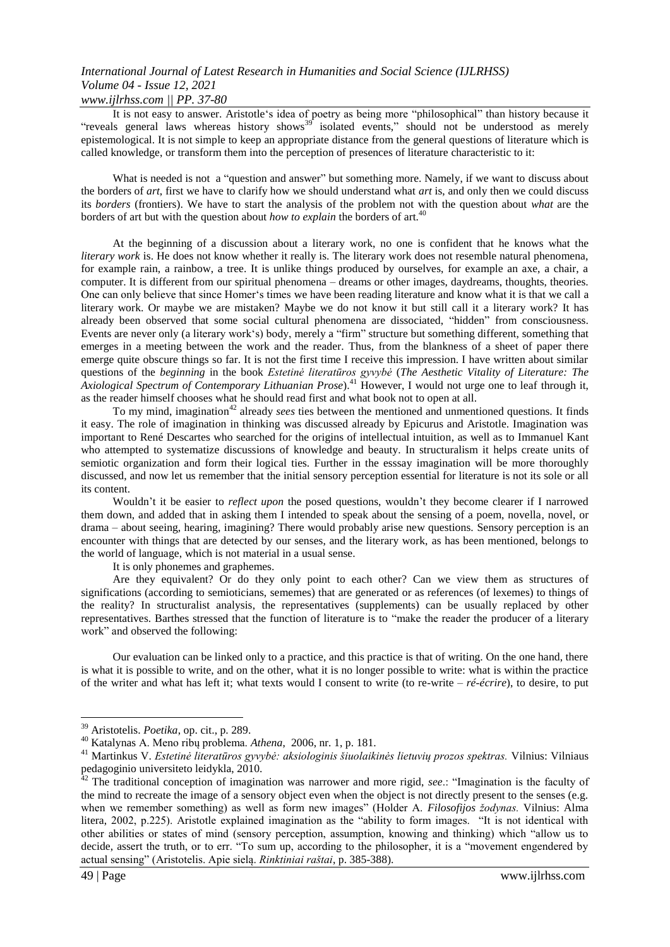*www.ijlrhss.com || PP. 37-80*

It is not easy to answer. Aristotle's idea of poetry as being more "philosophical" than history because it "reveals general laws whereas history shows<sup>39</sup> isolated events," should not be understood as merely epistemological. It is not simple to keep an appropriate distance from the general questions of literature which is called knowledge, or transform them into the perception of presences of literature characteristic to it:

What is needed is not a "question and answer" but something more. Namely, if we want to discuss about the borders of *art*, first we have to clarify how we should understand what *art* is, and only then we could discuss its *borders* (frontiers). We have to start the analysis of the problem not with the question about *what* are the borders of art but with the question about *how to explain* the borders of art.<sup>40</sup>

At the beginning of a discussion about a literary work, no one is confident that he knows what the *literary work* is. He does not know whether it really is. The literary work does not resemble natural phenomena, for example rain, a rainbow, a tree. It is unlike things produced by ourselves, for example an axe, a chair, a computer. It is different from our spiritual phenomena – dreams or other images, daydreams, thoughts, theories. One can only believe that since Homer"s times we have been reading literature and know what it is that we call a literary work. Or maybe we are mistaken? Maybe we do not know it but still call it a literary work? It has already been observed that some social cultural phenomena are dissociated, "hidden" from consciousness. Events are never only (a literary work"s) body, merely a "firm" structure but something different, something that emerges in a meeting between the work and the reader. Thus, from the blankness of a sheet of paper there emerge quite obscure things so far. It is not the first time I receive this impression. I have written about similar questions of the *beginning* in the book *Estetinė literatūros gyvybė* (*The Aesthetic Vitality of Literature: The Axiological Spectrum of Contemporary Lithuanian Prose*). <sup>41</sup> However, I would not urge one to leaf through it, as the reader himself chooses what he should read first and what book not to open at all.

To my mind, imagination<sup>42</sup> already *sees* ties between the mentioned and unmentioned questions. It finds it easy. The role of imagination in thinking was discussed already by Epicurus and Aristotle. Imagination was important to René Descartes who searched for the origins of intellectual intuition, as well as to Immanuel Kant who attempted to systematize discussions of knowledge and beauty. In structuralism it helps create units of semiotic organization and form their logical ties. Further in the esssay imagination will be more thoroughly discussed, and now let us remember that the initial sensory perception essential for literature is not its sole or all its content.

Wouldn't it be easier to *reflect upon* the posed questions, wouldn't they become clearer if I narrowed them down, and added that in asking them I intended to speak about the sensing of a poem, novella, novel, or drama – about seeing, hearing, imagining? There would probably arise new questions. Sensory perception is an encounter with things that are detected by our senses, and the literary work, as has been mentioned, belongs to the world of language, which is not material in a usual sense.

It is only phonemes and graphemes.

Are they equivalent? Or do they only point to each other? Can we view them as structures of significations (according to semioticians, sememes) that are generated or as references (of lexemes) to things of the reality? In structuralist analysis, the representatives (supplements) can be usually replaced by other representatives. Barthes stressed that the function of literature is to "make the reader the producer of a literary work" and observed the following:

Our evaluation can be linked only to a practice, and this practice is that of writing. On the one hand, there is what it is possible to write, and on the other, what it is no longer possible to write: what is within the practice of the writer and what has left it; what texts would I consent to write (to re-write – *ré-écrire*), to desire, to put

<sup>39</sup> Aristotelis. *Poetika*, op. cit., p. 289.

<sup>40</sup> Katalynas A. Meno ribų problema. *Athena*, 2006, nr. 1, p. 181.

<sup>41</sup> Martinkus V. *Estetinė literatūros gyvybė: aksiologinis šiuolaikinės lietuvių prozos spektras.* Vilnius: Vilniaus pedagoginio universiteto leidykla, 2010.

<sup>&</sup>lt;sup>42</sup> The traditional conception of imagination was narrower and more rigid, see.: "Imagination is the faculty of the mind to recreate the image of a sensory object even when the object is not directly present to the senses (e.g. when we remember something) as well as form new images" (Holder A. *Filosofijos ţodynas.* Vilnius: Alma litera, 2002, p.225). Aristotle explained imagination as the "ability to form images. "It is not identical with other abilities or states of mind (sensory perception, assumption, knowing and thinking) which "allow us to decide, assert the truth, or to err. "To sum up, according to the philosopher, it is a "movement engendered by actual sensing" (Aristotelis. Apie sielą. *Rinktiniai raštai*, p. 385-388).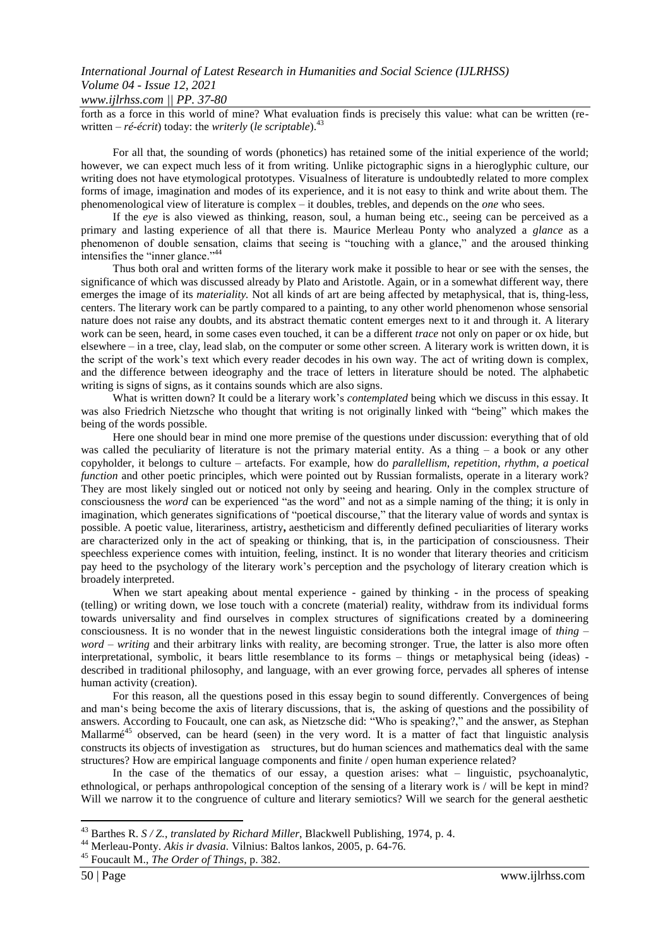#### *www.ijlrhss.com || PP. 37-80*

forth as a force in this world of mine? What evaluation finds is precisely this value: what can be written (rewritten –  $r\acute{e}$ - $\acute{e}$ *crit*) today: the *writerly* (*le scriptable*).<sup>43</sup>

For all that, the sounding of words (phonetics) has retained some of the initial experience of the world; however, we can expect much less of it from writing. Unlike pictographic signs in a hieroglyphic culture, our writing does not have etymological prototypes. Visualness of literature is undoubtedly related to more complex forms of image, imagination and modes of its experience, and it is not easy to think and write about them. The phenomenological view of literature is complex – it doubles, trebles, and depends on the *one* who sees.

If the *eye* is also viewed as thinking, reason, soul, a human being etc., seeing can be perceived as a primary and lasting experience of all that there is. Maurice Merleau Ponty who analyzed a *glance* as a phenomenon of double sensation, claims that seeing is "touching with a glance," and the aroused thinking intensifies the "inner glance."<sup>44</sup>

Thus both oral and written forms of the literary work make it possible to hear or see with the senses, the significance of which was discussed already by Plato and Aristotle. Again, or in a somewhat different way, there emerges the image of its *materiality.* Not all kinds of art are being affected by metaphysical, that is, thing-less, centers. The literary work can be partly compared to a painting, to any other world phenomenon whose sensorial nature does not raise any doubts, and its abstract thematic content emerges next to it and through it. A literary work can be seen, heard, in some cases even touched, it can be a different *trace* not only on paper or ox hide, but elsewhere – in a tree, clay, lead slab, on the computer or some other screen. A literary work is written down, it is the script of the work"s text which every reader decodes in his own way. The act of writing down is complex, and the difference between ideography and the trace of letters in literature should be noted. The alphabetic writing is signs of signs, as it contains sounds which are also signs.

What is written down? It could be a literary work"s *contemplated* being which we discuss in this essay. It was also Friedrich Nietzsche who thought that writing is not originally linked with "being" which makes the being of the words possible.

Here one should bear in mind one more premise of the questions under discussion: everything that of old was called the peculiarity of literature is not the primary material entity. As a thing – a book or any other copyholder, it belongs to culture – artefacts. For example, how do *parallellism*, *repetition*, *rhythm*, *a poetical function* and other poetic principles, which were pointed out by Russian formalists, operate in a literary work? They are most likely singled out or noticed not only by seeing and hearing. Only in the complex structure of consciousness the *word* can be experienced "as the word" and not as a simple naming of the thing; it is only in imagination, which generates significations of "poetical discourse," that the literary value of words and syntax is possible. A poetic value, literariness, artistry**,** aestheticism and differently defined peculiarities of literary works are characterized only in the act of speaking or thinking, that is, in the participation of consciousness. Their speechless experience comes with intuition, feeling, instinct. It is no wonder that literary theories and criticism pay heed to the psychology of the literary work"s perception and the psychology of literary creation which is broadely interpreted.

When we start apeaking about mental experience - gained by thinking - in the process of speaking (telling) or writing down, we lose touch with a concrete (material) reality, withdraw from its individual forms towards universality and find ourselves in complex structures of significations created by a domineering consciousness. It is no wonder that in the newest linguistic considerations both the integral image of *thing – word – writing* and their arbitrary links with reality, are becoming stronger. True, the latter is also more often interpretational, symbolic, it bears little resemblance to its forms – things or metaphysical being (ideas) described in traditional philosophy, and language, with an ever growing force, pervades all spheres of intense human activity (creation).

For this reason, all the questions posed in this essay begin to sound differently. Convergences of being and man"s being become the axis of literary discussions, that is, the asking of questions and the possibility of answers. According to Foucault, one can ask, as Nietzsche did: "Who is speaking?," and the answer, as Stephan Mallarme<sup>45</sup> observed, can be heard (seen) in the very word. It is a matter of fact that linguistic analysis constructs its objects of investigation as structures, but do human sciences and mathematics deal with the same structures? How are empirical language components and finite / open human experience related?

In the case of the thematics of our essay, a question arises: what – linguistic, psychoanalytic, ethnological, or perhaps anthropological conception of the sensing of a literary work is / will be kept in mind? Will we narrow it to the congruence of culture and literary semiotics? Will we search for the general aesthetic

<sup>43</sup> Barthes R. *S / Z.*, *translated by Richard Miller*, Blackwell Publishing, 1974, p. 4.

<sup>44</sup> Merleau-Ponty. *Akis ir dvasia.* Vilnius: Baltos lankos, 2005, p. 64-76.

<sup>45</sup> Foucault M., *The Order of Things*, p. 382.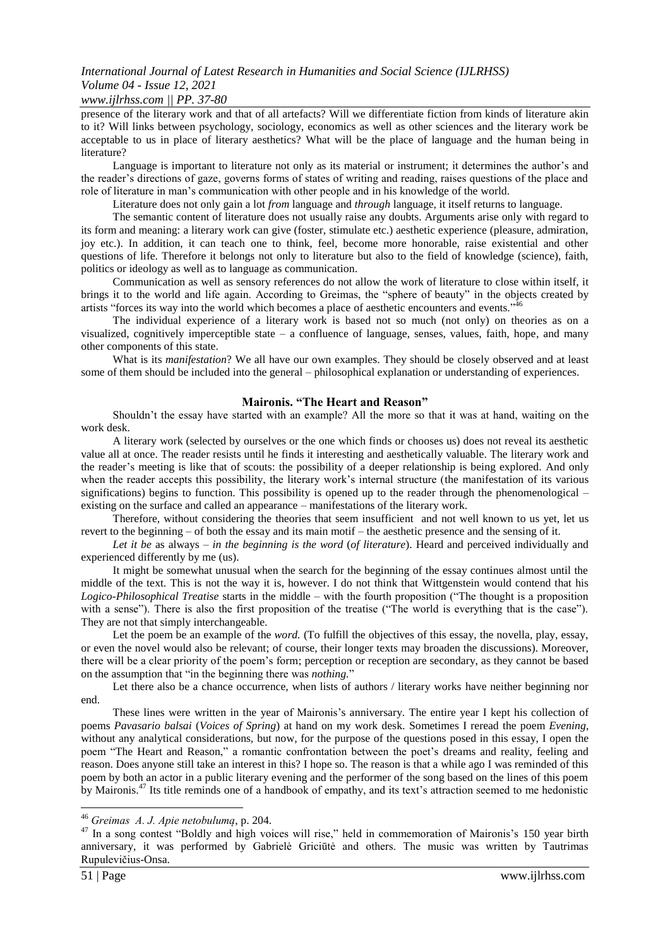#### *www.ijlrhss.com || PP. 37-80*

presence of the literary work and that of all artefacts? Will we differentiate fiction from kinds of literature akin to it? Will links between psychology, sociology, economics as well as other sciences and the literary work be acceptable to us in place of literary aesthetics? What will be the place of language and the human being in literature?

Language is important to literature not only as its material or instrument; it determines the author's and the reader"s directions of gaze, governs forms of states of writing and reading, raises questions of the place and role of literature in man"s communication with other people and in his knowledge of the world.

Literature does not only gain a lot *from* language and *through* language, it itself returns to language.

The semantic content of literature does not usually raise any doubts. Arguments arise only with regard to its form and meaning: a literary work can give (foster, stimulate etc.) aesthetic experience (pleasure, admiration, joy etc.). In addition, it can teach one to think, feel, become more honorable, raise existential and other questions of life. Therefore it belongs not only to literature but also to the field of knowledge (science), faith, politics or ideology as well as to language as communication.

Communication as well as sensory references do not allow the work of literature to close within itself, it brings it to the world and life again. According to Greimas, the "sphere of beauty" in the objects created by artists "forces its way into the world which becomes a place of aesthetic encounters and events."<sup>46</sup>

The individual experience of a literary work is based not so much (not only) on theories as on a visualized, cognitively imperceptible state  $-$  a confluence of language, senses, values, faith, hope, and many other components of this state.

What is its *manifestation*? We all have our own examples. They should be closely observed and at least some of them should be included into the general – philosophical explanation or understanding of experiences.

#### **Maironis. "The Heart and Reason"**

Shouldn"t the essay have started with an example? All the more so that it was at hand, waiting on the work desk.

A literary work (selected by ourselves or the one which finds or chooses us) does not reveal its aesthetic value all at once. The reader resists until he finds it interesting and aesthetically valuable. The literary work and the reader"s meeting is like that of scouts: the possibility of a deeper relationship is being explored. And only when the reader accepts this possibility, the literary work's internal structure (the manifestation of its various significations) begins to function. This possibility is opened up to the reader through the phenomenological existing on the surface and called an appearance – manifestations of the literary work.

Therefore, without considering the theories that seem insufficient and not well known to us yet, let us revert to the beginning – of both the essay and its main motif – the aesthetic presence and the sensing of it.

*Let it be* as always – *in the beginning is the word* (*of literature*). Heard and perceived individually and experienced differently by me (us).

It might be somewhat unusual when the search for the beginning of the essay continues almost until the middle of the text. This is not the way it is, however. I do not think that Wittgenstein would contend that his *Logico-Philosophical Treatise* starts in the middle – with the fourth proposition ("The thought is a proposition with a sense"). There is also the first proposition of the treatise ("The world is everything that is the case"). They are not that simply interchangeable.

Let the poem be an example of the *word*. (To fulfill the objectives of this essay, the novella, play, essay, or even the novel would also be relevant; of course, their longer texts may broaden the discussions). Moreover, there will be a clear priority of the poem"s form; perception or reception are secondary, as they cannot be based on the assumption that "in the beginning there was *nothing.*"

Let there also be a chance occurrence, when lists of authors / literary works have neither beginning nor end.

These lines were written in the year of Maironis"s anniversary. The entire year I kept his collection of poems *Pavasario balsai* (*Voices of Spring*) at hand on my work desk. Sometimes I reread the poem *Evening*, without any analytical considerations, but now, for the purpose of the questions posed in this essay, I open the poem "The Heart and Reason," a romantic confrontation between the poet's dreams and reality, feeling and reason. Does anyone still take an interest in this? I hope so. The reason is that a while ago I was reminded of this poem by both an actor in a public literary evening and the performer of the song based on the lines of this poem by Maironis.<sup>47</sup> Its title reminds one of a handbook of empathy, and its text's attraction seemed to me hedonistic

<sup>46</sup> *Greimas A. J. Apie netobulumą*, p. 204.

<sup>&</sup>lt;sup>47</sup> In a song contest "Boldly and high voices will rise," held in commemoration of Maironis's 150 year birth anniversary, it was performed by Gabrielė Griciūtė and others. The music was written by Tautrimas Rupulevičius-Onsa.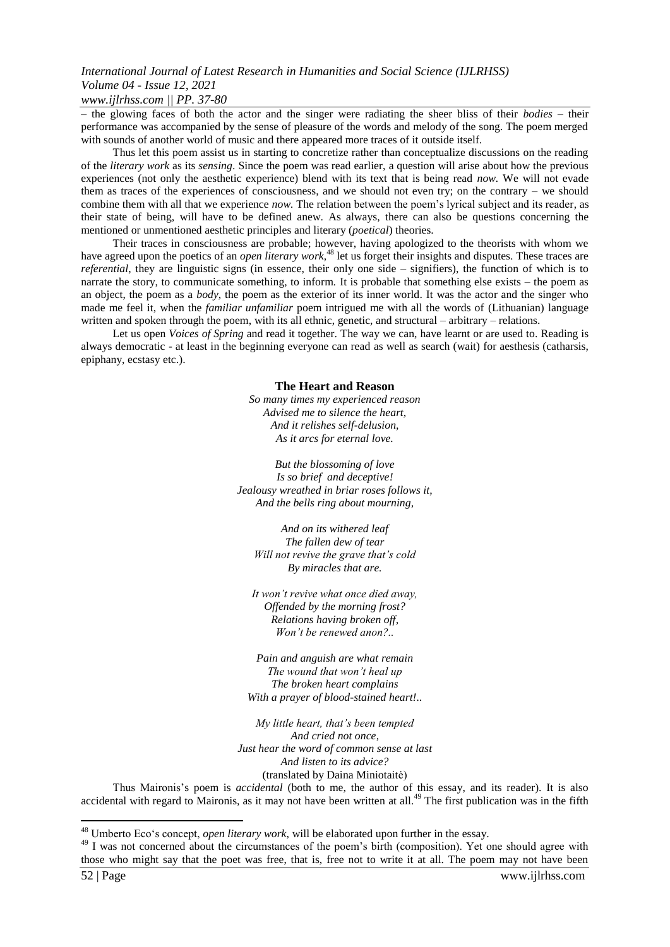### *www.ijlrhss.com || PP. 37-80*

– the glowing faces of both the actor and the singer were radiating the sheer bliss of their *bodies* – their performance was accompanied by the sense of pleasure of the words and melody of the song. The poem merged with sounds of another world of music and there appeared more traces of it outside itself.

Thus let this poem assist us in starting to concretize rather than conceptualize discussions on the reading of the *literary work* as its *sensing*. Since the poem was read earlier, a question will arise about how the previous experiences (not only the aesthetic experience) blend with its text that is being read *now.* We will not evade them as traces of the experiences of consciousness, and we should not even try; on the contrary – we should combine them with all that we experience *now.* The relation between the poem"s lyrical subject and its reader, as their state of being, will have to be defined anew. As always, there can also be questions concerning the mentioned or unmentioned aesthetic principles and literary (*poetical*) theories.

Their traces in consciousness are probable; however, having apologized to the theorists with whom we have agreed upon the poetics of an *open literary work*, <sup>48</sup> let us forget their insights and disputes. These traces are *referential*, they are linguistic signs (in essence, their only one side – signifiers), the function of which is to narrate the story, to communicate something, to inform. It is probable that something else exists – the poem as an object, the poem as a *body*, the poem as the exterior of its inner world. It was the actor and the singer who made me feel it, when the *familiar unfamiliar* poem intrigued me with all the words of (Lithuanian) language written and spoken through the poem, with its all ethnic, genetic, and structural – arbitrary – relations.

Let us open *Voices of Spring* and read it together. The way we can, have learnt or are used to. Reading is always democratic - at least in the beginning everyone can read as well as search (wait) for aesthesis (catharsis, epiphany, ecstasy etc.).

## **The Heart and Reason**

*So many times my experienced reason Advised me to silence the heart, And it relishes self-delusion, As it arcs for eternal love.*

*But the blossoming of love Is so brief and deceptive! Jealousy wreathed in briar roses follows it, And the bells ring about mourning,*

*And on its withered leaf The fallen dew of tear Will not revive the grave that"s cold By miracles that are.*

*It won"t revive what once died away, Offended by the morning frost? Relations having broken off, Won"t be renewed anon?..*

*Pain and anguish are what remain The wound that won"t heal up The broken heart complains With a prayer of blood-stained heart!..*

*My little heart, that"s been tempted And cried not once*, *Just hear the word of common sense at last And listen to its advice?* (translated by Daina Miniotaitė)

Thus Maironis"s poem is *accidental* (both to me, the author of this essay, and its reader). It is also accidental with regard to Maironis, as it may not have been written at all.<sup>49</sup> The first publication was in the fifth

<sup>48</sup> Umberto Eco"s concept, *open literary work*, will be elaborated upon further in the essay.

<sup>&</sup>lt;sup>49</sup> I was not concerned about the circumstances of the poem's birth (composition). Yet one should agree with those who might say that the poet was free, that is, free not to write it at all. The poem may not have been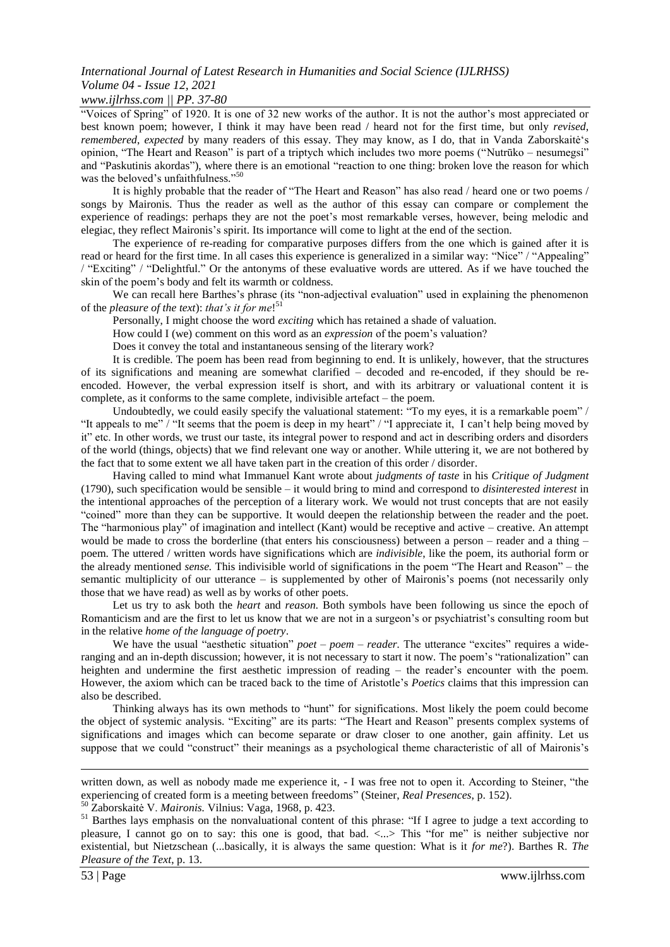### *www.ijlrhss.com || PP. 37-80*

"Voices of Spring" of 1920. It is one of 32 new works of the author. It is not the author"s most appreciated or best known poem; however, I think it may have been read / heard not for the first time, but only *revised*, *remembered, expected by many readers of this essay. They may know, as I do, that in Vanda Zaborskaitė's* opinion, "The Heart and Reason" is part of a triptych which includes two more poems ("Nutrūko – nesumegsi" and "Paskutinis akordas"), where there is an emotional "reaction to one thing: broken love the reason for which was the beloved's unfaithfulness."<sup>50</sup>

It is highly probable that the reader of "The Heart and Reason" has also read / heard one or two poems / songs by Maironis. Thus the reader as well as the author of this essay can compare or complement the experience of readings: perhaps they are not the poet's most remarkable verses, however, being melodic and elegiac, they reflect Maironis"s spirit. Its importance will come to light at the end of the section.

The experience of re-reading for comparative purposes differs from the one which is gained after it is read or heard for the first time. In all cases this experience is generalized in a similar way: "Nice" / "Appealing" / "Exciting" / "Delightful." Or the antonyms of these evaluative words are uttered. As if we have touched the skin of the poem"s body and felt its warmth or coldness.

We can recall here Barthes's phrase (its "non-adjectival evaluation" used in explaining the phenomenon of the *pleasure of the text*): *that"s it for me*! 51

Personally, I might choose the word *exciting* which has retained a shade of valuation.

How could I (we) comment on this word as an *expression* of the poem"s valuation?

Does it convey the total and instantaneous sensing of the literary work?

It is credible. The poem has been read from beginning to end. It is unlikely, however, that the structures of its significations and meaning are somewhat clarified – decoded and re-encoded, if they should be reencoded. However, the verbal expression itself is short, and with its arbitrary or valuational content it is complete, as it conforms to the same complete, indivisible artefact – the poem.

Undoubtedly, we could easily specify the valuational statement: "To my eyes, it is a remarkable poem" / "It appeals to me" / "It seems that the poem is deep in my heart" / "I appreciate it, I can't help being moved by it" etc. In other words, we trust our taste, its integral power to respond and act in describing orders and disorders of the world (things, objects) that we find relevant one way or another. While uttering it, we are not bothered by the fact that to some extent we all have taken part in the creation of this order / disorder.

Having called to mind what Immanuel Kant wrote about *judgments of taste* in his *Critique of Judgment*  (1790), such specification would be sensible – it would bring to mind and correspond to *disinterested interest* in the intentional approaches of the perception of a literary work. We would not trust concepts that are not easily "coined" more than they can be supportive. It would deepen the relationship between the reader and the poet. The "harmonious play" of imagination and intellect (Kant) would be receptive and active – creative. An attempt would be made to cross the borderline (that enters his consciousness) between a person – reader and a thing – poem. The uttered / written words have significations which are *indivisible*, like the poem, its authorial form or the already mentioned *sense.* This indivisible world of significations in the poem "The Heart and Reason" – the semantic multiplicity of our utterance – is supplemented by other of Maironis's poems (not necessarily only those that we have read) as well as by works of other poets.

Let us try to ask both the *heart* and *reason.* Both symbols have been following us since the epoch of Romanticism and are the first to let us know that we are not in a surgeon"s or psychiatrist"s consulting room but in the relative *home of the language of poetry*.

We have the usual "aesthetic situation" *poet – poem – reader*. The utterance "excites" requires a wideranging and an in-depth discussion; however, it is not necessary to start it now. The poem"s "rationalization" can heighten and undermine the first aesthetic impression of reading – the reader's encounter with the poem. However, the axiom which can be traced back to the time of Aristotle"s *Poetics* claims that this impression can also be described.

Thinking always has its own methods to "hunt" for significations. Most likely the poem could become the object of systemic analysis. "Exciting" are its parts: "The Heart and Reason" presents complex systems of significations and images which can become separate or draw closer to one another, gain affinity. Let us suppose that we could "construct" their meanings as a psychological theme characteristic of all of Maironis's

written down, as well as nobody made me experience it,  $-1$  was free not to open it. According to Steiner, "the experiencing of created form is a meeting between freedoms" (Steiner, *Real Presences*, p. 152).

<sup>50</sup> Zaborskaitė V. *Maironis.* Vilnius: Vaga, 1968, p. 423.

<sup>&</sup>lt;sup>51</sup> Barthes lays emphasis on the nonvaluational content of this phrase: "If I agree to judge a text according to pleasure, I cannot go on to say: this one is good, that bad. <...> This "for me" is neither subjective nor existential, but Nietzschean (...basically, it is always the same question: What is it *for me*?). Barthes R. *The Pleasure of the Text*, p. 13.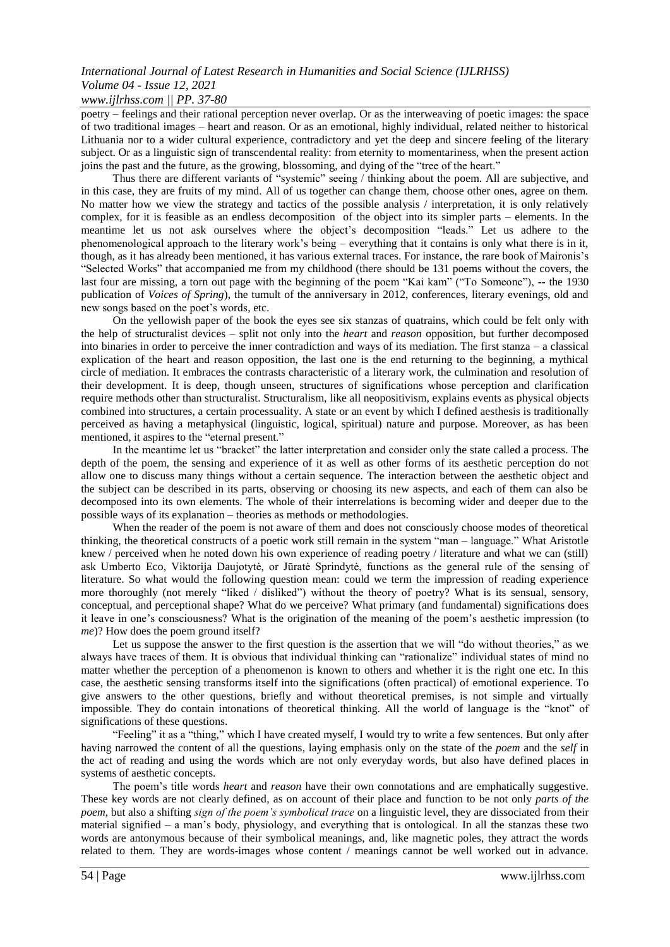## *www.ijlrhss.com || PP. 37-80*

poetry – feelings and their rational perception never overlap. Or as the interweaving of poetic images: the space of two traditional images – heart and reason. Or as an emotional, highly individual, related neither to historical Lithuania nor to a wider cultural experience, contradictory and yet the deep and sincere feeling of the literary subject. Or as a linguistic sign of transcendental reality: from eternity to momentariness, when the present action joins the past and the future, as the growing, blossoming, and dying of the "tree of the heart."

Thus there are different variants of "systemic" seeing / thinking about the poem. All are subjective, and in this case, they are fruits of my mind. All of us together can change them, choose other ones, agree on them. No matter how we view the strategy and tactics of the possible analysis / interpretation, it is only relatively complex, for it is feasible as an endless decomposition of the object into its simpler parts – elements. In the meantime let us not ask ourselves where the object"s decomposition "leads." Let us adhere to the phenomenological approach to the literary work"s being – everything that it contains is only what there is in it, though, as it has already been mentioned, it has various external traces. For instance, the rare book of Maironis"s "Selected Works" that accompanied me from my childhood (there should be 131 poems without the covers, the last four are missing, a torn out page with the beginning of the poem "Kai kam" ("To Someone"), **--** the 1930 publication of *Voices of Spring*), the tumult of the anniversary in 2012, conferences, literary evenings, old and new songs based on the poet"s words, etc.

On the yellowish paper of the book the eyes see six stanzas of quatrains, which could be felt only with the help of structuralist devices – split not only into the *heart* and *reason* opposition, but further decomposed into binaries in order to perceive the inner contradiction and ways of its mediation. The first stanza – a classical explication of the heart and reason opposition, the last one is the end returning to the beginning, a mythical circle of mediation. It embraces the contrasts characteristic of a literary work, the culmination and resolution of their development. It is deep, though unseen, structures of significations whose perception and clarification require methods other than structuralist. Structuralism, like all neopositivism, explains events as physical objects combined into structures, a certain processuality. A state or an event by which I defined aesthesis is traditionally perceived as having a metaphysical (linguistic, logical, spiritual) nature and purpose. Moreover, as has been mentioned, it aspires to the "eternal present."

In the meantime let us "bracket" the latter interpretation and consider only the state called a process. The depth of the poem, the sensing and experience of it as well as other forms of its aesthetic perception do not allow one to discuss many things without a certain sequence. The interaction between the aesthetic object and the subject can be described in its parts, observing or choosing its new aspects, and each of them can also be decomposed into its own elements. The whole of their interrelations is becoming wider and deeper due to the possible ways of its explanation – theories as methods or methodologies.

When the reader of the poem is not aware of them and does not consciously choose modes of theoretical thinking, the theoretical constructs of a poetic work still remain in the system "man – language." What Aristotle knew / perceived when he noted down his own experience of reading poetry / literature and what we can (still) ask Umberto Eco, Viktorija Daujotytė, or Jūratė Sprindytė, functions as the general rule of the sensing of literature. So what would the following question mean: could we term the impression of reading experience more thoroughly (not merely "liked / disliked") without the theory of poetry? What is its sensual, sensory, conceptual, and perceptional shape? What do we perceive? What primary (and fundamental) significations does it leave in one"s consciousness? What is the origination of the meaning of the poem"s aesthetic impression (to *me*)? How does the poem ground itself?

Let us suppose the answer to the first question is the assertion that we will "do without theories," as we always have traces of them. It is obvious that individual thinking can "rationalize" individual states of mind no matter whether the perception of a phenomenon is known to others and whether it is the right one etc. In this case, the aesthetic sensing transforms itself into the significations (often practical) of emotional experience. To give answers to the other questions, briefly and without theoretical premises, is not simple and virtually impossible. They do contain intonations of theoretical thinking. All the world of language is the "knot" of significations of these questions.

"Feeling" it as a "thing," which I have created myself, I would try to write a few sentences. But only after having narrowed the content of all the questions, laying emphasis only on the state of the *poem* and the *self* in the act of reading and using the words which are not only everyday words, but also have defined places in systems of aesthetic concepts.

The poem"s title words *heart* and *reason* have their own connotations and are emphatically suggestive. These key words are not clearly defined, as on account of their place and function to be not only *parts of the poem*, but also a shifting *sign of the poem"s symbolical trace* on a linguistic level, they are dissociated from their material signified – a man"s body, physiology, and everything that is ontological. In all the stanzas these two words are antonymous because of their symbolical meanings, and, like magnetic poles, they attract the words related to them. They are words-images whose content / meanings cannot be well worked out in advance.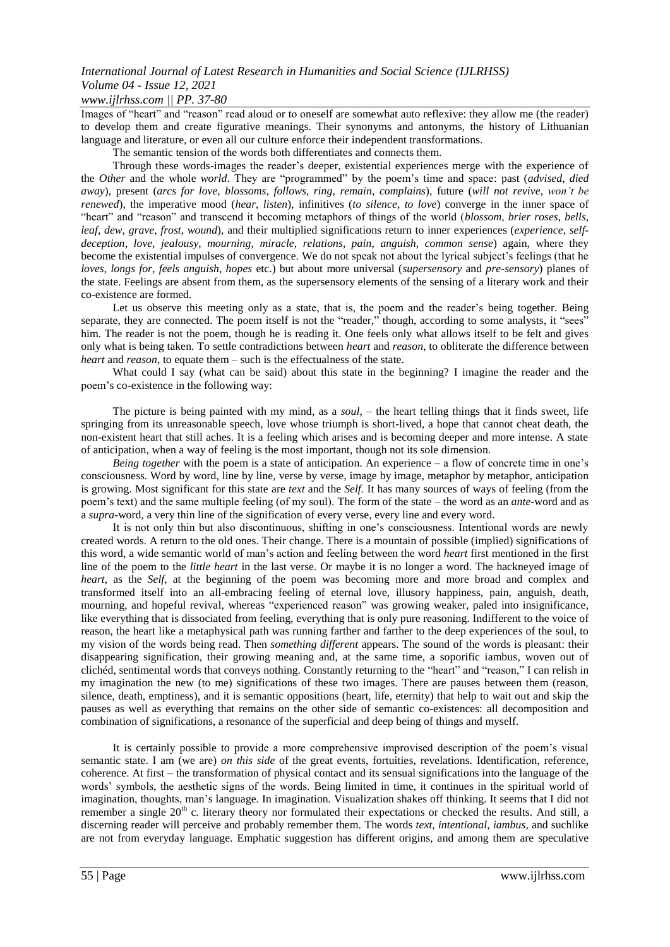*www.ijlrhss.com || PP. 37-80*

Images of "heart" and "reason" read aloud or to oneself are somewhat auto reflexive: they allow me (the reader) to develop them and create figurative meanings. Their synonyms and antonyms, the history of Lithuanian language and literature, or even all our culture enforce their independent transformations.

The semantic tension of the words both differentiates and connects them.

Through these words-images the reader"s deeper, existential experiences merge with the experience of the *Other* and the whole *world*. They are "programmed" by the poem"s time and space: past (*advised*, *died away*), present (*arcs for love*, *blossoms*, *follows*, *ring*, *remain*, *complains*), future (*will not revive*, *won"t be renewed*), the imperative mood (*hear*, *listen*), infinitives (*to silence*, *to love*) converge in the inner space of "heart" and "reason" and transcend it becoming metaphors of things of the world (*blossom*, *brier roses*, *bells*, *leaf*, *dew*, *grave*, *frost*, *wound*), and their multiplied significations return to inner experiences (*experience*, *selfdeception*, *love*, *jealousy*, *mourning*, *miracle, relations*, *pain*, *anguish*, *common sense*) again, where they become the existential impulses of convergence. We do not speak not about the lyrical subject"s feelings (that he *loves*, *longs for*, *feels anguish*, *hopes* etc.) but about more universal (*supersensory* and *pre-sensory*) planes of the state. Feelings are absent from them, as the supersensory elements of the sensing of a literary work and their co-existence are formed.

Let us observe this meeting only as a state, that is, the poem and the reader"s being together. Being separate, they are connected. The poem itself is not the "reader," though, according to some analysts, it "sees" him. The reader is not the poem, though he is reading it. One feels only what allows itself to be felt and gives only what is being taken. To settle contradictions between *heart* and *reason*, to obliterate the difference between *heart* and *reason*, to equate them – such is the effectualness of the state.

What could I say (what can be said) about this state in the beginning? I imagine the reader and the poem"s co-existence in the following way:

The picture is being painted with my mind, as a *soul*, – the heart telling things that it finds sweet, life springing from its unreasonable speech, love whose triumph is short-lived, a hope that cannot cheat death, the non-existent heart that still aches. It is a feeling which arises and is becoming deeper and more intense. A state of anticipation, when a way of feeling is the most important, though not its sole dimension.

*Being together* with the poem is a state of anticipation. An experience – a flow of concrete time in one's consciousness. Word by word, line by line, verse by verse, image by image, metaphor by metaphor, anticipation is growing. Most significant for this state are *text* and the *Self.* It has many sources of ways of feeling (from the poem"s text) and the same multiple feeling (of my soul). The form of the state – the word as an *ante*-word and as a *supra*-word, a very thin line of the signification of every verse, every line and every word.

It is not only thin but also discontinuous, shifting in one"s consciousness. Intentional words are newly created words. A return to the old ones. Their change. There is a mountain of possible (implied) significations of this word, a wide semantic world of man"s action and feeling between the word *heart* first mentioned in the first line of the poem to the *little heart* in the last verse. Or maybe it is no longer a word. The hackneyed image of *heart*, as the *Self*, at the beginning of the poem was becoming more and more broad and complex and transformed itself into an all-embracing feeling of eternal love, illusory happiness, pain, anguish, death, mourning, and hopeful revival, whereas "experienced reason" was growing weaker, paled into insignificance, like everything that is dissociated from feeling, everything that is only pure reasoning. Indifferent to the voice of reason, the heart like a metaphysical path was running farther and farther to the deep experiences of the soul, to my vision of the words being read. Then *something different* appears. The sound of the words is pleasant: their disappearing signification, their growing meaning and, at the same time, a soporific iambus, woven out of clichéd, sentimental words that conveys nothing. Constantly returning to the "heart" and "reason," I can relish in my imagination the new (to me) significations of these two images. There are pauses between them (reason, silence, death, emptiness), and it is semantic oppositions (heart, life, eternity) that help to wait out and skip the pauses as well as everything that remains on the other side of semantic co-existences: all decomposition and combination of significations, a resonance of the superficial and deep being of things and myself.

It is certainly possible to provide a more comprehensive improvised description of the poem"s visual semantic state. I am (we are) *on this side* of the great events, fortuities, revelations. Identification, reference, coherence. At first – the transformation of physical contact and its sensual significations into the language of the words" symbols, the aesthetic signs of the words. Being limited in time, it continues in the spiritual world of imagination, thoughts, man"s language. In imagination. Visualization shakes off thinking. It seems that I did not remember a single 20<sup>th</sup> c. literary theory nor formulated their expectations or checked the results. And still, a discerning reader will perceive and probably remember them. The words *text*, *intentional*, *iambus*, and suchlike are not from everyday language. Emphatic suggestion has different origins, and among them are speculative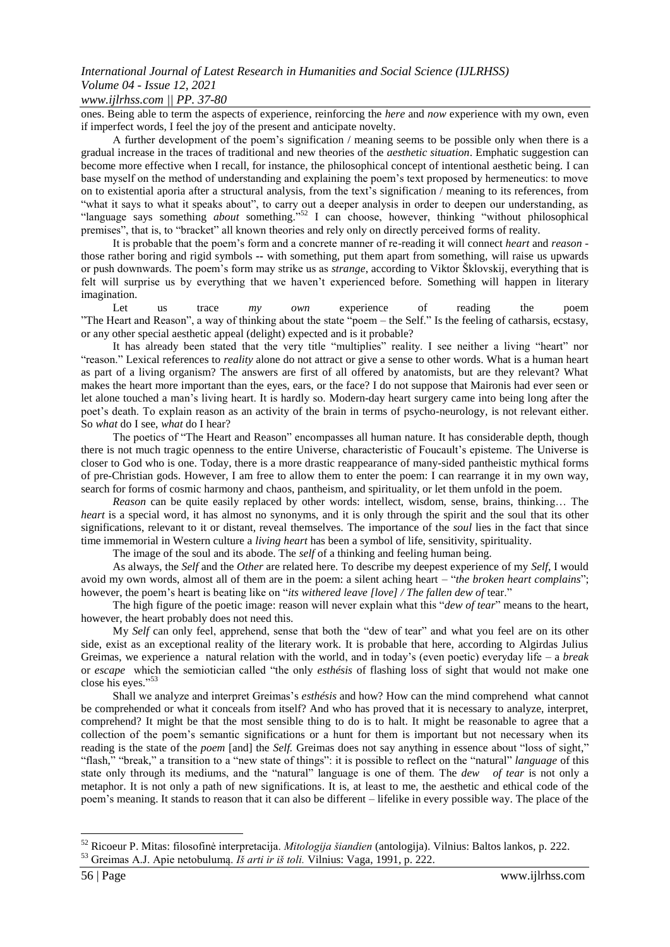## *www.ijlrhss.com || PP. 37-80*

ones. Being able to term the aspects of experience, reinforcing the *here* and *now* experience with my own, even if imperfect words, I feel the joy of the present and anticipate novelty.

A further development of the poem"s signification / meaning seems to be possible only when there is a gradual increase in the traces of traditional and new theories of the *aesthetic situation*. Emphatic suggestion can become more effective when I recall, for instance, the philosophical concept of intentional aesthetic being. I can base myself on the method of understanding and explaining the poem"s text proposed by hermeneutics: to move on to existential aporia after a structural analysis, from the text"s signification / meaning to its references, from "what it says to what it speaks about", to carry out a deeper analysis in order to deepen our understanding, as "language says something *about* something." <sup>52</sup> I can choose, however, thinking "without philosophical premises", that is, to "bracket" all known theories and rely only on directly perceived forms of reality.

It is probable that the poem"s form and a concrete manner of re-reading it will connect *heart* and *reason*  those rather boring and rigid symbols **--** with something, put them apart from something, will raise us upwards or push downwards. The poem"s form may strike us as *strange*, according to Viktor Šklovskij, everything that is felt will surprise us by everything that we haven't experienced before. Something will happen in literary imagination.

Let us trace *my own* experience of reading the poem "The Heart and Reason", a way of thinking about the state "poem – the Self." Is the feeling of catharsis, ecstasy, or any other special aesthetic appeal (delight) expected and is it probable?

It has already been stated that the very title "multiplies" reality. I see neither a living "heart" nor "reason." Lexical references to *reality* alone do not attract or give a sense to other words. What is a human heart as part of a living organism? The answers are first of all offered by anatomists, but are they relevant? What makes the heart more important than the eyes, ears, or the face? I do not suppose that Maironis had ever seen or let alone touched a man"s living heart. It is hardly so. Modern-day heart surgery came into being long after the poet"s death. To explain reason as an activity of the brain in terms of psycho-neurology, is not relevant either. So *what* do I see, *what* do I hear?

The poetics of "The Heart and Reason" encompasses all human nature. It has considerable depth, though there is not much tragic openness to the entire Universe, characteristic of Foucault's episteme. The Universe is closer to God who is one. Today, there is a more drastic reappearance of many-sided pantheistic mythical forms of pre-Christian gods. However, I am free to allow them to enter the poem: I can rearrange it in my own way, search for forms of cosmic harmony and chaos, pantheism, and spirituality, or let them unfold in the poem.

*Reason* can be quite easily replaced by other words: intellect, wisdom, sense, brains, thinking… The *heart* is a special word, it has almost no synonyms, and it is only through the spirit and the soul that its other significations, relevant to it or distant, reveal themselves. The importance of the *soul* lies in the fact that since time immemorial in Western culture a *living heart* has been a symbol of life, sensitivity, spirituality.

The image of the soul and its abode. The *self* of a thinking and feeling human being.

As always, the *Self* and the *Other* are related here. To describe my deepest experience of my *Self*, I would avoid my own words, almost all of them are in the poem: a silent aching heart – "*the broken heart complains*"; however, the poem's heart is beating like on "*its withered leave [love] / The fallen dew of tear.*"

The high figure of the poetic image: reason will never explain what this "*dew of tear*" means to the heart, however, the heart probably does not need this.

My *Self* can only feel, apprehend, sense that both the "dew of tear" and what you feel are on its other side, exist as an exceptional reality of the literary work. It is probable that here, according to Algirdas Julius Greimas, we experience a natural relation with the world, and in today"s (even poetic) everyday life – a *break* or *escape* which the semiotician called "the only *esthésis* of flashing loss of sight that would not make one close his eyes." 53

Shall we analyze and interpret Greimas"s *esthésis* and how? How can the mind comprehend what cannot be comprehended or what it conceals from itself? And who has proved that it is necessary to analyze, interpret, comprehend? It might be that the most sensible thing to do is to halt. It might be reasonable to agree that a collection of the poem"s semantic significations or a hunt for them is important but not necessary when its reading is the state of the *poem* [and] the *Self.* Greimas does not say anything in essence about "loss of sight," "flash," "break," a transition to a "new state of things": it is possible to reflect on the "natural" *language* of this state only through its mediums, and the "natural" language is one of them. The *dew of tear* is not only a metaphor. It is not only a path of new significations. It is, at least to me, the aesthetic and ethical code of the poem"s meaning. It stands to reason that it can also be different – lifelike in every possible way. The place of the

<sup>52</sup> Ricoeur P. Mitas: filosofinė interpretacija. *Mitologija šiandien* (antologija). Vilnius: Baltos lankos, p. 222.

<sup>53</sup> Greimas A.J. Apie netobulumą. *Iš arti ir iš toli.* Vilnius: Vaga, 1991, p. 222.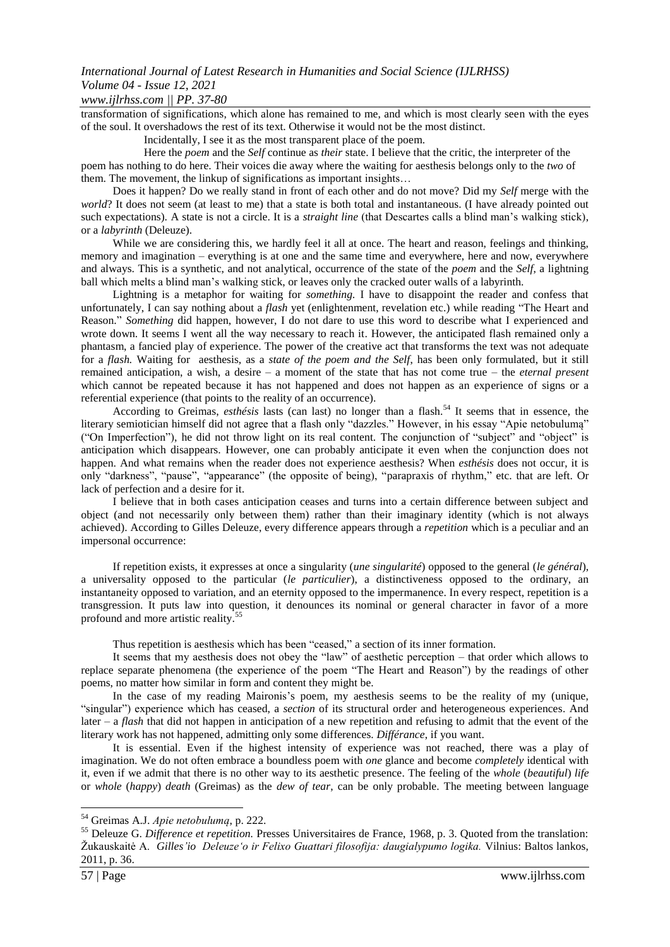## *www.ijlrhss.com || PP. 37-80*

transformation of significations, which alone has remained to me, and which is most clearly seen with the eyes of the soul. It overshadows the rest of its text. Otherwise it would not be the most distinct.

Incidentally, I see it as the most transparent place of the poem.

 Here the *poem* and the *Self* continue as *their* state. I believe that the critic, the interpreter of the poem has nothing to do here. Their voices die away where the waiting for aesthesis belongs only to the *two* of them. The movement, the linkup of significations as important insights…

Does it happen? Do we really stand in front of each other and do not move? Did my *Self* merge with the *world*? It does not seem (at least to me) that a state is both total and instantaneous. (I have already pointed out such expectations). A state is not a circle. It is a *straight line* (that Descartes calls a blind man"s walking stick), or a *labyrinth* (Deleuze).

While we are considering this, we hardly feel it all at once. The heart and reason, feelings and thinking, memory and imagination – everything is at one and the same time and everywhere, here and now, everywhere and always. This is a synthetic, and not analytical, occurrence of the state of the *poem* and the *Self*, a lightning ball which melts a blind man"s walking stick, or leaves only the cracked outer walls of a labyrinth.

Lightning is a metaphor for waiting for *something.* I have to disappoint the reader and confess that unfortunately, I can say nothing about a *flash* yet (enlightenment, revelation etc.) while reading "The Heart and Reason." *Something* did happen, however, I do not dare to use this word to describe what I experienced and wrote down. It seems I went all the way necessary to reach it. However, the anticipated flash remained only a phantasm, a fancied play of experience. The power of the creative act that transforms the text was not adequate for a *flash.* Waiting for aesthesis, as a *state of the poem and the Self*, has been only formulated, but it still remained anticipation, a wish, a desire – a moment of the state that has not come true – the *eternal present* which cannot be repeated because it has not happened and does not happen as an experience of signs or a referential experience (that points to the reality of an occurrence).

According to Greimas, *esthésis* lasts (can last) no longer than a flash. <sup>54</sup> It seems that in essence, the literary semiotician himself did not agree that a flash only "dazzles." However, in his essay "Apie netobulumą" ("On Imperfection"), he did not throw light on its real content. The conjunction of "subject" and "object" is anticipation which disappears. However, one can probably anticipate it even when the conjunction does not happen. And what remains when the reader does not experience aesthesis? When *esthésis* does not occur, it is only "darkness", "pause", "appearance" (the opposite of being), "parapraxis of rhythm," etc. that are left. Or lack of perfection and a desire for it.

I believe that in both cases anticipation ceases and turns into a certain difference between subject and object (and not necessarily only between them) rather than their imaginary identity (which is not always achieved). According to Gilles Deleuze, every difference appears through a *repetition* which is a peculiar and an impersonal occurrence:

If repetition exists, it expresses at once a singularity (*une singularité*) opposed to the general (*le général*), a universality opposed to the particular (*le particulier*), a distinctiveness opposed to the ordinary, an instantaneity opposed to variation, and an eternity opposed to the impermanence. In every respect, repetition is a transgression. It puts law into question, it denounces its nominal or general character in favor of a more profound and more artistic reality.<sup>55</sup>

Thus repetition is aesthesis which has been "ceased," a section of its inner formation.

It seems that my aesthesis does not obey the "law" of aesthetic perception – that order which allows to replace separate phenomena (the experience of the poem "The Heart and Reason") by the readings of other poems, no matter how similar in form and content they might be.

In the case of my reading Maironis"s poem, my aesthesis seems to be the reality of my (unique, "singular") experience which has ceased, a *section* of its structural order and heterogeneous experiences. And later – a *flash* that did not happen in anticipation of a new repetition and refusing to admit that the event of the literary work has not happened, admitting only some differences. *Différance*, if you want.

It is essential. Even if the highest intensity of experience was not reached, there was a play of imagination. We do not often embrace a boundless poem with *one* glance and become *completely* identical with it, even if we admit that there is no other way to its aesthetic presence. The feeling of the *whole* (*beautiful*) *life*  or *whole* (*happy*) *death* (Greimas) as the *dew of tear*, can be only probable. The meeting between language

<sup>54</sup> Greimas A.J. *Apie netobulumą*, p. 222.

<sup>&</sup>lt;sup>55</sup> Deleuze G. *Difference et repetition*. Presses Universitaires de France, 1968, p. 3. Quoted from the translation: Ţukauskaitė A. *Gilles"io Deleuze"o ir Felixo Guattari filosofija: daugialypumo logika.* Vilnius: Baltos lankos, 2011, p. 36.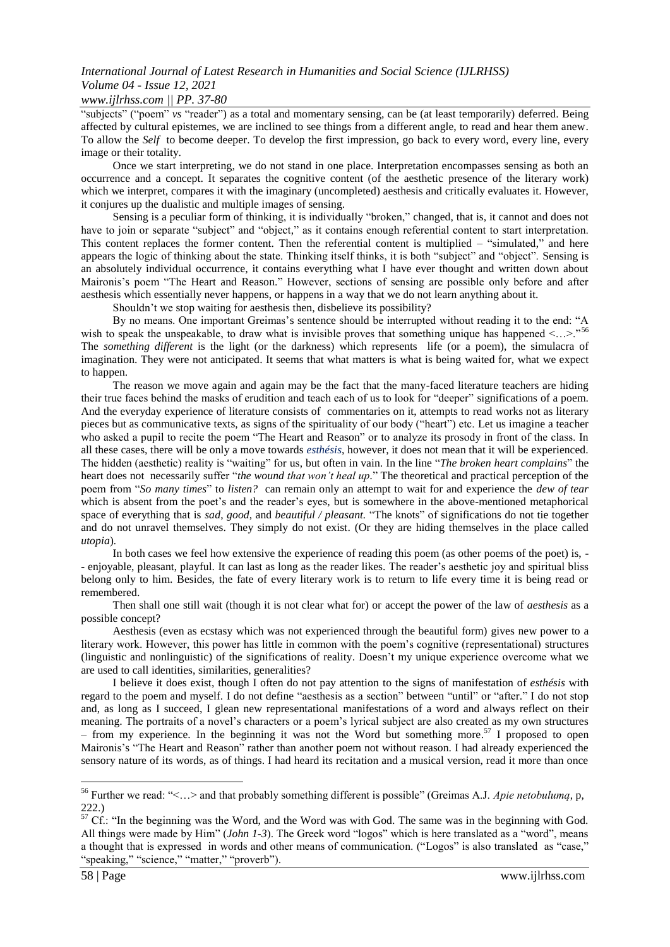#### *www.ijlrhss.com || PP. 37-80*

"subjects" ("poem" *vs* "reader") as a total and momentary sensing, can be (at least temporarily) deferred. Being affected by cultural epistemes, we are inclined to see things from a different angle, to read and hear them anew. To allow the *Self* to become deeper. To develop the first impression, go back to every word, every line, every image or their totality.

Once we start interpreting, we do not stand in one place. Interpretation encompasses sensing as both an occurrence and a concept. It separates the cognitive content (of the aesthetic presence of the literary work) which we interpret, compares it with the imaginary (uncompleted) aesthesis and critically evaluates it. However, it conjures up the dualistic and multiple images of sensing.

Sensing is a peculiar form of thinking, it is individually "broken," changed, that is, it cannot and does not have to join or separate "subject" and "object," as it contains enough referential content to start interpretation. This content replaces the former content. Then the referential content is multiplied – "simulated," and here appears the logic of thinking about the state. Thinking itself thinks, it is both "subject" and "object". Sensing is an absolutely individual occurrence, it contains everything what I have ever thought and written down about Maironis"s poem "The Heart and Reason." However, sections of sensing are possible only before and after aesthesis which essentially never happens, or happens in a way that we do not learn anything about it.

Shouldn"t we stop waiting for aesthesis then, disbelieve its possibility?

By no means. One important Greimas's sentence should be interrupted without reading it to the end: "A wish to speak the unspeakable, to draw what is invisible proves that something unique has happened <...>."<sup>56</sup> The *something different* is the light (or the darkness) which represents life (or a poem), the simulacra of imagination. They were not anticipated. It seems that what matters is what is being waited for, what we expect to happen.

The reason we move again and again may be the fact that the many-faced literature teachers are hiding their true faces behind the masks of erudition and teach each of us to look for "deeper" significations of a poem. And the everyday experience of literature consists of commentaries on it, attempts to read works not as literary pieces but as communicative texts, as signs of the spirituality of our body ("heart") etc. Let us imagine a teacher who asked a pupil to recite the poem "The Heart and Reason" or to analyze its prosody in front of the class. In all these cases, there will be only a move towards *esthésis*, however, it does not mean that it will be experienced. The hidden (aesthetic) reality is "waiting" for us, but often in vain. In the line "*The broken heart complains*" the heart does not necessarily suffer "*the wound that won"t heal up.*" The theoretical and practical perception of the poem from "*So many times*" to *listen?* can remain only an attempt to wait for and experience the *dew of tear*  which is absent from the poet's and the reader's eyes, but is somewhere in the above-mentioned metaphorical space of everything that is *sad*, *good*, and *beautiful / pleasant.* "The knots" of significations do not tie together and do not unravel themselves. They simply do not exist. (Or they are hiding themselves in the place called *utopia*)*.*

In both cases we feel how extensive the experience of reading this poem (as other poems of the poet) is, **- -** enjoyable, pleasant, playful. It can last as long as the reader likes. The reader"s aesthetic joy and spiritual bliss belong only to him. Besides, the fate of every literary work is to return to life every time it is being read or remembered.

Then shall one still wait (though it is not clear what for) or accept the power of the law of *aesthesis* as a possible concept?

Aesthesis (even as ecstasy which was not experienced through the beautiful form) gives new power to a literary work. However, this power has little in common with the poem"s cognitive (representational) structures (linguistic and nonlinguistic) of the significations of reality. Doesn"t my unique experience overcome what we are used to call identities, similarities, generalities?

I believe it does exist, though I often do not pay attention to the signs of manifestation of *esthésis* with regard to the poem and myself. I do not define "aesthesis as a section" between "until" or "after." I do not stop and, as long as I succeed, I glean new representational manifestations of a word and always reflect on their meaning. The portraits of a novel"s characters or a poem"s lyrical subject are also created as my own structures  $-$  from my experience. In the beginning it was not the Word but something more.<sup>57</sup> I proposed to open Maironis"s "The Heart and Reason" rather than another poem not without reason. I had already experienced the sensory nature of its words, as of things. I had heard its recitation and a musical version, read it more than once

<sup>56</sup> Further we read: "<…> and that probably something different is possible" (Greimas A.J. *Apie netobulumą*, p, 222.)

 $57$  Cf.: "In the beginning was the Word, and the Word was with God. The same was in the beginning with God. All things were made by Him" (*John 1-3*). The Greek word "logos" which is here translated as a "word", means a thought that is expressed in words and other means of communication. ("Logos" is also translated as "case," "speaking," "science," "matter," "proverb").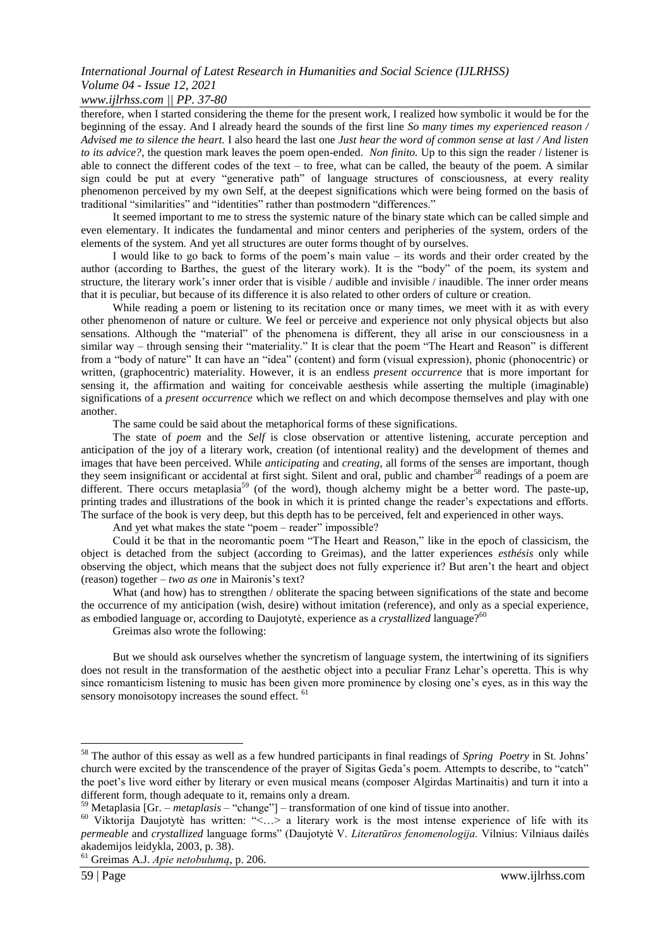#### *www.ijlrhss.com || PP. 37-80*

therefore, when I started considering the theme for the present work, I realized how symbolic it would be for the beginning of the essay. And I already heard the sounds of the first line *So many times my experienced reason / Advised me to silence the heart.* I also heard the last one *Just hear the word of common sense at last / And listen to its advice?*, the question mark leaves the poem open-ended. *Non finito.* Up to this sign the reader / listener is able to connect the different codes of the text – to free, what can be called, the beauty of the poem. A similar sign could be put at every "generative path" of language structures of consciousness, at every reality phenomenon perceived by my own Self, at the deepest significations which were being formed on the basis of traditional "similarities" and "identities" rather than postmodern "differences."

It seemed important to me to stress the systemic nature of the binary state which can be called simple and even elementary. It indicates the fundamental and minor centers and peripheries of the system, orders of the elements of the system. And yet all structures are outer forms thought of by ourselves.

I would like to go back to forms of the poem"s main value – its words and their order created by the author (according to Barthes, the guest of the literary work). It is the "body" of the poem, its system and structure, the literary work"s inner order that is visible / audible and invisible / inaudible. The inner order means that it is peculiar, but because of its difference it is also related to other orders of culture or creation.

While reading a poem or listening to its recitation once or many times, we meet with it as with every other phenomenon of nature or culture. We feel or perceive and experience not only physical objects but also sensations. Although the "material" of the phenomena is different, they all arise in our consciousness in a similar way – through sensing their "materiality." It is clear that the poem "The Heart and Reason" is different from a "body of nature" It can have an "idea" (content) and form (visual expression), phonic (phonocentric) or written, (graphocentric) materiality. However, it is an endless *present occurrence* that is more important for sensing it, the affirmation and waiting for conceivable aesthesis while asserting the multiple (imaginable) significations of a *present occurrence* which we reflect on and which decompose themselves and play with one another.

The same could be said about the metaphorical forms of these significations.

The state of *poem* and the *Self* is close observation or attentive listening, accurate perception and anticipation of the joy of a literary work, creation (of intentional reality) and the development of themes and images that have been perceived. While *anticipating* and *creating*, all forms of the senses are important, though they seem insignificant or accidental at first sight. Silent and oral, public and chamber<sup>58</sup> readings of a poem are different. There occurs metaplasia<sup>59</sup> (of the word), though alchemy might be a better word. The paste-up, printing trades and illustrations of the book in which it is printed change the reader"s expectations and efforts. The surface of the book is very deep, but this depth has to be perceived, felt and experienced in other ways.

And yet what makes the state "poem – reader" impossible?

Could it be that in the neoromantic poem "The Heart and Reason," like in the epoch of classicism, the object is detached from the subject (according to Greimas), and the latter experiences *esthésis* only while observing the object, which means that the subject does not fully experience it? But aren"t the heart and object (reason) together – *two as one* in Maironis"s text?

What (and how) has to strengthen / obliterate the spacing between significations of the state and become the occurrence of my anticipation (wish, desire) without imitation (reference), and only as a special experience, as embodied language or, according to Daujotytė, experience as a *crystallized* language? 60

Greimas also wrote the following:

But we should ask ourselves whether the syncretism of language system, the intertwining of its signifiers does not result in the transformation of the aesthetic object into a peculiar Franz Lehar's operetta. This is why since romanticism listening to music has been given more prominence by closing one"s eyes, as in this way the sensory monoisotopy increases the sound effect.<sup>61</sup>

<sup>58</sup> The author of this essay as well as a few hundred participants in final readings of *Spring Poetry* in St. Johns" church were excited by the transcendence of the prayer of Sigitas Geda"s poem. Attempts to describe, to "catch" the poet"s live word either by literary or even musical means (composer Algirdas Martinaitis) and turn it into a different form, though adequate to it, remains only a dream.

<sup>59</sup> Metaplasia [Gr. – *metaplasis –* "change"] – transformation of one kind of tissue into another.

<sup>60</sup> Viktorija Daujotytė has written: "<…> a literary work is the most intense experience of life with its *permeable* and *crystallized* language forms" (Daujotytė V. *Literatūros fenomenologija.* Vilnius: Vilniaus dailės akademijos leidykla, 2003, p. 38).

<sup>61</sup> Greimas A.J. *Apie netobulumą*, p. 206.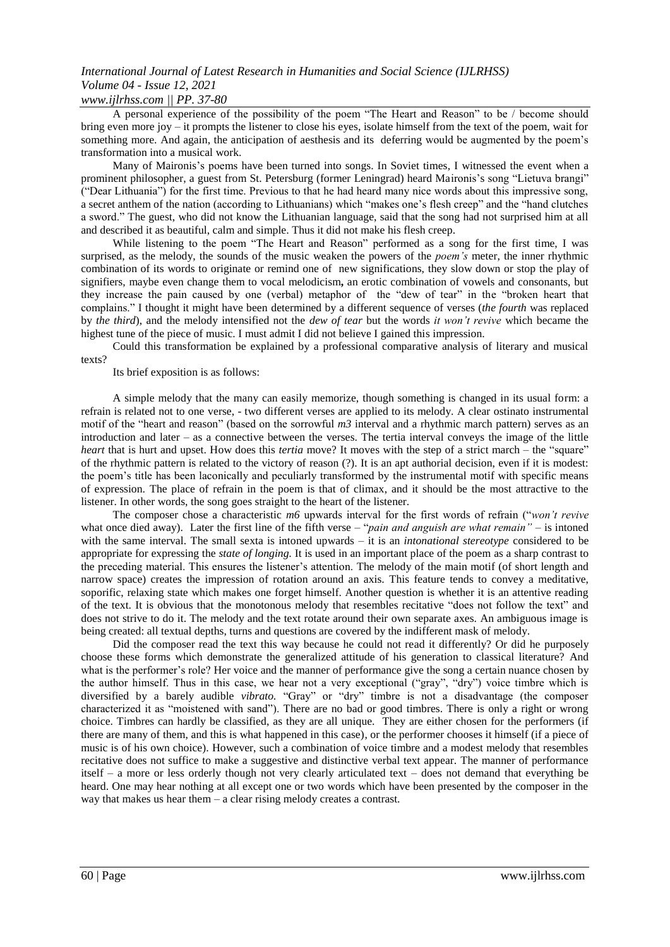## *www.ijlrhss.com || PP. 37-80*

A personal experience of the possibility of the poem "The Heart and Reason" to be / become should bring even more joy – it prompts the listener to close his eyes, isolate himself from the text of the poem, wait for something more. And again, the anticipation of aesthesis and its deferring would be augmented by the poem's transformation into a musical work.

Many of Maironis's poems have been turned into songs. In Soviet times, I witnessed the event when a prominent philosopher, a guest from St. Petersburg (former Leningrad) heard Maironis"s song "Lietuva brangi" ("Dear Lithuania") for the first time. Previous to that he had heard many nice words about this impressive song, a secret anthem of the nation (according to Lithuanians) which "makes one"s flesh creep" and the "hand clutches a sword." The guest, who did not know the Lithuanian language, said that the song had not surprised him at all and described it as beautiful, calm and simple. Thus it did not make his flesh creep.

While listening to the poem "The Heart and Reason" performed as a song for the first time, I was surprised, as the melody, the sounds of the music weaken the powers of the *poem"s* meter, the inner rhythmic combination of its words to originate or remind one of new significations, they slow down or stop the play of signifiers, maybe even change them to vocal melodicism**,** an erotic combination of vowels and consonants, but they increase the pain caused by one (verbal) metaphor of the "dew of tear" in the "broken heart that complains." I thought it might have been determined by a different sequence of verses (*the fourth* was replaced by *the third*), and the melody intensified not the *dew of tear* but the words *it won"t revive* which became the highest tune of the piece of music. I must admit I did not believe I gained this impression.

Could this transformation be explained by a professional comparative analysis of literary and musical texts?

Its brief exposition is as follows:

A simple melody that the many can easily memorize, though something is changed in its usual form: a refrain is related not to one verse, - two different verses are applied to its melody. A clear ostinato instrumental motif of the "heart and reason" (based on the sorrowful *m3* interval and a rhythmic march pattern) serves as an introduction and later – as a connective between the verses. The tertia interval conveys the image of the little *heart* that is hurt and upset. How does this *tertia* move? It moves with the step of a strict march – the "square" of the rhythmic pattern is related to the victory of reason (?). It is an apt authorial decision, even if it is modest: the poem"s title has been laconically and peculiarly transformed by the instrumental motif with specific means of expression. The place of refrain in the poem is that of climax, and it should be the most attractive to the listener. In other words, the song goes straight to the heart of the listener.

The composer chose a characteristic *m6* upwards interval for the first words of refrain ("*won"t revive*  what once died away). Later the first line of the fifth verse – "*pain and anguish are what remain*" – is intoned with the same interval. The small sexta is intoned upwards – it is an *intonational stereotype* considered to be appropriate for expressing the *state of longing.* It is used in an important place of the poem as a sharp contrast to the preceding material. This ensures the listener"s attention. The melody of the main motif (of short length and narrow space) creates the impression of rotation around an axis. This feature tends to convey a meditative, soporific, relaxing state which makes one forget himself. Another question is whether it is an attentive reading of the text. It is obvious that the monotonous melody that resembles recitative "does not follow the text" and does not strive to do it. The melody and the text rotate around their own separate axes. An ambiguous image is being created: all textual depths, turns and questions are covered by the indifferent mask of melody.

Did the composer read the text this way because he could not read it differently? Or did he purposely choose these forms which demonstrate the generalized attitude of his generation to classical literature? And what is the performer's role? Her voice and the manner of performance give the song a certain nuance chosen by the author himself. Thus in this case, we hear not a very exceptional ("gray", "dry") voice timbre which is diversified by a barely audible *vibrato.* "Gray" or "dry" timbre is not a disadvantage (the composer characterized it as "moistened with sand"). There are no bad or good timbres. There is only a right or wrong choice. Timbres can hardly be classified, as they are all unique. They are either chosen for the performers (if there are many of them, and this is what happened in this case), or the performer chooses it himself (if a piece of music is of his own choice). However, such a combination of voice timbre and a modest melody that resembles recitative does not suffice to make a suggestive and distinctive verbal text appear. The manner of performance itself – a more or less orderly though not very clearly articulated text – does not demand that everything be heard. One may hear nothing at all except one or two words which have been presented by the composer in the way that makes us hear them – a clear rising melody creates a contrast.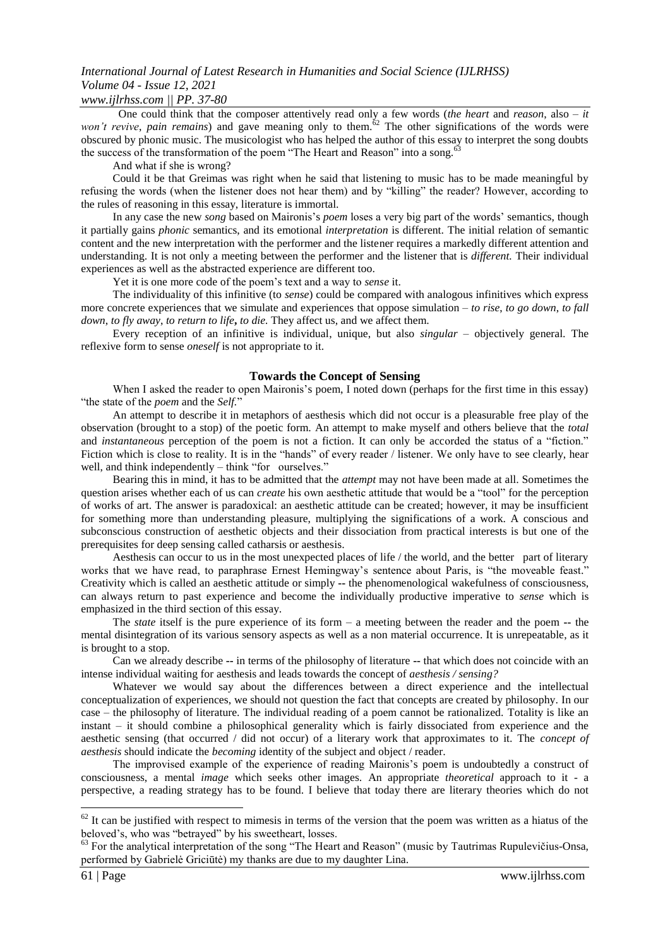#### *www.ijlrhss.com || PP. 37-80*

 One could think that the composer attentively read only a few words (*the heart* and *reason*, also – *it won"t revive*, *pain remains*) and gave meaning only to them. <sup>62</sup> The other significations of the words were obscured by phonic music. The musicologist who has helped the author of this essay to interpret the song doubts the success of the transformation of the poem "The Heart and Reason" into a song.<sup>63</sup>

And what if she is wrong?

Could it be that Greimas was right when he said that listening to music has to be made meaningful by refusing the words (when the listener does not hear them) and by "killing" the reader? However, according to the rules of reasoning in this essay, literature is immortal.

In any case the new *song* based on Maironis"s *poem* loses a very big part of the words" semantics, though it partially gains *phonic* semantics, and its emotional *interpretation* is different. The initial relation of semantic content and the new interpretation with the performer and the listener requires a markedly different attention and understanding. It is not only a meeting between the performer and the listener that is *different.* Their individual experiences as well as the abstracted experience are different too.

Yet it is one more code of the poem"s text and a way to *sense* it.

The individuality of this infinitive (to *sense*) could be compared with analogous infinitives which express more concrete experiences that we simulate and experiences that oppose simulation – *to rise*, *to go down*, *to fall down*, *to fly away*, *to return to life***,** *to die.* They affect us, and we affect them.

Every reception of an infinitive is individual, unique, but also *singular –* objectively general. The reflexive form to sense *oneself* is not appropriate to it.

#### **Towards the Concept of Sensing**

When I asked the reader to open Maironis's poem, I noted down (perhaps for the first time in this essay) "the state of the *poem* and the *Self.*"

An attempt to describe it in metaphors of aesthesis which did not occur is a pleasurable free play of the observation (brought to a stop) of the poetic form. An attempt to make myself and others believe that the *total*  and *instantaneous* perception of the poem is not a fiction. It can only be accorded the status of a "fiction." Fiction which is close to reality. It is in the "hands" of every reader / listener. We only have to see clearly, hear well, and think independently – think "for ourselves."

Bearing this in mind, it has to be admitted that the *attempt* may not have been made at all. Sometimes the question arises whether each of us can *create* his own aesthetic attitude that would be a "tool" for the perception of works of art. The answer is paradoxical: an aesthetic attitude can be created; however, it may be insufficient for something more than understanding pleasure, multiplying the significations of a work. A conscious and subconscious construction of aesthetic objects and their dissociation from practical interests is but one of the prerequisites for deep sensing called catharsis or aesthesis.

Aesthesis can occur to us in the most unexpected places of life / the world, and the better part of literary works that we have read, to paraphrase Ernest Hemingway"s sentence about Paris, is "the moveable feast." Creativity which is called an aesthetic attitude or simply **--** the phenomenological wakefulness of consciousness, can always return to past experience and become the individually productive imperative to *sense* which is emphasized in the third section of this essay.

The *state* itself is the pure experience of its form – a meeting between the reader and the poem **--** the mental disintegration of its various sensory aspects as well as a non material occurrence. It is unrepeatable, as it is brought to a stop.

Can we already describe **--** in terms of the philosophy of literature **--** that which does not coincide with an intense individual waiting for aesthesis and leads towards the concept of *aesthesis / sensing?*

Whatever we would say about the differences between a direct experience and the intellectual conceptualization of experiences, we should not question the fact that concepts are created by philosophy. In our case – the philosophy of literature. The individual reading of a poem cannot be rationalized. Totality is like an instant – it should combine a philosophical generality which is fairly dissociated from experience and the aesthetic sensing (that occurred / did not occur) of a literary work that approximates to it. The *concept of aesthesis* should indicate the *becoming* identity of the subject and object / reader.

The improvised example of the experience of reading Maironis"s poem is undoubtedly a construct of consciousness, a mental *image* which seeks other images. An appropriate *theoretical* approach to it - a perspective, a reading strategy has to be found. I believe that today there are literary theories which do not

 $62$  It can be justified with respect to mimesis in terms of the version that the poem was written as a hiatus of the beloved"s, who was "betrayed" by his sweetheart, losses.

<sup>&</sup>lt;sup>63</sup> For the analytical interpretation of the song "The Heart and Reason" (music by Tautrimas Rupulevičius-Onsa, performed by Gabrielė Griciūtė) my thanks are due to my daughter Lina.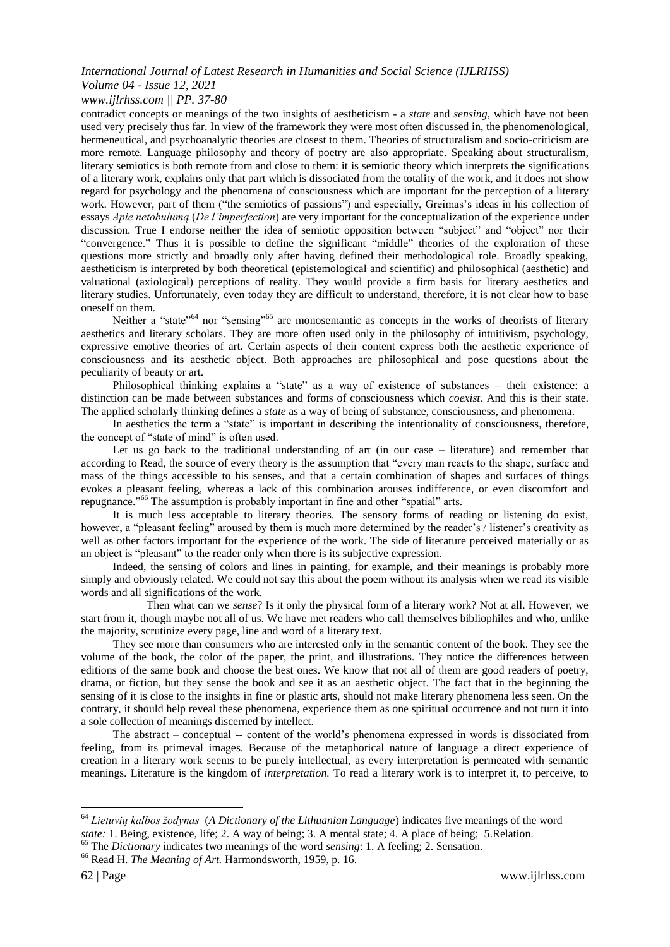### *www.ijlrhss.com || PP. 37-80*

contradict concepts or meanings of the two insights of aestheticism - a *state* and *sensing*, which have not been used very precisely thus far. In view of the framework they were most often discussed in, the phenomenological, hermeneutical, and psychoanalytic theories are closest to them. Theories of structuralism and socio-criticism are more remote. Language philosophy and theory of poetry are also appropriate. Speaking about structuralism, literary semiotics is both remote from and close to them: it is semiotic theory which interprets the significations of a literary work, explains only that part which is dissociated from the totality of the work, and it does not show regard for psychology and the phenomena of consciousness which are important for the perception of a literary work. However, part of them ("the semiotics of passions") and especially, Greimas"s ideas in his collection of essays *Apie netobulumą* (*De l"imperfection*) are very important for the conceptualization of the experience under discussion. True I endorse neither the idea of semiotic opposition between "subject" and "object" nor their "convergence." Thus it is possible to define the significant "middle" theories of the exploration of these questions more strictly and broadly only after having defined their methodological role. Broadly speaking, aestheticism is interpreted by both theoretical (epistemological and scientific) and philosophical (aesthetic) and valuational (axiological) perceptions of reality. They would provide a firm basis for literary aesthetics and literary studies. Unfortunately, even today they are difficult to understand, therefore, it is not clear how to base oneself on them.

Neither a "state"<sup>64</sup> nor "sensing"<sup>65</sup> are monosemantic as concepts in the works of theorists of literary aesthetics and literary scholars. They are more often used only in the philosophy of intuitivism, psychology, expressive emotive theories of art. Certain aspects of their content express both the aesthetic experience of consciousness and its aesthetic object. Both approaches are philosophical and pose questions about the peculiarity of beauty or art.

Philosophical thinking explains a "state" as a way of existence of substances – their existence: a distinction can be made between substances and forms of consciousness which *coexist.* And this is their state. The applied scholarly thinking defines a *state* as a way of being of substance, consciousness, and phenomena.

In aesthetics the term a "state" is important in describing the intentionality of consciousness, therefore, the concept of "state of mind" is often used.

Let us go back to the traditional understanding of art (in our case – literature) and remember that according to Read, the source of every theory is the assumption that "every man reacts to the shape, surface and mass of the things accessible to his senses, and that a certain combination of shapes and surfaces of things evokes a pleasant feeling, whereas a lack of this combination arouses indifference, or even discomfort and repugnance."<sup>66</sup> The assumption is probably important in fine and other "spatial" arts.

It is much less acceptable to literary theories. The sensory forms of reading or listening do exist, however, a "pleasant feeling" aroused by them is much more determined by the reader's / listener's creativity as well as other factors important for the experience of the work. The side of literature perceived materially or as an object is "pleasant" to the reader only when there is its subjective expression.

Indeed, the sensing of colors and lines in painting, for example, and their meanings is probably more simply and obviously related. We could not say this about the poem without its analysis when we read its visible words and all significations of the work.

 Then what can we *sense*? Is it only the physical form of a literary work? Not at all. However, we start from it, though maybe not all of us. We have met readers who call themselves bibliophiles and who, unlike the majority, scrutinize every page, line and word of a literary text.

They see more than consumers who are interested only in the semantic content of the book. They see the volume of the book, the color of the paper, the print, and illustrations. They notice the differences between editions of the same book and choose the best ones. We know that not all of them are good readers of poetry, drama, or fiction, but they sense the book and see it as an aesthetic object. The fact that in the beginning the sensing of it is close to the insights in fine or plastic arts, should not make literary phenomena less seen. On the contrary, it should help reveal these phenomena, experience them as one spiritual occurrence and not turn it into a sole collection of meanings discerned by intellect.

The abstract – conceptual **--** content of the world"s phenomena expressed in words is dissociated from feeling, from its primeval images. Because of the metaphorical nature of language a direct experience of creation in a literary work seems to be purely intellectual, as every interpretation is permeated with semantic meanings. Literature is the kingdom of *interpretation.* To read a literary work is to interpret it, to perceive, to

<sup>&</sup>lt;sup>64</sup> Lietuvių kalbos žodynas (A Dictionary of the Lithuanian Language) indicates five meanings of the word *state:* 1. Being, existence, life; 2. A way of being; 3. A mental state; 4. A place of being; 5.Relation.

<sup>65</sup> The *Dictionary* indicates two meanings of the word *sensing*: 1. A feeling; 2. Sensation.

<sup>66</sup> Read H. *The Meaning of Art.* Harmondsworth, 1959, p. 16.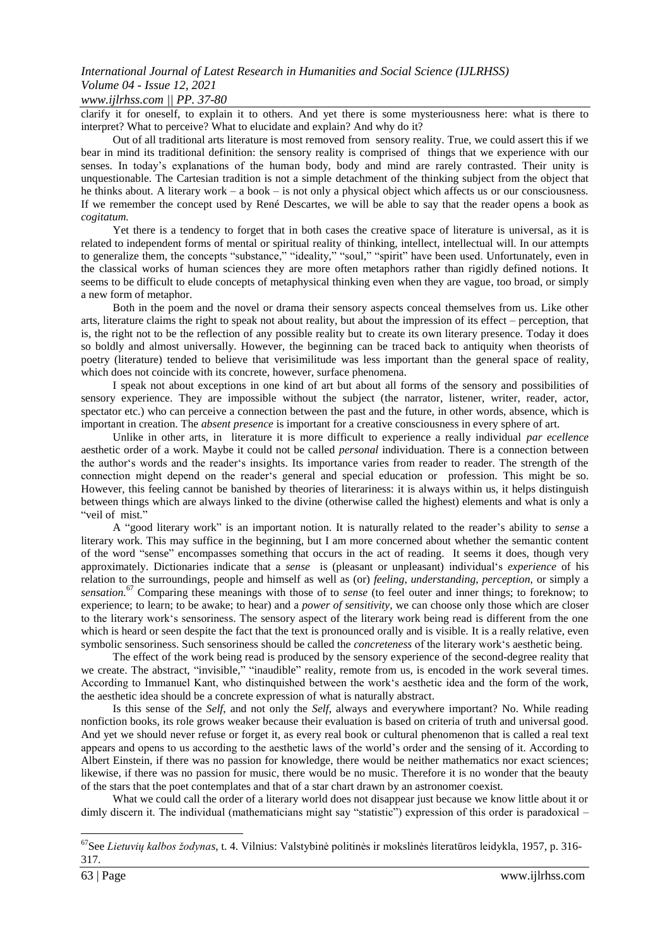#### *www.ijlrhss.com || PP. 37-80*

clarify it for oneself, to explain it to others. And yet there is some mysteriousness here: what is there to interpret? What to perceive? What to elucidate and explain? And why do it?

Out of all traditional arts literature is most removed from sensory reality. True, we could assert this if we bear in mind its traditional definition: the sensory reality is comprised of things that we experience with our senses. In today's explanations of the human body, body and mind are rarely contrasted. Their unity is unquestionable. The Cartesian tradition is not a simple detachment of the thinking subject from the object that he thinks about. A literary work – a book – is not only a physical object which affects us or our consciousness. If we remember the concept used by René Descartes, we will be able to say that the reader opens a book as *cogitatum.* 

Yet there is a tendency to forget that in both cases the creative space of literature is universal, as it is related to independent forms of mental or spiritual reality of thinking, intellect, intellectual will. In our attempts to generalize them, the concepts "substance," "ideality," "soul," "spirit" have been used. Unfortunately, even in the classical works of human sciences they are more often metaphors rather than rigidly defined notions. It seems to be difficult to elude concepts of metaphysical thinking even when they are vague, too broad, or simply a new form of metaphor.

Both in the poem and the novel or drama their sensory aspects conceal themselves from us. Like other arts, literature claims the right to speak not about reality, but about the impression of its effect – perception, that is, the right not to be the reflection of any possible reality but to create its own literary presence. Today it does so boldly and almost universally. However, the beginning can be traced back to antiquity when theorists of poetry (literature) tended to believe that verisimilitude was less important than the general space of reality, which does not coincide with its concrete, however, surface phenomena.

I speak not about exceptions in one kind of art but about all forms of the sensory and possibilities of sensory experience. They are impossible without the subject (the narrator, listener, writer, reader, actor, spectator etc.) who can perceive a connection between the past and the future, in other words, absence, which is important in creation. The *absent presence* is important for a creative consciousness in every sphere of art.

Unlike in other arts, in literature it is more difficult to experience a really individual *par ecellence*  aesthetic order of a work. Maybe it could not be called *personal* individuation. There is a connection between the author"s words and the reader"s insights. Its importance varies from reader to reader. The strength of the connection might depend on the reader"s general and special education or profession. This might be so. However, this feeling cannot be banished by theories of literariness: it is always within us, it helps distinguish between things which are always linked to the divine (otherwise called the highest) elements and what is only a "veil of mist."

A "good literary work" is an important notion. It is naturally related to the reader"s ability to *sense* a literary work. This may suffice in the beginning, but I am more concerned about whether the semantic content of the word "sense" encompasses something that occurs in the act of reading. It seems it does, though very approximately. Dictionaries indicate that a *sense* is (pleasant or unpleasant) individual"s *experience* of his relation to the surroundings, people and himself as well as (or) *feeling*, *understanding*, *perception,* or simply a *sensation.* <sup>67</sup> Comparing these meanings with those of to *sense* (to feel outer and inner things; to foreknow; to experience; to learn; to be awake; to hear) and a *power of sensitivity*, we can choose only those which are closer to the literary work"s sensoriness. The sensory aspect of the literary work being read is different from the one which is heard or seen despite the fact that the text is pronounced orally and is visible. It is a really relative, even symbolic sensoriness. Such sensoriness should be called the *concreteness* of the literary work"s aesthetic being.

The effect of the work being read is produced by the sensory experience of the second-degree reality that we create. The abstract, "invisible," "inaudible" reality, remote from us, is encoded in the work several times. According to Immanuel Kant, who distinquished between the work"s aesthetic idea and the form of the work, the aesthetic idea should be a concrete expression of what is naturally abstract.

Is this sense of the *Self*, and not only the *Self*, always and everywhere important? No. While reading nonfiction books, its role grows weaker because their evaluation is based on criteria of truth and universal good. And yet we should never refuse or forget it, as every real book or cultural phenomenon that is called a real text appears and opens to us according to the aesthetic laws of the world"s order and the sensing of it. According to Albert Einstein, if there was no passion for knowledge, there would be neither mathematics nor exact sciences; likewise, if there was no passion for music, there would be no music. Therefore it is no wonder that the beauty of the stars that the poet contemplates and that of a star chart drawn by an astronomer coexist.

What we could call the order of a literary world does not disappear just because we know little about it or dimly discern it. The individual (mathematicians might say "statistic") expression of this order is paradoxical –

<sup>&</sup>lt;sup>67</sup>See *Lietuvių kalbos žodynas*, t. 4. Vilnius: Valstybinė politinės ir mokslinės literatūros leidykla, 1957, p. 316-317.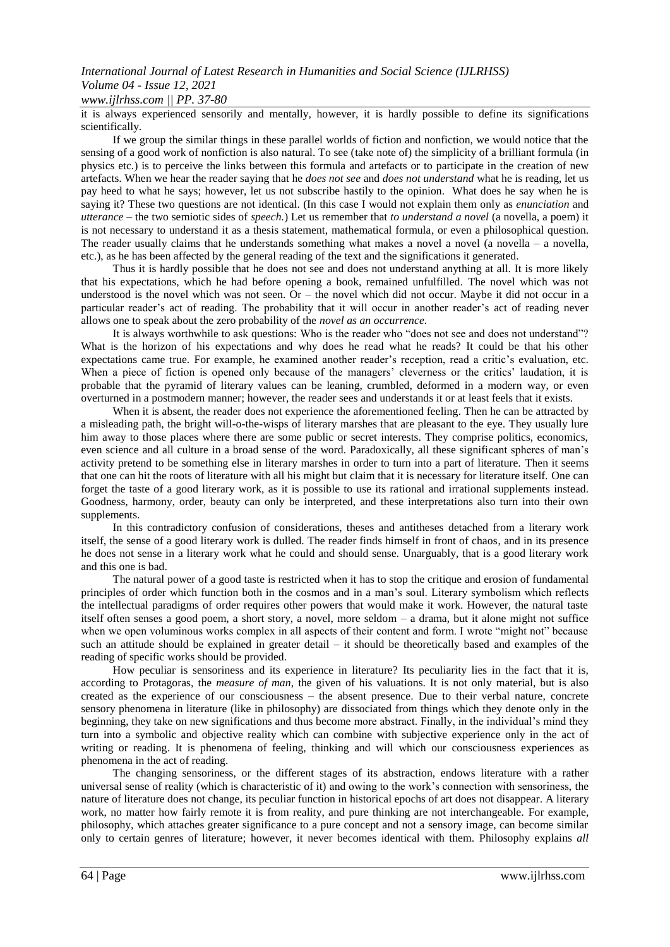#### *International Journal of Latest Research in Humanities and Social Science (IJLRHSS) Volume 04 - Issue 12, 2021 www.ijlrhss.com || PP. 37-80*

it is always experienced sensorily and mentally, however, it is hardly possible to define its significations scientifically.

If we group the similar things in these parallel worlds of fiction and nonfiction, we would notice that the sensing of a good work of nonfiction is also natural. To see (take note of) the simplicity of a brilliant formula (in physics etc.) is to perceive the links between this formula and artefacts or to participate in the creation of new artefacts. When we hear the reader saying that he *does not see* and *does not understand* what he is reading, let us pay heed to what he says; however, let us not subscribe hastily to the opinion. What does he say when he is saying it? These two questions are not identical. (In this case I would not explain them only as *enunciation* and *utterance* – the two semiotic sides of *speech.*) Let us remember that *to understand a novel* (a novella, a poem) it is not necessary to understand it as a thesis statement, mathematical formula, or even a philosophical question. The reader usually claims that he understands something what makes a novel a novel (a novella – a novella, etc.), as he has been affected by the general reading of the text and the significations it generated.

Thus it is hardly possible that he does not see and does not understand anything at all. It is more likely that his expectations, which he had before opening a book, remained unfulfilled. The novel which was not understood is the novel which was not seen. Or – the novel which did not occur. Maybe it did not occur in a particular reader"s act of reading. The probability that it will occur in another reader"s act of reading never allows one to speak about the zero probability of the *novel as an occurrence.*

It is always worthwhile to ask questions: Who is the reader who "does not see and does not understand"? What is the horizon of his expectations and why does he read what he reads? It could be that his other expectations came true. For example, he examined another reader"s reception, read a critic"s evaluation, etc. When a piece of fiction is opened only because of the managers' cleverness or the critics' laudation, it is probable that the pyramid of literary values can be leaning, crumbled, deformed in a modern way, or even overturned in a postmodern manner; however, the reader sees and understands it or at least feels that it exists.

When it is absent, the reader does not experience the aforementioned feeling. Then he can be attracted by a misleading path, the bright will-o-the-wisps of literary marshes that are pleasant to the eye. They usually lure him away to those places where there are some public or secret interests. They comprise politics, economics, even science and all culture in a broad sense of the word. Paradoxically, all these significant spheres of man"s activity pretend to be something else in literary marshes in order to turn into a part of literature. Then it seems that one can hit the roots of literature with all his might but claim that it is necessary for literature itself. One can forget the taste of a good literary work, as it is possible to use its rational and irrational supplements instead. Goodness, harmony, order, beauty can only be interpreted, and these interpretations also turn into their own supplements.

In this contradictory confusion of considerations, theses and antitheses detached from a literary work itself, the sense of a good literary work is dulled. The reader finds himself in front of chaos, and in its presence he does not sense in a literary work what he could and should sense. Unarguably, that is a good literary work and this one is bad.

The natural power of a good taste is restricted when it has to stop the critique and erosion of fundamental principles of order which function both in the cosmos and in a man"s soul. Literary symbolism which reflects the intellectual paradigms of order requires other powers that would make it work. However, the natural taste itself often senses a good poem, a short story, a novel, more seldom – a drama, but it alone might not suffice when we open voluminous works complex in all aspects of their content and form. I wrote "might not" because such an attitude should be explained in greater detail – it should be theoretically based and examples of the reading of specific works should be provided.

How peculiar is sensoriness and its experience in literature? Its peculiarity lies in the fact that it is, according to Protagoras, the *measure of man*, the given of his valuations. It is not only material, but is also created as the experience of our consciousness – the absent presence. Due to their verbal nature, concrete sensory phenomena in literature (like in philosophy) are dissociated from things which they denote only in the beginning, they take on new significations and thus become more abstract. Finally, in the individual"s mind they turn into a symbolic and objective reality which can combine with subjective experience only in the act of writing or reading. It is phenomena of feeling, thinking and will which our consciousness experiences as phenomena in the act of reading.

The changing sensoriness, or the different stages of its abstraction, endows literature with a rather universal sense of reality (which is characteristic of it) and owing to the work"s connection with sensoriness, the nature of literature does not change, its peculiar function in historical epochs of art does not disappear. A literary work, no matter how fairly remote it is from reality, and pure thinking are not interchangeable. For example, philosophy, which attaches greater significance to a pure concept and not a sensory image, can become similar only to certain genres of literature; however, it never becomes identical with them. Philosophy explains *all*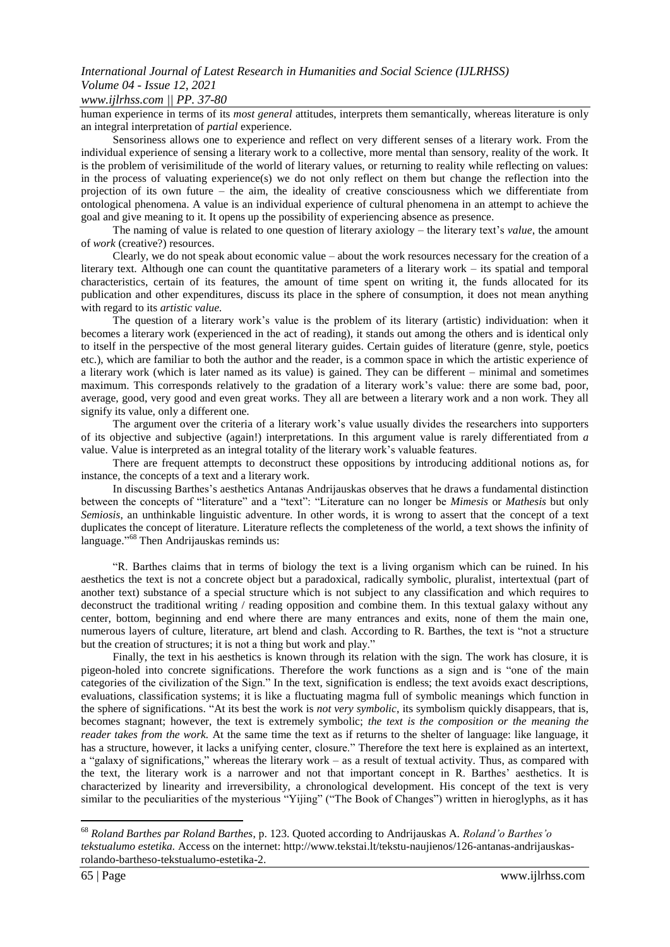# *www.ijlrhss.com || PP. 37-80*

human experience in terms of its *most general* attitudes, interprets them semantically, whereas literature is only an integral interpretation of *partial* experience.

Sensoriness allows one to experience and reflect on very different senses of a literary work. From the individual experience of sensing a literary work to a collective, more mental than sensory, reality of the work. It is the problem of verisimilitude of the world of literary values, or returning to reality while reflecting on values: in the process of valuating experience(s) we do not only reflect on them but change the reflection into the projection of its own future – the aim, the ideality of creative consciousness which we differentiate from ontological phenomena. A value is an individual experience of cultural phenomena in an attempt to achieve the goal and give meaning to it. It opens up the possibility of experiencing absence as presence.

The naming of value is related to one question of literary axiology – the literary text"s *value*, the amount of *work* (creative?) resources.

Clearly, we do not speak about economic value – about the work resources necessary for the creation of a literary text. Although one can count the quantitative parameters of a literary work – its spatial and temporal characteristics, certain of its features, the amount of time spent on writing it, the funds allocated for its publication and other expenditures, discuss its place in the sphere of consumption, it does not mean anything with regard to its *artistic value.*

The question of a literary work"s value is the problem of its literary (artistic) individuation: when it becomes a literary work (experienced in the act of reading), it stands out among the others and is identical only to itself in the perspective of the most general literary guides. Certain guides of literature (genre, style, poetics etc.), which are familiar to both the author and the reader, is a common space in which the artistic experience of a literary work (which is later named as its value) is gained. They can be different – minimal and sometimes maximum. This corresponds relatively to the gradation of a literary work"s value: there are some bad, poor, average, good, very good and even great works. They all are between a literary work and a non work. They all signify its value, only a different one.

The argument over the criteria of a literary work"s value usually divides the researchers into supporters of its objective and subjective (again!) interpretations. In this argument value is rarely differentiated from *a* value. Value is interpreted as an integral totality of the literary work"s valuable features.

There are frequent attempts to deconstruct these oppositions by introducing additional notions as, for instance, the concepts of a text and a literary work.

In discussing Barthes"s aesthetics Antanas Andrijauskas observes that he draws a fundamental distinction between the concepts of "literature" and a "text": "Literature can no longer be *Mimesis* or *Mathesis* but only *Semiosis*, an unthinkable linguistic adventure. In other words, it is wrong to assert that the concept of a text duplicates the concept of literature. Literature reflects the completeness of the world, a text shows the infinity of language."<sup>68</sup> Then Andrijauskas reminds us:

"R. Barthes claims that in terms of biology the text is a living organism which can be ruined. In his aesthetics the text is not a concrete object but a paradoxical, radically symbolic, pluralist, intertextual (part of another text) substance of a special structure which is not subject to any classification and which requires to deconstruct the traditional writing / reading opposition and combine them. In this textual galaxy without any center, bottom, beginning and end where there are many entrances and exits, none of them the main one, numerous layers of culture, literature, art blend and clash. According to R. Barthes, the text is "not a structure but the creation of structures; it is not a thing but work and play."

Finally, the text in his aesthetics is known through its relation with the sign. The work has closure, it is pigeon-holed into concrete significations. Therefore the work functions as a sign and is "one of the main categories of the civilization of the Sign." In the text, signification is endless; the text avoids exact descriptions, evaluations, classification systems; it is like a fluctuating magma full of symbolic meanings which function in the sphere of significations. "At its best the work is *not very symbolic*, its symbolism quickly disappears, that is, becomes stagnant; however, the text is extremely symbolic; *the text is the composition or the meaning the reader takes from the work.* At the same time the text as if returns to the shelter of language: like language, it has a structure, however, it lacks a unifying center, closure." Therefore the text here is explained as an intertext, a "galaxy of significations," whereas the literary work – as a result of textual activity. Thus, as compared with the text, the literary work is a narrower and not that important concept in R. Barthes" aesthetics. It is characterized by linearity and irreversibility, a chronological development. His concept of the text is very similar to the peculiarities of the mysterious "Yijing" ("The Book of Changes") written in hieroglyphs, as it has

<sup>68</sup> *Roland Barthes par Roland Barthes*, p. 123. Quoted according to Andrijauskas A. *Roland"o Barthes"o tekstualumo estetika.* Access on the internet: http://www.tekstai.lt/tekstu-naujienos/126-antanas-andrijauskasrolando-bartheso-tekstualumo-estetika-2.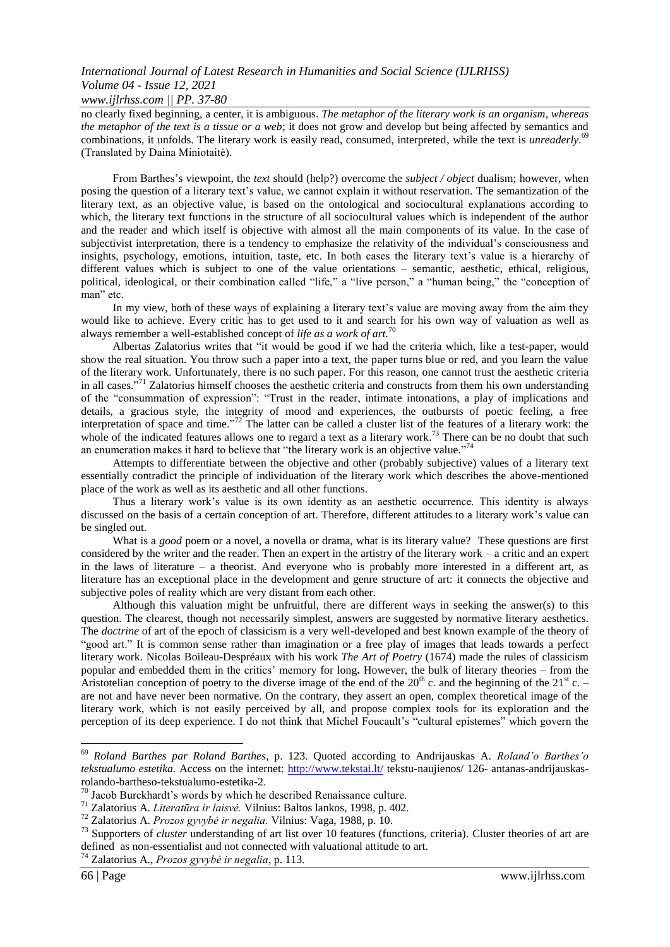### *International Journal of Latest Research in Humanities and Social Science (IJLRHSS) Volume 04 - Issue 12, 2021 www.ijlrhss.com || PP. 37-80*

no clearly fixed beginning, a center, it is ambiguous. *The metaphor of the literary work is an organism*, *whereas the metaphor of the text is a tissue or a web*; it does not grow and develop but being affected by semantics and combinations, it unfolds. The literary work is easily read, consumed, interpreted, while the text is *unreaderly.* 69 (Translated by Daina Miniotaitė).

From Barthes"s viewpoint, the *text* should (help?) overcome the *subject / object* dualism; however, when posing the question of a literary text"s value, we cannot explain it without reservation. The semantization of the literary text, as an objective value, is based on the ontological and sociocultural explanations according to which, the literary text functions in the structure of all sociocultural values which is independent of the author and the reader and which itself is objective with almost all the main components of its value. In the case of subjectivist interpretation, there is a tendency to emphasize the relativity of the individual's consciousness and insights, psychology, emotions, intuition, taste, etc. In both cases the literary text's value is a hierarchy of different values which is subject to one of the value orientations – semantic, aesthetic, ethical, religious, political, ideological, or their combination called "life," a "live person," a "human being," the "conception of man" etc.

In my view, both of these ways of explaining a literary text's value are moving away from the aim they would like to achieve. Every critic has to get used to it and search for his own way of valuation as well as always remember a well-established concept of *life as a work of art.* 70

Albertas Zalatorius writes that "it would be good if we had the criteria which, like a test-paper, would show the real situation. You throw such a paper into a text, the paper turns blue or red, and you learn the value of the literary work. Unfortunately, there is no such paper. For this reason, one cannot trust the aesthetic criteria in all cases."<sup>71</sup> Zalatorius himself chooses the aesthetic criteria and constructs from them his own understanding of the "consummation of expression": "Trust in the reader, intimate intonations, a play of implications and details, a gracious style, the integrity of mood and experiences, the outbursts of poetic feeling, a free interpretation of space and time."<sup>72</sup> The latter can be called a cluster list of the features of a literary work: the whole of the indicated features allows one to regard a text as a literary work.<sup>73</sup> There can be no doubt that such an enumeration makes it hard to believe that "the literary work is an objective value."<sup>74</sup>

Attempts to differentiate between the objective and other (probably subjective) values of a literary text essentially contradict the principle of individuation of the literary work which describes the above-mentioned place of the work as well as its aesthetic and all other functions.

Thus a literary work"s value is its own identity as an aesthetic occurrence. This identity is always discussed on the basis of a certain conception of art. Therefore, different attitudes to a literary work"s value can be singled out.

What is a *good* poem or a novel, a novella or drama, what is its literary value? These questions are first considered by the writer and the reader. Then an expert in the artistry of the literary work – a critic and an expert in the laws of literature – a theorist. And everyone who is probably more interested in a different art, as literature has an exceptional place in the development and genre structure of art: it connects the objective and subjective poles of reality which are very distant from each other.

Although this valuation might be unfruitful, there are different ways in seeking the answer(s) to this question. The clearest, though not necessarily simplest, answers are suggested by normative literary aesthetics. The *doctrine* of art of the epoch of classicism is a very well-developed and best known example of the theory of "good art." It is common sense rather than imagination or a free play of images that leads towards a perfect literary work. Nicolas Boileau-Despréaux with his work *The Art of Poetry* (1674) made the rules of classicism popular and embedded them in the critics" memory for long**.** However, the bulk of literary theories – from the Aristotelian conception of poetry to the diverse image of the end of the  $20^{th}$  c. and the beginning of the  $21^{st}$  c. – are not and have never been normative. On the contrary, they assert an open, complex theoretical image of the literary work, which is not easily perceived by all, and propose complex tools for its exploration and the perception of its deep experience. I do not think that Michel Foucault's "cultural epistemes" which govern the

<sup>69</sup> *Roland Barthes par Roland Barthes*, p. 123. Quoted according to Andrijauskas A. *Roland"o Barthes"o tekstualumo estetika.* Access on the internet:<http://www.tekstai.lt/> tekstu-naujienos/ 126- antanas-andrijauskasrolando-bartheso-tekstualumo-estetika-2.

 $70$  Jacob Burckhardt's words by which he described Renaissance culture.

<sup>71</sup> Zalatorius A. *Literatūra ir laisvė.* Vilnius: Baltos lankos, 1998, p. 402.

<sup>72</sup> Zalatorius A. *Prozos gyvybė ir negalia.* Vilnius: Vaga, 1988, p. 10.

<sup>&</sup>lt;sup>73</sup> Supporters of *cluster* understanding of art list over 10 features (functions, criteria). Cluster theories of art are defined as non-essentialist and not connected with valuational attitude to art.

<sup>74</sup> Zalatorius A., *Prozos gyvybė ir negalia*, p. 113.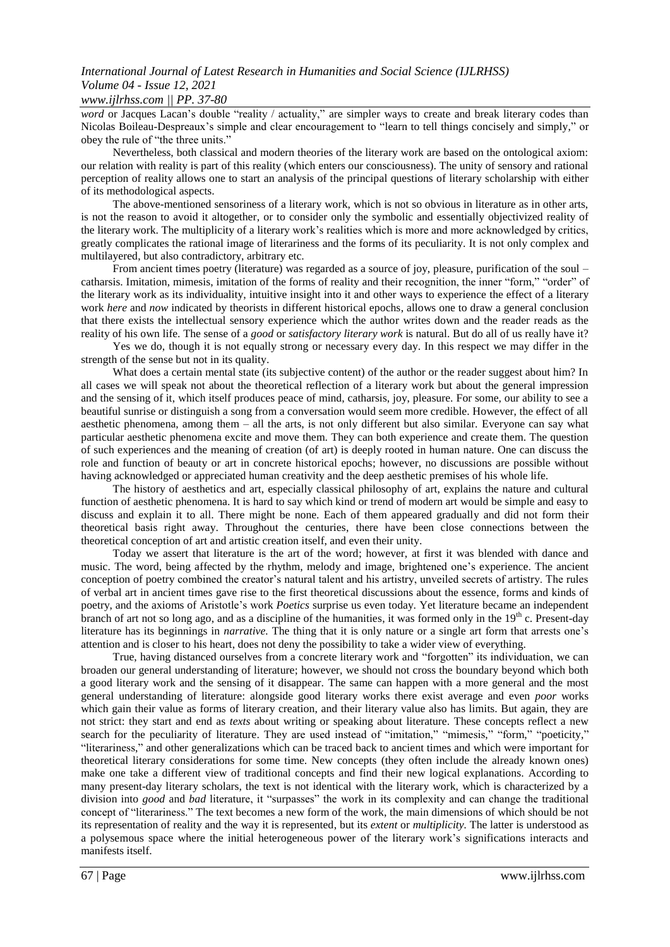#### *www.ijlrhss.com || PP. 37-80*

word or Jacques Lacan's double "reality / actuality," are simpler ways to create and break literary codes than Nicolas Boileau-Despreaux"s simple and clear encouragement to "learn to tell things concisely and simply," or obey the rule of "the three units."

Nevertheless, both classical and modern theories of the literary work are based on the ontological axiom: our relation with reality is part of this reality (which enters our consciousness). The unity of sensory and rational perception of reality allows one to start an analysis of the principal questions of literary scholarship with either of its methodological aspects.

The above-mentioned sensoriness of a literary work, which is not so obvious in literature as in other arts, is not the reason to avoid it altogether, or to consider only the symbolic and essentially objectivized reality of the literary work. The multiplicity of a literary work"s realities which is more and more acknowledged by critics, greatly complicates the rational image of literariness and the forms of its peculiarity. It is not only complex and multilayered, but also contradictory, arbitrary etc.

From ancient times poetry (literature) was regarded as a source of joy, pleasure, purification of the soul – catharsis. Imitation, mimesis, imitation of the forms of reality and their recognition, the inner "form," "order" of the literary work as its individuality, intuitive insight into it and other ways to experience the effect of a literary work *here* and *now* indicated by theorists in different historical epochs, allows one to draw a general conclusion that there exists the intellectual sensory experience which the author writes down and the reader reads as the reality of his own life. The sense of a *good* or *satisfactory literary work* is natural. But do all of us really have it?

Yes we do, though it is not equally strong or necessary every day. In this respect we may differ in the strength of the sense but not in its quality.

What does a certain mental state (its subjective content) of the author or the reader suggest about him? In all cases we will speak not about the theoretical reflection of a literary work but about the general impression and the sensing of it, which itself produces peace of mind, catharsis, joy, pleasure. For some, our ability to see a beautiful sunrise or distinguish a song from a conversation would seem more credible. However, the effect of all aesthetic phenomena, among them – all the arts, is not only different but also similar. Everyone can say what particular aesthetic phenomena excite and move them. They can both experience and create them. The question of such experiences and the meaning of creation (of art) is deeply rooted in human nature. One can discuss the role and function of beauty or art in concrete historical epochs; however, no discussions are possible without having acknowledged or appreciated human creativity and the deep aesthetic premises of his whole life.

The history of aesthetics and art, especially classical philosophy of art, explains the nature and cultural function of aesthetic phenomena. It is hard to say which kind or trend of modern art would be simple and easy to discuss and explain it to all. There might be none. Each of them appeared gradually and did not form their theoretical basis right away. Throughout the centuries, there have been close connections between the theoretical conception of art and artistic creation itself, and even their unity.

Today we assert that literature is the art of the word; however, at first it was blended with dance and music. The word, being affected by the rhythm, melody and image, brightened one"s experience. The ancient conception of poetry combined the creator"s natural talent and his artistry, unveiled secrets of artistry. The rules of verbal art in ancient times gave rise to the first theoretical discussions about the essence, forms and kinds of poetry, and the axioms of Aristotle"s work *Poetics* surprise us even today. Yet literature became an independent branch of art not so long ago, and as a discipline of the humanities, it was formed only in the  $19<sup>th</sup>$  c. Present-day literature has its beginnings in *narrative*. The thing that it is only nature or a single art form that arrests one's attention and is closer to his heart, does not deny the possibility to take a wider view of everything.

True, having distanced ourselves from a concrete literary work and "forgotten" its individuation, we can broaden our general understanding of literature; however, we should not cross the boundary beyond which both a good literary work and the sensing of it disappear. The same can happen with a more general and the most general understanding of literature: alongside good literary works there exist average and even *poor* works which gain their value as forms of literary creation, and their literary value also has limits. But again, they are not strict: they start and end as *texts* about writing or speaking about literature. These concepts reflect a new search for the peculiarity of literature. They are used instead of "imitation," "mimesis," "form," "poeticity," "literariness," and other generalizations which can be traced back to ancient times and which were important for theoretical literary considerations for some time. New concepts (they often include the already known ones) make one take a different view of traditional concepts and find their new logical explanations. According to many present-day literary scholars, the text is not identical with the literary work, which is characterized by a division into *good* and *bad* literature, it "surpasses" the work in its complexity and can change the traditional concept of "literariness." The text becomes a new form of the work, the main dimensions of which should be not its representation of reality and the way it is represented, but its *extent* or *multiplicity.* The latter is understood as a polysemous space where the initial heterogeneous power of the literary work"s significations interacts and manifests itself.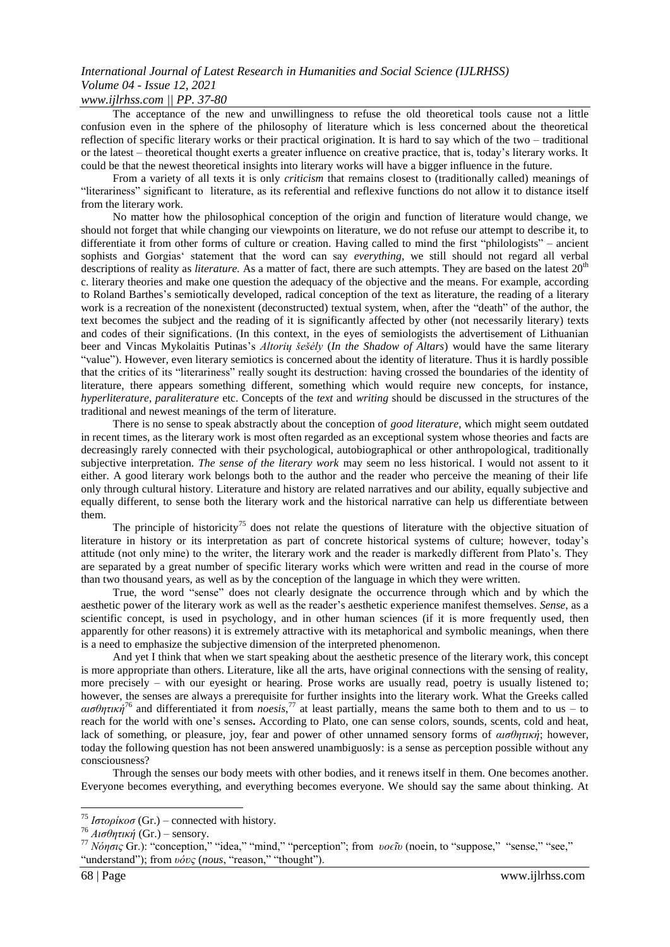## *www.ijlrhss.com || PP. 37-80*

The acceptance of the new and unwillingness to refuse the old theoretical tools cause not a little confusion even in the sphere of the philosophy of literature which is less concerned about the theoretical reflection of specific literary works or their practical origination. It is hard to say which of the two – traditional or the latest – theoretical thought exerts a greater influence on creative practice, that is, today"s literary works. It could be that the newest theoretical insights into literary works will have a bigger influence in the future.

From a variety of all texts it is only *criticism* that remains closest to (traditionally called) meanings of "literariness" significant to literature, as its referential and reflexive functions do not allow it to distance itself from the literary work.

No matter how the philosophical conception of the origin and function of literature would change, we should not forget that while changing our viewpoints on literature, we do not refuse our attempt to describe it, to differentiate it from other forms of culture or creation. Having called to mind the first "philologists" – ancient sophists and Gorgias" statement that the word can say *everything*, we still should not regard all verbal descriptions of reality as *literature*. As a matter of fact, there are such attempts. They are based on the latest 20<sup>th</sup> c. literary theories and make one question the adequacy of the objective and the means. For example, according to Roland Barthes"s semiotically developed, radical conception of the text as literature, the reading of a literary work is a recreation of the nonexistent (deconstructed) textual system, when, after the "death" of the author, the text becomes the subject and the reading of it is significantly affected by other (not necessarily literary) texts and codes of their significations. (In this context, in the eyes of semiologists the advertisement of Lithuanian beer and Vincas Mykolaitis Putinas"s *Altorių šešėly* (*In the Shadow of Altars*) would have the same literary "value"). However, even literary semiotics is concerned about the identity of literature. Thus it is hardly possible that the critics of its "literariness" really sought its destruction: having crossed the boundaries of the identity of literature, there appears something different, something which would require new concepts, for instance, *hyperliterature*, *paraliterature* etc. Concepts of the *text* and *writing* should be discussed in the structures of the traditional and newest meanings of the term of literature.

There is no sense to speak abstractly about the conception of *good literature*, which might seem outdated in recent times, as the literary work is most often regarded as an exceptional system whose theories and facts are decreasingly rarely connected with their psychological, autobiographical or other anthropological, traditionally subjective interpretation. *The sense of the literary work* may seem no less historical. I would not assent to it either. A good literary work belongs both to the author and the reader who perceive the meaning of their life only through cultural history. Literature and history are related narratives and our ability, equally subjective and equally different, to sense both the literary work and the historical narrative can help us differentiate between them.

The principle of historicity<sup>75</sup> does not relate the questions of literature with the objective situation of literature in history or its interpretation as part of concrete historical systems of culture; however, today"s attitude (not only mine) to the writer, the literary work and the reader is markedly different from Plato"s. They are separated by a great number of specific literary works which were written and read in the course of more than two thousand years, as well as by the conception of the language in which they were written.

True, the word "sense" does not clearly designate the occurrence through which and by which the aesthetic power of the literary work as well as the reader"s aesthetic experience manifest themselves. *Sense*, as a scientific concept, is used in psychology, and in other human sciences (if it is more frequently used, then apparently for other reasons) it is extremely attractive with its metaphorical and symbolic meanings, when there is a need to emphasize the subjective dimension of the interpreted phenomenon.

And yet I think that when we start speaking about the aesthetic presence of the literary work, this concept is more appropriate than others. Literature, like all the arts, have original connections with the sensing of reality, more precisely – with our eyesight or hearing. Prose works are usually read, poetry is usually listened to; however, the senses are always a prerequisite for further insights into the literary work. What the Greeks called *αισθητική*<sup>76</sup> and differentiated it from *noesis*, <sup>77</sup> at least partially, means the same both to them and to us – to reach for the world with one"s senses**.** According to Plato, one can sense colors, sounds, scents, cold and heat, lack of something, or pleasure, joy, fear and power of other unnamed sensory forms of *αισθητική*; however, today the following question has not been answered unambiguosly: is a sense as perception possible without any consciousness?

Through the senses our body meets with other bodies, and it renews itself in them. One becomes another. Everyone becomes everything, and everything becomes everyone. We should say the same about thinking. At

<sup>75</sup> *Ιστορίκοσ* (Gr.) – connected with history.

<sup>76</sup> *Αισθητική* (Gr.) – sensory.

<sup>77</sup> *Νόησις* Gr.): "conception," "idea," "mind," "perception"; from *σοϵĩσ* (noein, to "suppose," "sense," "see," "understand"); from *σóʋς* (*nous*, "reason," "thought").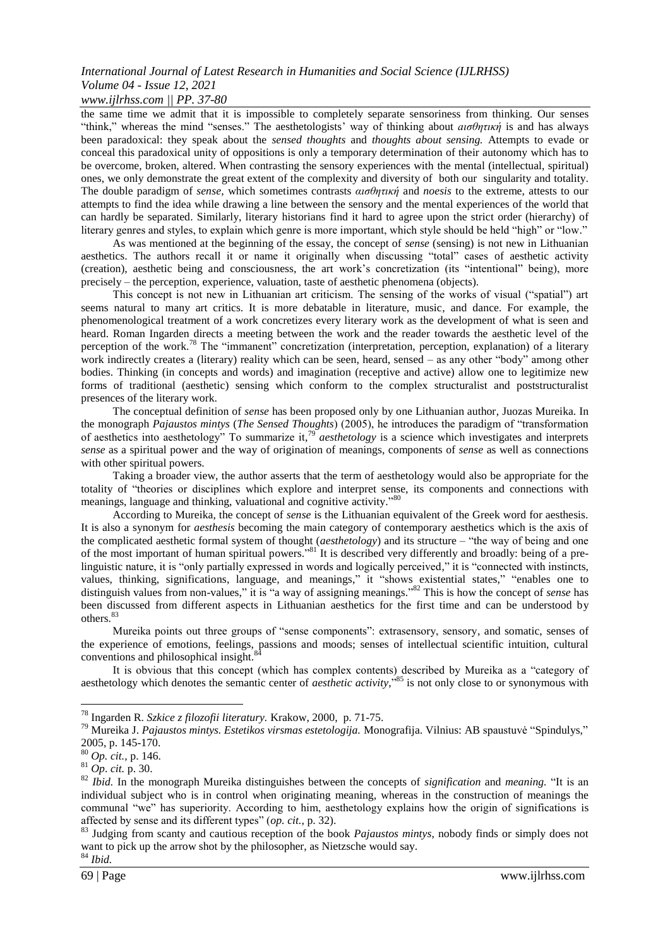### *www.ijlrhss.com || PP. 37-80*

the same time we admit that it is impossible to completely separate sensoriness from thinking. Our senses "think," whereas the mind "senses." The aesthetologists' way of thinking about *αισθητική* is and has always been paradoxical: they speak about the *sensed thoughts* and *thoughts about sensing.* Attempts to evade or conceal this paradoxical unity of oppositions is only a temporary determination of their autonomy which has to be overcome, broken, altered. When contrasting the sensory experiences with the mental (intellectual, spiritual) ones, we only demonstrate the great extent of the complexity and diversity of both our singularity and totality. The double paradigm of *sense*, which sometimes contrasts *αισθητική* and *noesis* to the extreme, attests to our attempts to find the idea while drawing a line between the sensory and the mental experiences of the world that can hardly be separated. Similarly, literary historians find it hard to agree upon the strict order (hierarchy) of literary genres and styles, to explain which genre is more important, which style should be held "high" or "low."

As was mentioned at the beginning of the essay, the concept of *sense* (sensing) is not new in Lithuanian aesthetics. The authors recall it or name it originally when discussing "total" cases of aesthetic activity (creation), aesthetic being and consciousness, the art work"s concretization (its "intentional" being), more precisely – the perception, experience, valuation, taste of aesthetic phenomena (objects).

This concept is not new in Lithuanian art criticism. The sensing of the works of visual ("spatial") art seems natural to many art critics. It is more debatable in literature, music, and dance. For example, the phenomenological treatment of a work concretizes every literary work as the development of what is seen and heard. Roman Ingarden directs a meeting between the work and the reader towards the aesthetic level of the perception of the work.<sup>78</sup> The "immanent" concretization (interpretation, perception, explanation) of a literary work indirectly creates a (literary) reality which can be seen, heard, sensed – as any other "body" among other bodies. Thinking (in concepts and words) and imagination (receptive and active) allow one to legitimize new forms of traditional (aesthetic) sensing which conform to the complex structuralist and poststructuralist presences of the literary work.

The conceptual definition of *sense* has been proposed only by one Lithuanian author, Juozas Mureika. In the monograph *Pajaustos mintys* (*The Sensed Thoughts*) (2005), he introduces the paradigm of "transformation of aesthetics into aesthetology" To summarize it,<sup>79</sup> *aesthetology* is a science which investigates and interprets *sense* as a spiritual power and the way of origination of meanings, components of *sense* as well as connections with other spiritual powers.

Taking a broader view, the author asserts that the term of aesthetology would also be appropriate for the totality of "theories or disciplines which explore and interpret sense, its components and connections with meanings, language and thinking, valuational and cognitive activity."<sup>80</sup>

According to Mureika, the concept of *sense* is the Lithuanian equivalent of the Greek word for aesthesis. It is also a synonym for *aesthesis* becoming the main category of contemporary aesthetics which is the axis of the complicated aesthetic formal system of thought (*aesthetology*) and its structure – "the way of being and one of the most important of human spiritual powers."<sup>81</sup> It is described very differently and broadly: being of a prelinguistic nature, it is "only partially expressed in words and logically perceived," it is "connected with instincts, values, thinking, significations, language, and meanings," it "shows existential states," "enables one to distinguish values from non-values," it is "a way of assigning meanings." <sup>82</sup> This is how the concept of *sense* has been discussed from different aspects in Lithuanian aesthetics for the first time and can be understood by others. 83

Mureika points out three groups of "sense components": extrasensory, sensory, and somatic, senses of the experience of emotions, feelings, passions and moods; senses of intellectual scientific intuition, cultural conventions and philosophical insight.<sup>84</sup>

It is obvious that this concept (which has complex contents) described by Mureika as a "category of aesthetology which denotes the semantic center of *aesthetic activity*," <sup>85</sup> is not only close to or synonymous with

<sup>78</sup> Ingarden R. *Szkice z filozofii literatury.* Krakow, 2000, p. 71-75.

<sup>79</sup> Mureika J. *Pajaustos mintys. Estetikos virsmas estetologija.* Monografija. Vilnius: AB spaustuvė "Spindulys," 2005, p. 145-170.

<sup>80</sup> *Op. cit.,* p. 146.

<sup>81</sup> *Op*. *cit.* p. 30.

<sup>82</sup> *Ibid.* In the monograph Mureika distinguishes between the concepts of *signification* and *meaning.* "It is an individual subject who is in control when originating meaning, whereas in the construction of meanings the communal "we" has superiority. According to him, aesthetology explains how the origin of significations is affected by sense and its different types" (*op. cit.,* p. 32).

<sup>83</sup> Judging from scanty and cautious reception of the book *Pajaustos mintys*, nobody finds or simply does not want to pick up the arrow shot by the philosopher, as Nietzsche would say.

<sup>84</sup> *Ibid.*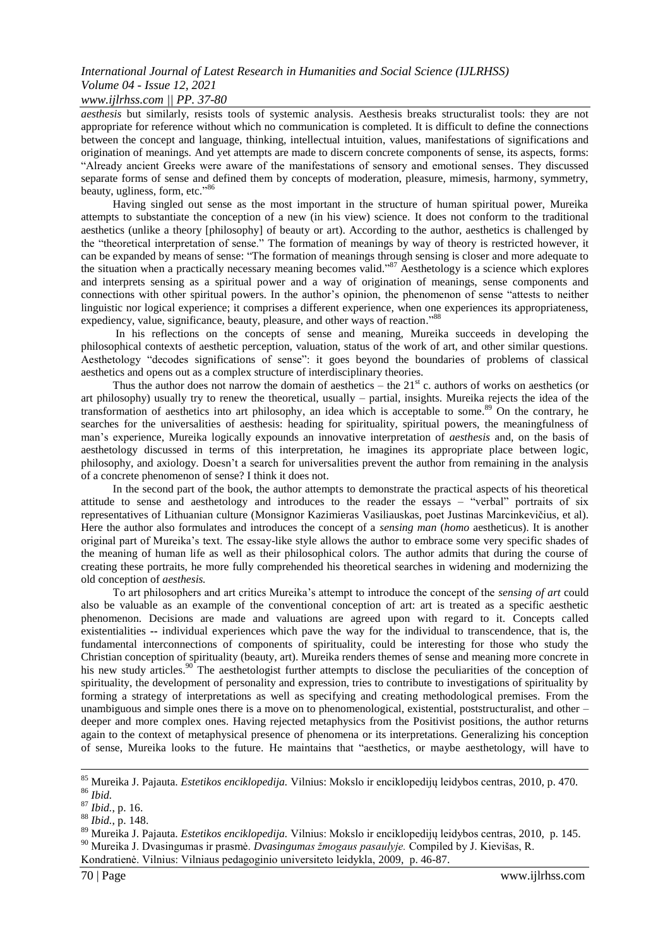#### *www.ijlrhss.com || PP. 37-80*

*aesthesis* but similarly, resists tools of systemic analysis. Aesthesis breaks structuralist tools: they are not appropriate for reference without which no communication is completed. It is difficult to define the connections between the concept and language, thinking, intellectual intuition, values, manifestations of significations and origination of meanings. And yet attempts are made to discern concrete components of sense, its aspects, forms: "Already ancient Greeks were aware of the manifestations of sensory and emotional senses. They discussed separate forms of sense and defined them by concepts of moderation, pleasure, mimesis, harmony, symmetry, beauty, ugliness, form, etc."<sup>86</sup>

Having singled out sense as the most important in the structure of human spiritual power, Mureika attempts to substantiate the conception of a new (in his view) science. It does not conform to the traditional aesthetics (unlike a theory [philosophy] of beauty or art). According to the author, aesthetics is challenged by the "theoretical interpretation of sense." The formation of meanings by way of theory is restricted however, it can be expanded by means of sense: "The formation of meanings through sensing is closer and more adequate to the situation when a practically necessary meaning becomes valid."<sup>87</sup> Aesthetology is a science which explores and interprets sensing as a spiritual power and a way of origination of meanings, sense components and connections with other spiritual powers. In the author"s opinion, the phenomenon of sense "attests to neither linguistic nor logical experience; it comprises a different experience, when one experiences its appropriateness, expediency, value, significance, beauty, pleasure, and other ways of reaction."<sup>88</sup>

In his reflections on the concepts of sense and meaning, Mureika succeeds in developing the philosophical contexts of aesthetic perception, valuation, status of the work of art, and other similar questions. Aesthetology "decodes significations of sense": it goes beyond the boundaries of problems of classical aesthetics and opens out as a complex structure of interdisciplinary theories.

Thus the author does not narrow the domain of aesthetics – the  $21<sup>st</sup>$  c. authors of works on aesthetics (or art philosophy) usually try to renew the theoretical, usually – partial, insights. Mureika rejects the idea of the transformation of aesthetics into art philosophy, an idea which is acceptable to some. <sup>89</sup> On the contrary, he searches for the universalities of aesthesis: heading for spirituality, spiritual powers, the meaningfulness of man"s experience, Mureika logically expounds an innovative interpretation of *aesthesis* and, on the basis of aesthetology discussed in terms of this interpretation, he imagines its appropriate place between logic, philosophy, and axiology. Doesn"t a search for universalities prevent the author from remaining in the analysis of a concrete phenomenon of sense? I think it does not.

In the second part of the book, the author attempts to demonstrate the practical aspects of his theoretical attitude to sense and aesthetology and introduces to the reader the essays – "verbal" portraits of six representatives of Lithuanian culture (Monsignor Kazimieras Vasiliauskas, poet Justinas Marcinkevičius, et al). Here the author also formulates and introduces the concept of a *sensing man* (*homo* aestheticus). It is another original part of Mureika"s text. The essay-like style allows the author to embrace some very specific shades of the meaning of human life as well as their philosophical colors. The author admits that during the course of creating these portraits, he more fully comprehended his theoretical searches in widening and modernizing the old conception of *aesthesis.* 

To art philosophers and art critics Mureika"s attempt to introduce the concept of the *sensing of art* could also be valuable as an example of the conventional conception of art: art is treated as a specific aesthetic phenomenon. Decisions are made and valuations are agreed upon with regard to it. Concepts called existentialities **--** individual experiences which pave the way for the individual to transcendence, that is, the fundamental interconnections of components of spirituality, could be interesting for those who study the Christian conception of spirituality (beauty, art). Mureika renders themes of sense and meaning more concrete in his new study articles.<sup>90</sup> The aesthetologist further attempts to disclose the peculiarities of the conception of spirituality, the development of personality and expression, tries to contribute to investigations of spirituality by forming a strategy of interpretations as well as specifying and creating methodological premises. From the unambiguous and simple ones there is a move on to phenomenological, existential, poststructuralist, and other – deeper and more complex ones. Having rejected metaphysics from the Positivist positions, the author returns again to the context of metaphysical presence of phenomena or its interpretations. Generalizing his conception of sense, Mureika looks to the future. He maintains that "aesthetics, or maybe aesthetology, will have to

<sup>85</sup> Mureika J. Pajauta. *Estetikos enciklopedija.* Vilnius: Mokslo ir enciklopedijų leidybos centras, 2010, p. 470. <sup>86</sup> *Ibid.*

<sup>87</sup> *Ibid.*, p. 16.

<sup>88</sup> *Ibid.*, p. 148.

<sup>89</sup> Mureika J. Pajauta. *Estetikos enciklopedija.* Vilnius: Mokslo ir enciklopedijų leidybos centras, 2010, p. 145. <sup>90</sup> Mureika J. Dvasingumas ir prasmė. *Dvasingumas žmogaus pasaulyje*. Compiled by J. Kievišas, R. Kondratienė. Vilnius: Vilniaus pedagoginio universiteto leidykla, 2009, p. 46-87.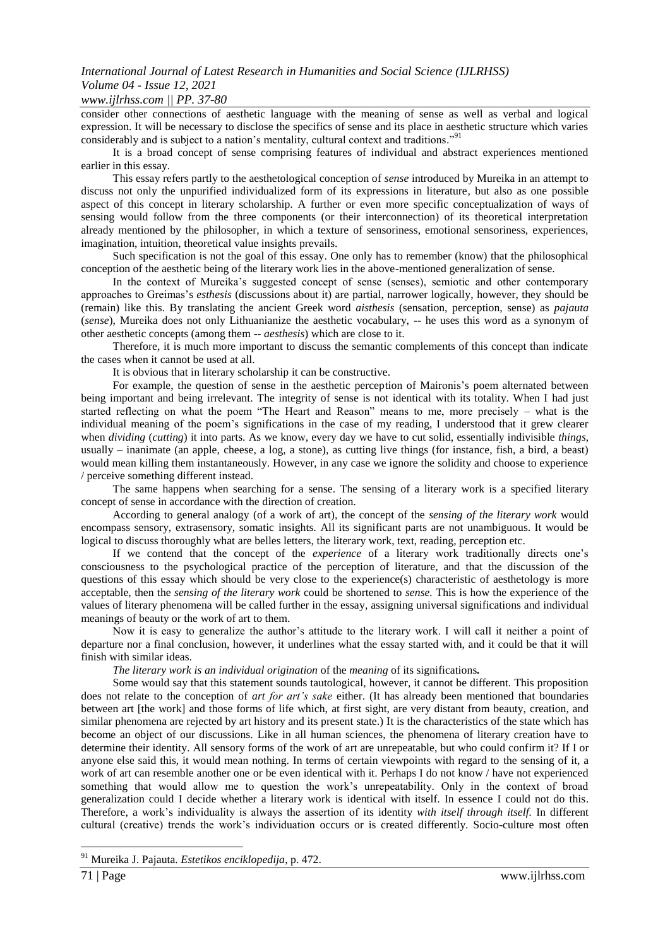## *www.ijlrhss.com || PP. 37-80*

consider other connections of aesthetic language with the meaning of sense as well as verbal and logical expression. It will be necessary to disclose the specifics of sense and its place in aesthetic structure which varies considerably and is subject to a nation's mentality, cultural context and traditions."<sup>91</sup>

It is a broad concept of sense comprising features of individual and abstract experiences mentioned earlier in this essay.

This essay refers partly to the aesthetological conception of *sense* introduced by Mureika in an attempt to discuss not only the unpurified individualized form of its expressions in literature, but also as one possible aspect of this concept in literary scholarship. A further or even more specific conceptualization of ways of sensing would follow from the three components (or their interconnection) of its theoretical interpretation already mentioned by the philosopher, in which a texture of sensoriness, emotional sensoriness, experiences, imagination, intuition, theoretical value insights prevails.

Such specification is not the goal of this essay. One only has to remember (know) that the philosophical conception of the aesthetic being of the literary work lies in the above-mentioned generalization of sense.

In the context of Mureika"s suggested concept of sense (senses), semiotic and other contemporary approaches to Greimas"s *esthesis* (discussions about it) are partial, narrower logically, however, they should be (remain) like this. By translating the ancient Greek word *aisthesis* (sensation, perception, sense) as *pajauta*  (*sense*), Mureika does not only Lithuanianize the aesthetic vocabulary, **--** he uses this word as a synonym of other aesthetic concepts (among them **--** *aesthesis*) which are close to it.

Therefore, it is much more important to discuss the semantic complements of this concept than indicate the cases when it cannot be used at all.

It is obvious that in literary scholarship it can be constructive.

For example, the question of sense in the aesthetic perception of Maironis's poem alternated between being important and being irrelevant. The integrity of sense is not identical with its totality. When I had just started reflecting on what the poem "The Heart and Reason" means to me, more precisely – what is the individual meaning of the poem"s significations in the case of my reading, I understood that it grew clearer when *dividing* (*cutting*) it into parts. As we know, every day we have to cut solid, essentially indivisible *things*, usually – inanimate (an apple, cheese, a log, a stone), as cutting live things (for instance, fish, a bird, a beast) would mean killing them instantaneously. However, in any case we ignore the solidity and choose to experience / perceive something different instead.

The same happens when searching for a sense. The sensing of a literary work is a specified literary concept of sense in accordance with the direction of creation.

According to general analogy (of a work of art), the concept of the *sensing of the literary work* would encompass sensory, extrasensory, somatic insights. All its significant parts are not unambiguous. It would be logical to discuss thoroughly what are belles letters, the literary work, text, reading, perception etc.

If we contend that the concept of the *experience* of a literary work traditionally directs one"s consciousness to the psychological practice of the perception of literature, and that the discussion of the questions of this essay which should be very close to the experience(s) characteristic of aesthetology is more acceptable, then the *sensing of the literary work* could be shortened to *sense.* This is how the experience of the values of literary phenomena will be called further in the essay, assigning universal significations and individual meanings of beauty or the work of art to them.

Now it is easy to generalize the author"s attitude to the literary work. I will call it neither a point of departure nor a final conclusion, however, it underlines what the essay started with, and it could be that it will finish with similar ideas.

*The literary work is an individual origination* of the *meaning* of its significations*.*

Some would say that this statement sounds tautological, however, it cannot be different. This proposition does not relate to the conception of *art for art"s sake* either. (It has already been mentioned that boundaries between art [the work] and those forms of life which, at first sight, are very distant from beauty, creation, and similar phenomena are rejected by art history and its present state.) It is the characteristics of the state which has become an object of our discussions. Like in all human sciences, the phenomena of literary creation have to determine their identity. All sensory forms of the work of art are unrepeatable, but who could confirm it? If I or anyone else said this, it would mean nothing. In terms of certain viewpoints with regard to the sensing of it, a work of art can resemble another one or be even identical with it. Perhaps I do not know / have not experienced something that would allow me to question the work's unrepeatability. Only in the context of broad generalization could I decide whether a literary work is identical with itself. In essence I could not do this. Therefore, a work"s individuality is always the assertion of its identity *with itself through itself.* In different cultural (creative) trends the work"s individuation occurs or is created differently. Socio-culture most often

<sup>91</sup> Mureika J. Pajauta. *Estetikos enciklopedija*, p. 472.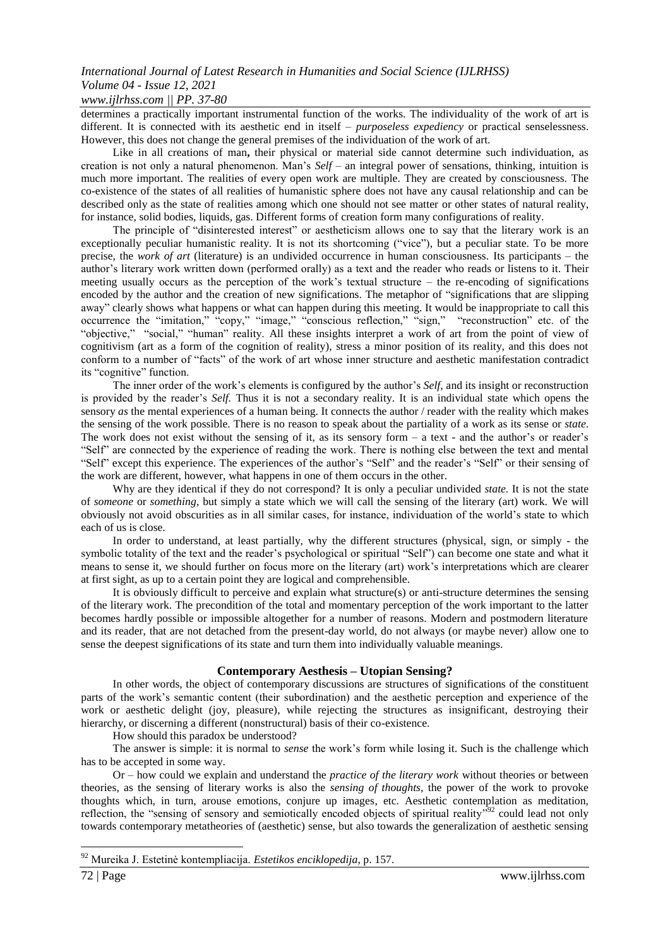### *www.ijlrhss.com || PP. 37-80*

determines a practically important instrumental function of the works. The individuality of the work of art is different. It is connected with its aesthetic end in itself – *purposeless expediency* or practical senselessness. However, this does not change the general premises of the individuation of the work of art.

Like in all creations of man**,** their physical or material side cannot determine such individuation, as creation is not only a natural phenomenon. Man"s *Self –* an integral power of sensations, thinking, intuition is much more important. The realities of every open work are multiple. They are created by consciousness. The co-existence of the states of all realities of humanistic sphere does not have any causal relationship and can be described only as the state of realities among which one should not see matter or other states of natural reality, for instance, solid bodies, liquids, gas. Different forms of creation form many configurations of reality.

The principle of "disinterested interest" or aestheticism allows one to say that the literary work is an exceptionally peculiar humanistic reality. It is not its shortcoming ("vice"), but a peculiar state. To be more precise, the *work of art* (literature) is an undivided occurrence in human consciousness. Its participants – the author"s literary work written down (performed orally) as a text and the reader who reads or listens to it. Their meeting usually occurs as the perception of the work"s textual structure – the re-encoding of significations encoded by the author and the creation of new significations. The metaphor of "significations that are slipping away" clearly shows what happens or what can happen during this meeting. It would be inappropriate to call this occurrence the "imitation," "copy," "image," "conscious reflection," "sign," "reconstruction" etc. of the "objective," "social," "human" reality. All these insights interpret a work of art from the point of view of cognitivism (art as a form of the cognition of reality), stress a minor position of its reality, and this does not conform to a number of "facts" of the work of art whose inner structure and aesthetic manifestation contradict its "cognitive" function.

The inner order of the work"s elements is configured by the author"s *Self*, and its insight or reconstruction is provided by the reader"s *Self.* Thus it is not a secondary reality. It is an individual state which opens the sensory *as* the mental experiences of a human being. It connects the author / reader with the reality which makes the sensing of the work possible. There is no reason to speak about the partiality of a work as its sense or *state*. The work does not exist without the sensing of it, as its sensory form  $-$  a text - and the author's or reader's "Self" are connected by the experience of reading the work. There is nothing else between the text and mental "Self" except this experience. The experiences of the author"s "Self" and the reader"s "Self" or their sensing of the work are different, however, what happens in one of them occurs in the other.

Why are they identical if they do not correspond? It is only a peculiar undivided *state.* It is not the state of *someone* or *something*, but simply a state which we will call the sensing of the literary (art) work. We will obviously not avoid obscurities as in all similar cases, for instance, individuation of the world"s state to which each of us is close.

In order to understand, at least partially, why the different structures (physical, sign, or simply - the symbolic totality of the text and the reader"s psychological or spiritual "Self") can become one state and what it means to sense it, we should further on focus more on the literary (art) work"s interpretations which are clearer at first sight, as up to a certain point they are logical and comprehensible.

It is obviously difficult to perceive and explain what structure(s) or anti-structure determines the sensing of the literary work. The precondition of the total and momentary perception of the work important to the latter becomes hardly possible or impossible altogether for a number of reasons. Modern and postmodern literature and its reader, that are not detached from the present-day world, do not always (or maybe never) allow one to sense the deepest significations of its state and turn them into individually valuable meanings.

#### **Contemporary Aesthesis – Utopian Sensing?**

In other words, the object of contemporary discussions are structures of significations of the constituent parts of the work"s semantic content (their subordination) and the aesthetic perception and experience of the work or aesthetic delight (joy, pleasure), while rejecting the structures as insignificant, destroying their hierarchy, or discerning a different (nonstructural) basis of their co-existence.

How should this paradox be understood?

The answer is simple: it is normal to *sense* the work"s form while losing it. Such is the challenge which has to be accepted in some way.

Or – how could we explain and understand the *practice of the literary work* without theories or between theories, as the sensing of literary works is also the *sensing of thoughts*, the power of the work to provoke thoughts which, in turn, arouse emotions, conjure up images, etc. Aesthetic contemplation as meditation, reflection, the "sensing of sensory and semiotically encoded objects of spiritual reality"<sup>32</sup> could lead not only towards contemporary metatheories of (aesthetic) sense, but also towards the generalization of aesthetic sensing

<sup>92</sup> Mureika J. Estetinė kontempliacija. *Estetikos enciklopedija*, p. 157.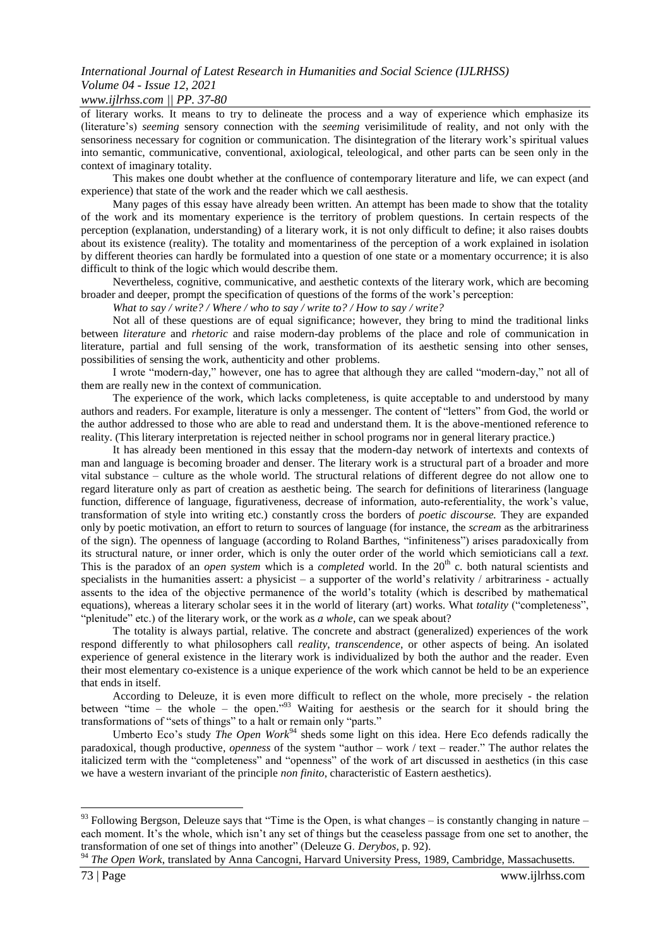#### *www.ijlrhss.com || PP. 37-80*

of literary works. It means to try to delineate the process and a way of experience which emphasize its (literature"s) *seeming* sensory connection with the *seeming* verisimilitude of reality, and not only with the sensoriness necessary for cognition or communication. The disintegration of the literary work"s spiritual values into semantic, communicative, conventional, axiological, teleological, and other parts can be seen only in the context of imaginary totality.

This makes one doubt whether at the confluence of contemporary literature and life, we can expect (and experience) that state of the work and the reader which we call aesthesis.

Many pages of this essay have already been written. An attempt has been made to show that the totality of the work and its momentary experience is the territory of problem questions. In certain respects of the perception (explanation, understanding) of a literary work, it is not only difficult to define; it also raises doubts about its existence (reality). The totality and momentariness of the perception of a work explained in isolation by different theories can hardly be formulated into a question of one state or a momentary occurrence; it is also difficult to think of the logic which would describe them.

Nevertheless, cognitive, communicative, and aesthetic contexts of the literary work, which are becoming broader and deeper, prompt the specification of questions of the forms of the work"s perception:

*What to say / write? / Where / who to say / write to? / How to say / write?*

Not all of these questions are of equal significance; however, they bring to mind the traditional links between *literature* and *rhetoric* and raise modern-day problems of the place and role of communication in literature, partial and full sensing of the work, transformation of its aesthetic sensing into other senses, possibilities of sensing the work, authenticity and other problems.

I wrote "modern-day," however, one has to agree that although they are called "modern-day," not all of them are really new in the context of communication.

The experience of the work, which lacks completeness, is quite acceptable to and understood by many authors and readers. For example, literature is only a messenger. The content of "letters" from God, the world or the author addressed to those who are able to read and understand them. It is the above-mentioned reference to reality. (This literary interpretation is rejected neither in school programs nor in general literary practice.)

It has already been mentioned in this essay that the modern-day network of intertexts and contexts of man and language is becoming broader and denser. The literary work is a structural part of a broader and more vital substance – culture as the whole world. The structural relations of different degree do not allow one to regard literature only as part of creation as aesthetic being. The search for definitions of literariness (language function, difference of language, figurativeness, decrease of information, auto-referentiality, the work"s value, transformation of style into writing etc.) constantly cross the borders of *poetic discourse.* They are expanded only by poetic motivation, an effort to return to sources of language (for instance, the *scream* as the arbitrariness of the sign). The openness of language (according to Roland Barthes, "infiniteness") arises paradoxically from its structural nature, or inner order, which is only the outer order of the world which semioticians call a *text.*  This is the paradox of an *open system* which is a *completed* world. In the 20<sup>th</sup> c. both natural scientists and specialists in the humanities assert: a physicist – a supporter of the world's relativity / arbitrariness - actually assents to the idea of the objective permanence of the world's totality (which is described by mathematical equations), whereas a literary scholar sees it in the world of literary (art) works. What *totality* ("completeness", "plenitude" etc.) of the literary work, or the work as *a whole*, can we speak about?

The totality is always partial, relative. The concrete and abstract (generalized) experiences of the work respond differently to what philosophers call *reality*, *transcendence*, or other aspects of being. An isolated experience of general existence in the literary work is individualized by both the author and the reader. Even their most elementary co-existence is a unique experience of the work which cannot be held to be an experience that ends in itself.

According to Deleuze, it is even more difficult to reflect on the whole, more precisely - the relation between "time – the whole – the open."<sup>93</sup> Waiting for aesthesis or the search for it should bring the transformations of "sets of things" to a halt or remain only "parts."

Umberto Eco's study *The Open Work*<sup>94</sup> sheds some light on this idea. Here Eco defends radically the paradoxical, though productive, *openness* of the system "author – work / text – reader." The author relates the italicized term with the "completeness" and "openness" of the work of art discussed in aesthetics (in this case we have a western invariant of the principle *non finito*, characteristic of Eastern aesthetics).

 $93$  Following Bergson, Deleuze says that "Time is the Open, is what changes – is constantly changing in nature – each moment. It's the whole, which isn't any set of things but the ceaseless passage from one set to another, the transformation of one set of things into another" (Deleuze G. *Derybos*, p. 92).

<sup>&</sup>lt;sup>94</sup> The Open Work, translated by Anna Cancogni, Harvard University Press, 1989, Cambridge, Massachusetts.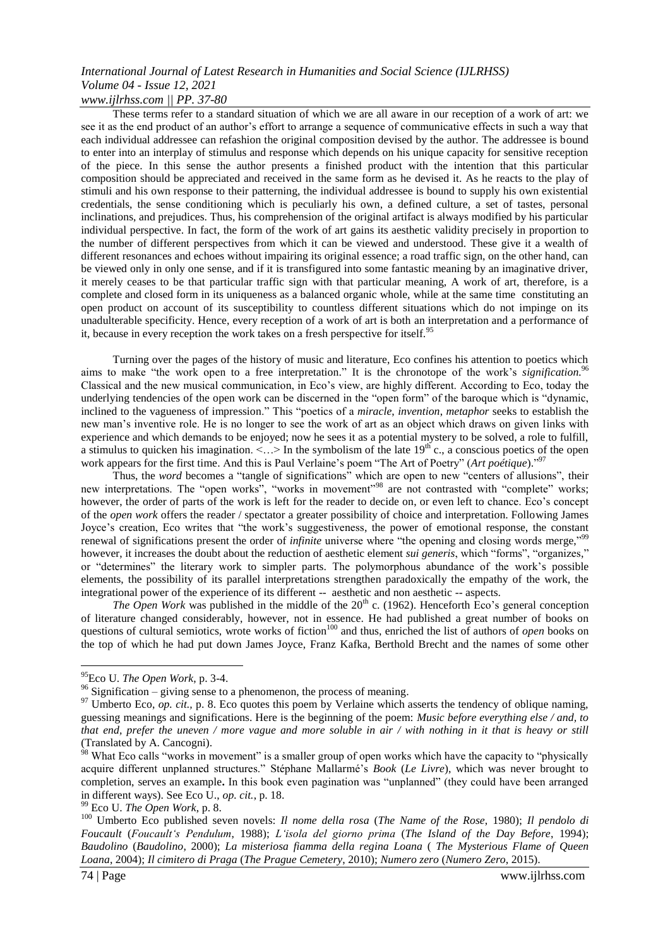*www.ijlrhss.com || PP. 37-80*

These terms refer to a standard situation of which we are all aware in our reception of a work of art: we see it as the end product of an author's effort to arrange a sequence of communicative effects in such a way that each individual addressee can refashion the original composition devised by the author. The addressee is bound to enter into an interplay of stimulus and response which depends on his unique capacity for sensitive reception of the piece. In this sense the author presents a finished product with the intention that this particular composition should be appreciated and received in the same form as he devised it. As he reacts to the play of stimuli and his own response to their patterning, the individual addressee is bound to supply his own existential credentials, the sense conditioning which is peculiarly his own, a defined culture, a set of tastes, personal inclinations, and prejudices. Thus, his comprehension of the original artifact is always modified by his particular individual perspective. In fact, the form of the work of art gains its aesthetic validity precisely in proportion to the number of different perspectives from which it can be viewed and understood. These give it a wealth of different resonances and echoes without impairing its original essence; a road traffic sign, on the other hand, can be viewed only in only one sense, and if it is transfigured into some fantastic meaning by an imaginative driver, it merely ceases to be that particular traffic sign with that particular meaning, A work of art, therefore, is a complete and closed form in its uniqueness as a balanced organic whole, while at the same time constituting an open product on account of its susceptibility to countless different situations which do not impinge on its unadulterable specificity. Hence, every reception of a work of art is both an interpretation and a performance of it, because in every reception the work takes on a fresh perspective for itself.<sup>95</sup>

Turning over the pages of the history of music and literature, Eco confines his attention to poetics which aims to make "the work open to a free interpretation." It is the chronotope of the work's *signification*.<sup>96</sup> Classical and the new musical communication, in Eco"s view, are highly different. According to Eco, today the underlying tendencies of the open work can be discerned in the "open form" of the baroque which is "dynamic, inclined to the vagueness of impression." This "poetics of a *miracle*, *invention*, *metaphor* seeks to establish the new man"s inventive role. He is no longer to see the work of art as an object which draws on given links with experience and which demands to be enjoyed; now he sees it as a potential mystery to be solved, a role to fulfill, a stimulus to quicken his imagination.  $\langle \ldots \rangle$  In the symbolism of the late  $19^{th}$  c., a conscious poetics of the open work appears for the first time. And this is Paul Verlaine"s poem "The Art of Poetry" (*Art poétique*)." 97

Thus, the *word* becomes a "tangle of significations" which are open to new "centers of allusions", their new interpretations. The "open works", "works in movement"<sup>98</sup> are not contrasted with "complete" works; however, the order of parts of the work is left for the reader to decide on, or even left to chance. Eco's concept of the *open work* offers the reader / spectator a greater possibility of choice and interpretation. Following James Joyce"s creation, Eco writes that "the work"s suggestiveness, the power of emotional response, the constant renewal of significations present the order of *infinite* universe where "the opening and closing words merge,"<sup>99</sup> however, it increases the doubt about the reduction of aesthetic element *sui generis*, which "forms", "organizes," or "determines" the literary work to simpler parts. The polymorphous abundance of the work"s possible elements, the possibility of its parallel interpretations strengthen paradoxically the empathy of the work, the integrational power of the experience of its different -- aesthetic and non aesthetic -- aspects.

*The Open Work* was published in the middle of the 20<sup>th</sup> c. (1962). Henceforth Eco's general conception of literature changed considerably, however, not in essence. He had published a great number of books on questions of cultural semiotics, wrote works of fiction<sup>100</sup> and thus, enriched the list of authors of *open* books on the top of which he had put down James Joyce, Franz Kafka, Berthold Brecht and the names of some other

<sup>95</sup>Eco U. *The Open Work*, p. 3-4.

 $96$  Signification – giving sense to a phenomenon, the process of meaning.

<sup>&</sup>lt;sup>97</sup> Umberto Eco, *op. cit.*, p. 8. Eco quotes this poem by Verlaine which asserts the tendency of oblique naming, guessing meanings and significations. Here is the beginning of the poem: *Music before everything else / and, to that end, prefer the uneven / more vague and more soluble in air / with nothing in it that is heavy or still*  (Translated by A. Cancogni).

<sup>&</sup>lt;sup>98</sup> What Eco calls "works in movement" is a smaller group of open works which have the capacity to "physically acquire different unplanned structures." Stéphane Mallarmé"s *Book* (*Le Livre*), which was never brought to completion, serves an example**.** In this book even pagination was "unplanned" (they could have been arranged in different ways). See Eco U., *op. cit.*, p. 18.

<sup>99</sup> Eco U. *The Open Work*, p. 8.

<sup>100</sup> Umberto Eco published seven novels: *Il nome della rosa* (*The Name of the Rose*, 1980); *Il pendolo di Foucault* (*Foucault"s Pendulum*, 1988); *L"isola del giorno prima* (*The Island of the Day Before*, 1994); *Baudolino* (*Baudolino*, 2000); *La misteriosa fiamma della regina Loana* ( *The Mysterious Flame of Queen Loana*, 2004); *Il cimitero di Praga* (*The Prague Cemetery*, 2010); *Numero zero* (*Numero Zero*, 2015).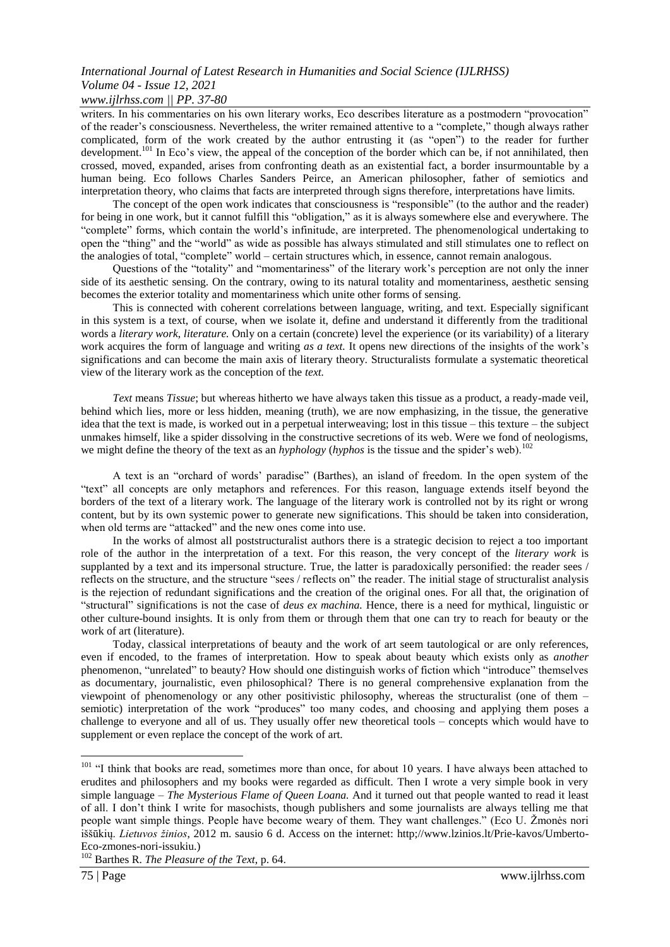### *www.ijlrhss.com || PP. 37-80*

writers. In his commentaries on his own literary works, Eco describes literature as a postmodern "provocation" of the reader"s consciousness. Nevertheless, the writer remained attentive to a "complete," though always rather complicated, form of the work created by the author entrusting it (as "open") to the reader for further development.<sup>101</sup> In Eco's view, the appeal of the conception of the border which can be, if not annihilated, then crossed, moved, expanded, arises from confronting death as an existential fact, a border insurmountable by a human being. Eco follows Charles Sanders Peirce, an American philosopher, father of semiotics and interpretation theory, who claims that facts are interpreted through signs therefore, interpretations have limits.

The concept of the open work indicates that consciousness is "responsible" (to the author and the reader) for being in one work, but it cannot fulfill this "obligation," as it is always somewhere else and everywhere. The "complete" forms, which contain the world"s infinitude, are interpreted. The phenomenological undertaking to open the "thing" and the "world" as wide as possible has always stimulated and still stimulates one to reflect on the analogies of total, "complete" world – certain structures which, in essence, cannot remain analogous.

Questions of the "totality" and "momentariness" of the literary work"s perception are not only the inner side of its aesthetic sensing. On the contrary, owing to its natural totality and momentariness, aesthetic sensing becomes the exterior totality and momentariness which unite other forms of sensing.

This is connected with coherent correlations between language, writing, and text. Especially significant in this system is a text, of course, when we isolate it, define and understand it differently from the traditional words a *literary work*, *literature.* Only on a certain (concrete) level the experience (or its variability) of a literary work acquires the form of language and writing *as a text*. It opens new directions of the insights of the work's significations and can become the main axis of literary theory. Structuralists formulate a systematic theoretical view of the literary work as the conception of the *text.*

*Text* means *Tissue*; but whereas hitherto we have always taken this tissue as a product, a ready-made veil, behind which lies, more or less hidden, meaning (truth), we are now emphasizing, in the tissue, the generative idea that the text is made, is worked out in a perpetual interweaving; lost in this tissue – this texture – the subject unmakes himself, like a spider dissolving in the constructive secretions of its web. Were we fond of neologisms, we might define the theory of the text as an *hyphology (hyphos* is the tissue and the spider's web).<sup>102</sup>

A text is an "orchard of words" paradise" (Barthes), an island of freedom. In the open system of the "text" all concepts are only metaphors and references. For this reason, language extends itself beyond the borders of the text of a literary work. The language of the literary work is controlled not by its right or wrong content, but by its own systemic power to generate new significations. This should be taken into consideration, when old terms are "attacked" and the new ones come into use.

In the works of almost all poststructuralist authors there is a strategic decision to reject a too important role of the author in the interpretation of a text. For this reason, the very concept of the *literary work* is supplanted by a text and its impersonal structure. True, the latter is paradoxically personified: the reader sees / reflects on the structure, and the structure "sees / reflects on" the reader. The initial stage of structuralist analysis is the rejection of redundant significations and the creation of the original ones. For all that, the origination of "structural" significations is not the case of *deus ex machina.* Hence, there is a need for mythical, linguistic or other culture-bound insights. It is only from them or through them that one can try to reach for beauty or the work of art (literature).

Today, classical interpretations of beauty and the work of art seem tautological or are only references, even if encoded, to the frames of interpretation. How to speak about beauty which exists only as *another*  phenomenon, "unrelated" to beauty? How should one distinguish works of fiction which "introduce" themselves as documentary, journalistic, even philosophical? There is no general comprehensive explanation from the viewpoint of phenomenology or any other positivistic philosophy, whereas the structuralist (one of them – semiotic) interpretation of the work "produces" too many codes, and choosing and applying them poses a challenge to everyone and all of us. They usually offer new theoretical tools – concepts which would have to supplement or even replace the concept of the work of art.

<sup>&</sup>lt;sup>101</sup> "I think that books are read, sometimes more than once, for about 10 years. I have always been attached to erudites and philosophers and my books were regarded as difficult. Then I wrote a very simple book in very simple language – *The Mysterious Flame of Queen Loana.* And it turned out that people wanted to read it least of all. I don"t think I write for masochists, though publishers and some journalists are always telling me that people want simple things. People have become weary of them. They want challenges." (Eco U. Žmonės nori iššūkių. *Lietuvos žinios*, 2012 m. sausio 6 d. Access on the internet: http://www.lzinios.lt/Prie-kavos/Umberto-Eco-zmones-nori-issukiu.)

<sup>102</sup> Barthes R. *The Pleasure of the Text*, p. 64.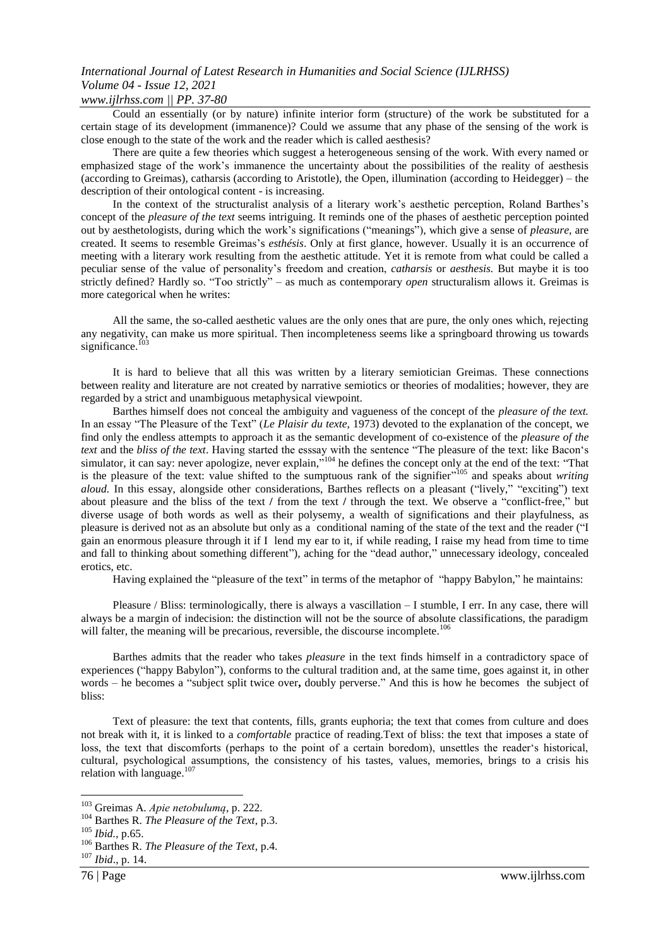*www.ijlrhss.com || PP. 37-80*

Could an essentially (or by nature) infinite interior form (structure) of the work be substituted for a certain stage of its development (immanence)? Could we assume that any phase of the sensing of the work is close enough to the state of the work and the reader which is called aesthesis?

There are quite a few theories which suggest a heterogeneous sensing of the work. With every named or emphasized stage of the work's immanence the uncertainty about the possibilities of the reality of aesthesis (according to Greimas), catharsis (according to Aristotle), the Open, illumination (according to Heidegger) – the description of their ontological content - is increasing.

In the context of the structuralist analysis of a literary work"s aesthetic perception, Roland Barthes"s concept of the *pleasure of the text* seems intriguing. It reminds one of the phases of aesthetic perception pointed out by aesthetologists, during which the work"s significations ("meanings"), which give a sense of *pleasure*, are created. It seems to resemble Greimas"s *esthésis*. Only at first glance, however. Usually it is an occurrence of meeting with a literary work resulting from the aesthetic attitude. Yet it is remote from what could be called a peculiar sense of the value of personality"s freedom and creation, *catharsis* or *aesthesis.* But maybe it is too strictly defined? Hardly so. "Too strictly" – as much as contemporary *open* structuralism allows it. Greimas is more categorical when he writes:

All the same, the so-called aesthetic values are the only ones that are pure, the only ones which, rejecting any negativity, can make us more spiritual. Then incompleteness seems like a springboard throwing us towards significance.<sup>103</sup>

It is hard to believe that all this was written by a literary semiotician Greimas. These connections between reality and literature are not created by narrative semiotics or theories of modalities; however, they are regarded by a strict and unambiguous metaphysical viewpoint.

Barthes himself does not conceal the ambiguity and vagueness of the concept of the *pleasure of the text.* In an essay "The Pleasure of the Text" (*Le Plaisir du texte*, 1973) devoted to the explanation of the concept, we find only the endless attempts to approach it as the semantic development of co-existence of the *pleasure of the text* and the *bliss of the text*. Having started the esssay with the sentence "The pleasure of the text: like Bacon"s simulator, it can say: never apologize, never explain,"<sup>104</sup> he defines the concept only at the end of the text: "That is the pleasure of the text: value shifted to the sumptuous rank of the signifier" <sup>105</sup> and speaks about *writing aloud.* In this essay, alongside other considerations, Barthes reflects on a pleasant ("lively," "exciting") text about pleasure and the bliss of the text **/** from the text **/** through the text. We observe a "conflict-free," but diverse usage of both words as well as their polysemy, a wealth of significations and their playfulness, as pleasure is derived not as an absolute but only as a conditional naming of the state of the text and the reader ("I gain an enormous pleasure through it if I lend my ear to it, if while reading, I raise my head from time to time and fall to thinking about something different"), aching for the "dead author," unnecessary ideology, concealed erotics, etc.

Having explained the "pleasure of the text" in terms of the metaphor of "happy Babylon," he maintains:

Pleasure / Bliss: terminologically, there is always a vascillation – I stumble, I err. In any case, there will always be a margin of indecision: the distinction will not be the source of absolute classifications, the paradigm will falter, the meaning will be precarious, reversible, the discourse incomplete.<sup>106</sup>

Barthes admits that the reader who takes *pleasure* in the text finds himself in a contradictory space of experiences ("happy Babylon"), conforms to the cultural tradition and, at the same time, goes against it, in other words – he becomes a "subject split twice over**,** doubly perverse." And this is how he becomes the subject of bliss:

Text of pleasure: the text that contents, fills, grants euphoria; the text that comes from culture and does not break with it, it is linked to a *comfortable* practice of reading.Text of bliss: the text that imposes a state of loss, the text that discomforts (perhaps to the point of a certain boredom), unsettles the reader's historical, cultural, psychological assumptions, the consistency of his tastes, values, memories, brings to a crisis his relation with language.<sup>107</sup>

<sup>103</sup> Greimas A. *Apie netobulumą*, p. 222.

<sup>104</sup> Barthes R. *The Pleasure of the Text*, p.3.

<sup>105</sup> *Ibid.*, p.65.

<sup>106</sup> Barthes R. *The Pleasure of the Text*, p.4.

<sup>107</sup> *Ibid*., p. 14.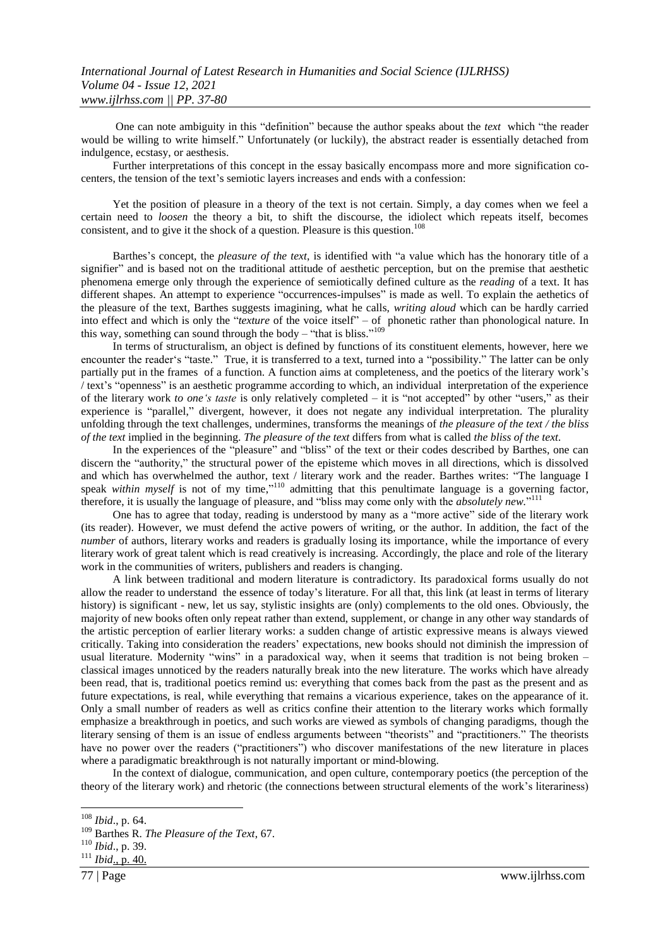One can note ambiguity in this "definition" because the author speaks about the *text* which "the reader would be willing to write himself." Unfortunately (or luckily), the abstract reader is essentially detached from indulgence, ecstasy, or aesthesis.

Further interpretations of this concept in the essay basically encompass more and more signification cocenters, the tension of the text's semiotic layers increases and ends with a confession:

Yet the position of pleasure in a theory of the text is not certain. Simply, a day comes when we feel a certain need to *loosen* the theory a bit, to shift the discourse, the idiolect which repeats itself, becomes consistent, and to give it the shock of a question. Pleasure is this question. 108

Barthes"s concept, the *pleasure of the text*, is identified with "a value which has the honorary title of a signifier" and is based not on the traditional attitude of aesthetic perception, but on the premise that aesthetic phenomena emerge only through the experience of semiotically defined culture as the *reading* of a text. It has different shapes. An attempt to experience "occurrences-impulses" is made as well. To explain the aethetics of the pleasure of the text, Barthes suggests imagining, what he calls, *writing aloud* which can be hardly carried into effect and which is only the "*texture* of the voice itself" – of phonetic rather than phonological nature. In this way, something can sound through the body – "that is bliss."<sup>109</sup>

In terms of structuralism, an object is defined by functions of its constituent elements, however, here we encounter the reader"s "taste." True, it is transferred to a text, turned into a "possibility." The latter can be only partially put in the frames of a function. A function aims at completeness, and the poetics of the literary work"s / text"s "openness" is an aesthetic programme according to which, an individual interpretation of the experience of the literary work *to one"s taste* is only relatively completed – it is "not accepted" by other "users," as their experience is "parallel," divergent, however, it does not negate any individual interpretation. The plurality unfolding through the text challenges, undermines, transforms the meanings of *the pleasure of the text / the bliss of the text* implied in the beginning. *The pleasure of the text* differs from what is called *the bliss of the text.*

In the experiences of the "pleasure" and "bliss" of the text or their codes described by Barthes, one can discern the "authority," the structural power of the episteme which moves in all directions, which is dissolved and which has overwhelmed the author, text / literary work and the reader. Barthes writes: "The language I speak *within myself* is not of my time,"<sup>110</sup> admitting that this penultimate language is a governing factor, therefore, it is usually the language of pleasure, and "bliss may come only with the *absolutely new.*" 111

One has to agree that today, reading is understood by many as a "more active" side of the literary work (its reader). However, we must defend the active powers of writing, or the author. In addition, the fact of the *number* of authors, literary works and readers is gradually losing its importance, while the importance of every literary work of great talent which is read creatively is increasing. Accordingly, the place and role of the literary work in the communities of writers, publishers and readers is changing.

A link between traditional and modern literature is contradictory. Its paradoxical forms usually do not allow the reader to understand the essence of today"s literature. For all that, this link (at least in terms of literary history) is significant - new, let us say, stylistic insights are (only) complements to the old ones. Obviously, the majority of new books often only repeat rather than extend, supplement, or change in any other way standards of the artistic perception of earlier literary works: a sudden change of artistic expressive means is always viewed critically. Taking into consideration the readers" expectations, new books should not diminish the impression of usual literature. Modernity "wins" in a paradoxical way, when it seems that tradition is not being broken – classical images unnoticed by the readers naturally break into the new literature. The works which have already been read, that is, traditional poetics remind us: everything that comes back from the past as the present and as future expectations, is real, while everything that remains a vicarious experience, takes on the appearance of it. Only a small number of readers as well as critics confine their attention to the literary works which formally emphasize a breakthrough in poetics, and such works are viewed as symbols of changing paradigms, though the literary sensing of them is an issue of endless arguments between "theorists" and "practitioners." The theorists have no power over the readers ("practitioners") who discover manifestations of the new literature in places where a paradigmatic breakthrough is not naturally important or mind-blowing.

In the context of dialogue, communication, and open culture, contemporary poetics (the perception of the theory of the literary work) and rhetoric (the connections between structural elements of the work"s literariness)

<sup>108</sup> *Ibid*., p. 64.

<sup>109</sup> Barthes R. *The Pleasure of the Text*, 67.

<sup>110</sup> *Ibid*., p. 39.

<sup>111</sup> *Ibid*., p. 40.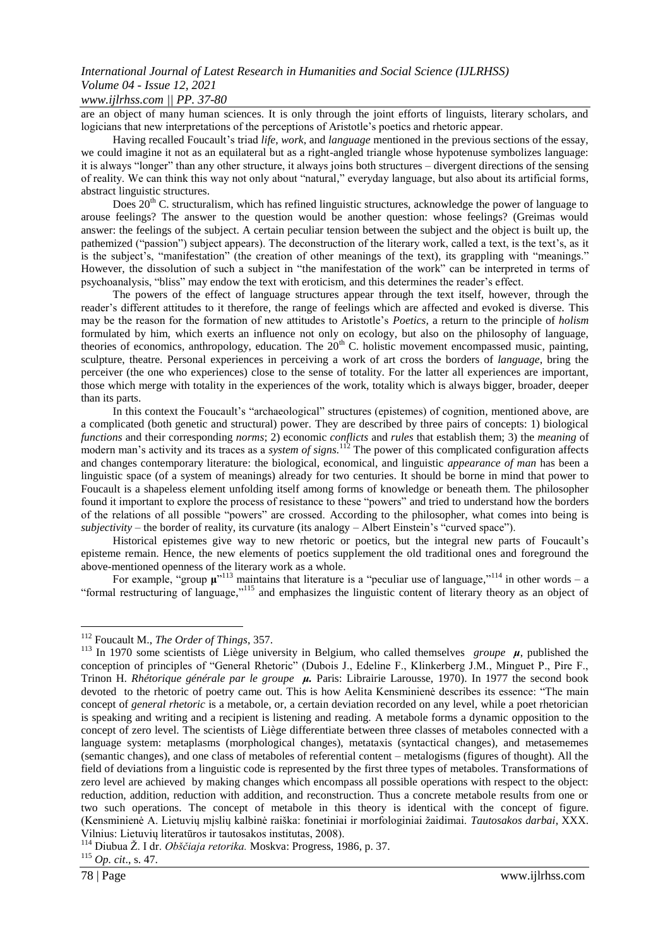#### *www.ijlrhss.com || PP. 37-80*

are an object of many human sciences. It is only through the joint efforts of linguists, literary scholars, and logicians that new interpretations of the perceptions of Aristotle"s poetics and rhetoric appear.

Having recalled Foucault"s triad *life*, *work*, and *language* mentioned in the previous sections of the essay, we could imagine it not as an equilateral but as a right-angled triangle whose hypotenuse symbolizes language: it is always "longer" than any other structure, it always joins both structures – divergent directions of the sensing of reality. We can think this way not only about "natural," everyday language, but also about its artificial forms, abstract linguistic structures.

Does 20<sup>th</sup> C. structuralism, which has refined linguistic structures, acknowledge the power of language to arouse feelings? The answer to the question would be another question: whose feelings? (Greimas would answer: the feelings of the subject. A certain peculiar tension between the subject and the object is built up, the pathemized ("passion") subject appears). The deconstruction of the literary work, called a text, is the text"s, as it is the subject's, "manifestation" (the creation of other meanings of the text), its grappling with "meanings." However, the dissolution of such a subject in "the manifestation of the work" can be interpreted in terms of psychoanalysis, "bliss" may endow the text with eroticism, and this determines the reader"s effect.

The powers of the effect of language structures appear through the text itself, however, through the reader"s different attitudes to it therefore, the range of feelings which are affected and evoked is diverse. This may be the reason for the formation of new attitudes to Aristotle"s *Poetics,* a return to the principle of *holism* formulated by him, which exerts an influence not only on ecology, but also on the philosophy of language, theories of economics, anthropology, education. The  $20<sup>th</sup>$  C. holistic movement encompassed music, painting, sculpture, theatre. Personal experiences in perceiving a work of art cross the borders of *language*, bring the perceiver (the one who experiences) close to the sense of totality. For the latter all experiences are important, those which merge with totality in the experiences of the work, totality which is always bigger, broader, deeper than its parts.

In this context the Foucault's "archaeological" structures (epistemes) of cognition, mentioned above, are a complicated (both genetic and structural) power. They are described by three pairs of concepts: 1) biological *functions* and their corresponding *norms*; 2) economic *conflicts* and *rules* that establish them; 3) the *meaning* of modern man's activity and its traces as a *system of signs*.<sup>112</sup> The power of this complicated configuration affects and changes contemporary literature: the biological, economical, and linguistic *appearance of man* has been a linguistic space (of a system of meanings) already for two centuries. It should be borne in mind that power to Foucault is a shapeless element unfolding itself among forms of knowledge or beneath them. The philosopher found it important to explore the process of resistance to these "powers" and tried to understand how the borders of the relations of all possible "powers" are crossed. According to the philosopher, what comes into being is  $subjectivity$  – the border of reality, its curvature (its analogy – Albert Einstein's "curved space").

Historical epistemes give way to new rhetoric or poetics, but the integral new parts of Foucault"s episteme remain. Hence, the new elements of poetics supplement the old traditional ones and foreground the above-mentioned openness of the literary work as a whole.

For example, "group  $\mu$ <sup>"113</sup> maintains that literature is a "peculiar use of language,"<sup>114</sup> in other words – a "formal restructuring of language,"<sup>115</sup> and emphasizes the linguistic content of literary theory as an object of

<sup>&</sup>lt;u>.</u> <sup>112</sup> Foucault M., *The Order of Things*, 357.

<sup>113</sup> In 1970 some scientists of Liège university in Belgium, who called themselves *groupe μ*, published the conception of principles of "General Rhetoric" (Dubois J., Edeline F., Klinkerberg J.M., Minguet P., Pire F., Trinon H. *Rhétorique générale par le groupe μ.* Paris: Librairie Larousse, 1970). In 1977 the second book devoted to the rhetoric of poetry came out. This is how Aelita Kensminienė describes its essence: "The main concept of *general rhetoric* is a metabole, or, a certain deviation recorded on any level, while a poet rhetorician is speaking and writing and a recipient is listening and reading. A metabole forms a dynamic opposition to the concept of zero level. The scientists of Liège differentiate between three classes of metaboles connected with a language system: metaplasms (morphological changes), metataxis (syntactical changes), and metasememes (semantic changes), and one class of metaboles of referential content – metalogisms (figures of thought). All the field of deviations from a linguistic code is represented by the first three types of metaboles. Transformations of zero level are achieved by making changes which encompass all possible operations with respect to the object: reduction, addition, reduction with addition, and reconstruction. Thus a concrete metabole results from one or two such operations. The concept of metabole in this theory is identical with the concept of figure. (Kensminienė A. Lietuvių mįslių kalbinė raiška: fonetiniai ir morfologiniai ţaidimai. *Tautosakos darbai*, XXX. Vilnius: Lietuvių literatūros ir tautosakos institutas, 2008).

<sup>&</sup>lt;sup>114</sup> Diubua Ž. I dr. *Obščiaja retorika*. Moskva: Progress, 1986, p. 37.

<sup>115</sup> *Op. cit*., s. 47.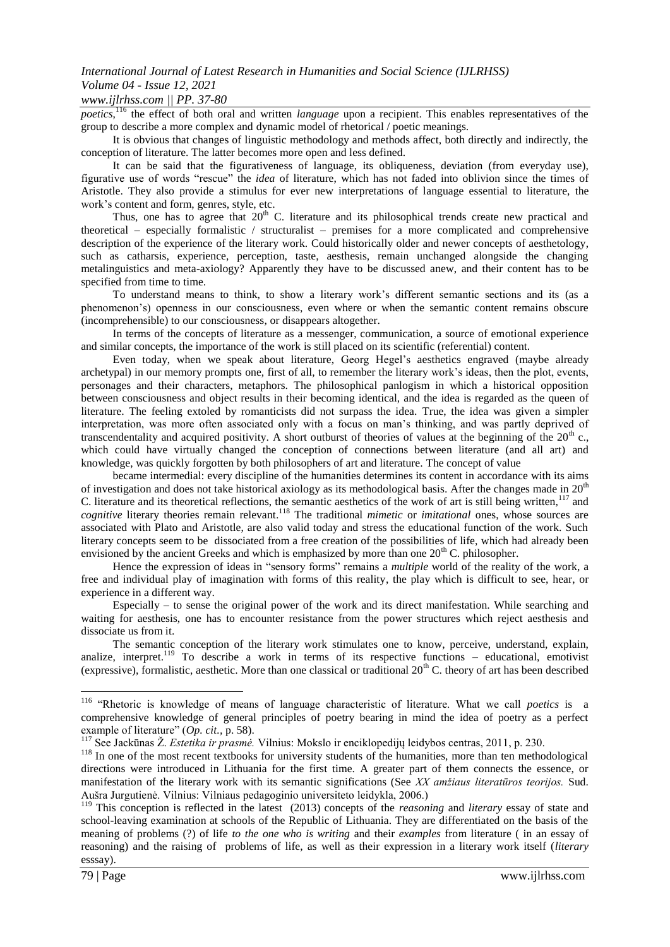#### *www.ijlrhss.com || PP. 37-80*

*poetics*, <sup>116</sup> the effect of both oral and written *language* upon a recipient. This enables representatives of the group to describe a more complex and dynamic model of rhetorical / poetic meanings.

It is obvious that changes of linguistic methodology and methods affect, both directly and indirectly, the conception of literature. The latter becomes more open and less defined.

It can be said that the figurativeness of language, its obliqueness, deviation (from everyday use), figurative use of words "rescue" the *idea* of literature, which has not faded into oblivion since the times of Aristotle. They also provide a stimulus for ever new interpretations of language essential to literature, the work"s content and form, genres, style, etc.

Thus, one has to agree that  $20<sup>th</sup>$  C. literature and its philosophical trends create new practical and theoretical – especially formalistic / structuralist – premises for a more complicated and comprehensive description of the experience of the literary work. Could historically older and newer concepts of aesthetology, such as catharsis, experience, perception, taste, aesthesis, remain unchanged alongside the changing metalinguistics and meta-axiology? Apparently they have to be discussed anew, and their content has to be specified from time to time.

To understand means to think, to show a literary work"s different semantic sections and its (as a phenomenon"s) openness in our consciousness, even where or when the semantic content remains obscure (incomprehensible) to our consciousness, or disappears altogether.

In terms of the concepts of literature as a messenger, communication, a source of emotional experience and similar concepts, the importance of the work is still placed on its scientific (referential) content.

Even today, when we speak about literature, Georg Hegel"s aesthetics engraved (maybe already archetypal) in our memory prompts one, first of all, to remember the literary work"s ideas, then the plot, events, personages and their characters, metaphors. The philosophical panlogism in which a historical opposition between consciousness and object results in their becoming identical, and the idea is regarded as the queen of literature. The feeling extoled by romanticists did not surpass the idea. True, the idea was given a simpler interpretation, was more often associated only with a focus on man"s thinking, and was partly deprived of transcendentality and acquired positivity. A short outburst of theories of values at the beginning of the  $20<sup>th</sup>$  c., which could have virtually changed the conception of connections between literature (and all art) and knowledge, was quickly forgotten by both philosophers of art and literature. The concept of value

became intermedial: every discipline of the humanities determines its content in accordance with its aims of investigation and does not take historical axiology as its methodological basis. After the changes made in  $20<sup>th</sup>$ C. literature and its theoretical reflections, the semantic aesthetics of the work of art is still being written,<sup>117</sup> and *cognitive* literary theories remain relevant. <sup>118</sup> The traditional *mimetic* or *imitational* ones, whose sources are associated with Plato and Aristotle, are also valid today and stress the educational function of the work. Such literary concepts seem to be dissociated from a free creation of the possibilities of life, which had already been envisioned by the ancient Greeks and which is emphasized by more than one  $20<sup>th</sup>$  C. philosopher.

Hence the expression of ideas in "sensory forms" remains a *multiple* world of the reality of the work, a free and individual play of imagination with forms of this reality, the play which is difficult to see, hear, or experience in a different way.

Especially – to sense the original power of the work and its direct manifestation. While searching and waiting for aesthesis, one has to encounter resistance from the power structures which reject aesthesis and dissociate us from it.

The semantic conception of the literary work stimulates one to know, perceive, understand, explain, analize, interpret.<sup>119</sup> To describe a work in terms of its respective functions – educational, emotivist (expressive), formalistic, aesthetic. More than one classical or traditional  $20<sup>th</sup>$  C. theory of art has been described

<sup>116</sup> "Rhetoric is knowledge of means of language characteristic of literature. What we call *poetics* is a comprehensive knowledge of general principles of poetry bearing in mind the idea of poetry as a perfect example of literature" (*Op. cit.,* p. 58).

<sup>&</sup>lt;sup>117</sup> See Jackūnas Ž. *Estetika ir prasmė*. Vilnius: Mokslo ir enciklopedijų leidybos centras, 2011, p. 230.

<sup>&</sup>lt;sup>118</sup> In one of the most recent textbooks for university students of the humanities, more than ten methodological directions were introduced in Lithuania for the first time. A greater part of them connects the essence, or manifestation of the literary work with its semantic significations (See *XX amžiaus literatūros teorijos*. Sud. Aušra Jurgutienė. Vilnius: Vilniaus pedagoginio universiteto leidykla, 2006.)

<sup>119</sup> This conception is reflected in the latest (2013) concepts of the *reasoning* and *literary* essay of state and school-leaving examination at schools of the Republic of Lithuania. They are differentiated on the basis of the meaning of problems (?) of life *to the one who is writing* and their *examples* from literature ( in an essay of reasoning) and the raising of problems of life, as well as their expression in a literary work itself (*literary*  esssay).